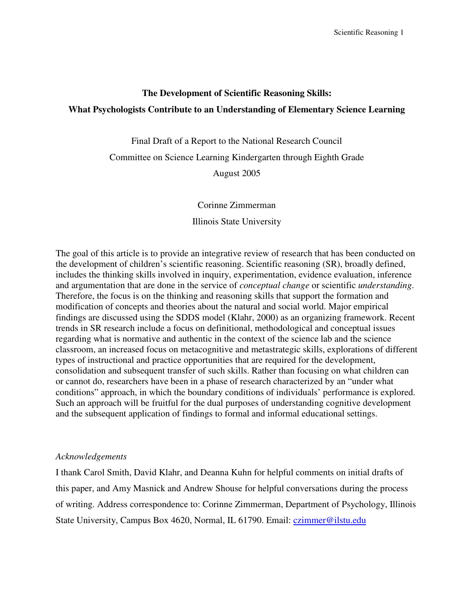## **The Development of Scientific Reasoning Skills: What Psychologists Contribute to an Understanding of Elementary Science Learning**

Final Draft of a Report to the National Research Council Committee on Science Learning Kindergarten through Eighth Grade

August 2005

Corinne Zimmerman

Illinois State University

The goal of this article is to provide an integrative review of research that has been conducted on the development of children's scientific reasoning. Scientific reasoning (SR), broadly defined, includes the thinking skills involved in inquiry, experimentation, evidence evaluation, inference and argumentation that are done in the service of *conceptual change* or scientific *understanding*. Therefore, the focus is on the thinking and reasoning skills that support the formation and modification of concepts and theories about the natural and social world. Major empirical findings are discussed using the SDDS model (Klahr, 2000) as an organizing framework. Recent trends in SR research include a focus on definitional, methodological and conceptual issues regarding what is normative and authentic in the context of the science lab and the science classroom, an increased focus on metacognitive and metastrategic skills, explorations of different types of instructional and practice opportunities that are required for the development, consolidation and subsequent transfer of such skills. Rather than focusing on what children can or cannot do, researchers have been in a phase of research characterized by an "under what conditions" approach, in which the boundary conditions of individuals' performance is explored. Such an approach will be fruitful for the dual purposes of understanding cognitive development and the subsequent application of findings to formal and informal educational settings.

### *Acknowledgements*

I thank Carol Smith, David Klahr, and Deanna Kuhn for helpful comments on initial drafts of this paper, and Amy Masnick and Andrew Shouse for helpful conversations during the process of writing. Address correspondence to: Corinne Zimmerman, Department of Psychology, Illinois State University, Campus Box 4620, Normal, IL 61790. Email: czimmer@ilstu.edu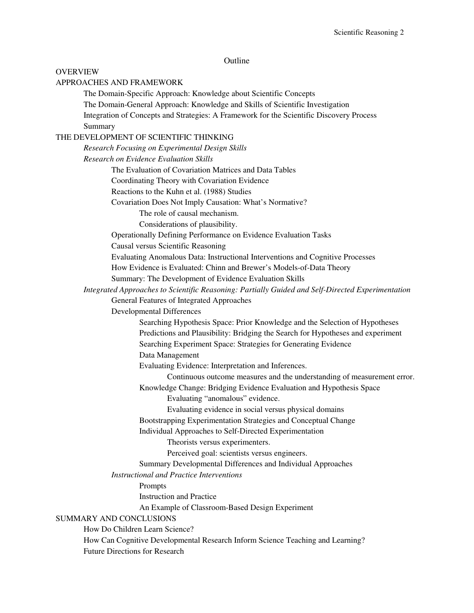### Outline

## **OVERVIEW**

### APPROACHES AND FRAMEWORK

The Domain-Specific Approach: Knowledge about Scientific Concepts The Domain-General Approach: Knowledge and Skills of Scientific Investigation Integration of Concepts and Strategies: A Framework for the Scientific Discovery Process Summary

### THE DEVELOPMENT OF SCIENTIFIC THINKING

*Research Focusing on Experimental Design Skills*

*Research on Evidence Evaluation Skills*

The Evaluation of Covariation Matrices and Data Tables

Coordinating Theory with Covariation Evidence

Reactions to the Kuhn et al. (1988) Studies

Covariation Does Not Imply Causation: What's Normative?

The role of causal mechanism.

Considerations of plausibility.

Operationally Defining Performance on Evidence Evaluation Tasks

Causal versus Scientific Reasoning

Evaluating Anomalous Data: Instructional Interventions and Cognitive Processes

How Evidence is Evaluated: Chinn and Brewer's Models-of-Data Theory

Summary: The Development of Evidence Evaluation Skills

*Integrated Approaches to Scientific Reasoning: Partially Guided and Self-Directed Experimentation* General Features of Integrated Approaches

Developmental Differences

Searching Hypothesis Space: Prior Knowledge and the Selection of Hypotheses Predictions and Plausibility: Bridging the Search for Hypotheses and experiment Searching Experiment Space: Strategies for Generating Evidence

Data Management

Evaluating Evidence: Interpretation and Inferences.

Continuous outcome measures and the understanding of measurement error.

Knowledge Change: Bridging Evidence Evaluation and Hypothesis Space

Evaluating "anomalous" evidence.

Evaluating evidence in social versus physical domains

Bootstrapping Experimentation Strategies and Conceptual Change

Individual Approaches to Self-Directed Experimentation

Theorists versus experimenters.

Perceived goal: scientists versus engineers.

Summary Developmental Differences and Individual Approaches

*Instructional and Practice Interventions*

Prompts

Instruction and Practice

An Example of Classroom-Based Design Experiment

### SUMMARY AND CONCLUSIONS

How Do Children Learn Science?

How Can Cognitive Developmental Research Inform Science Teaching and Learning? Future Directions for Research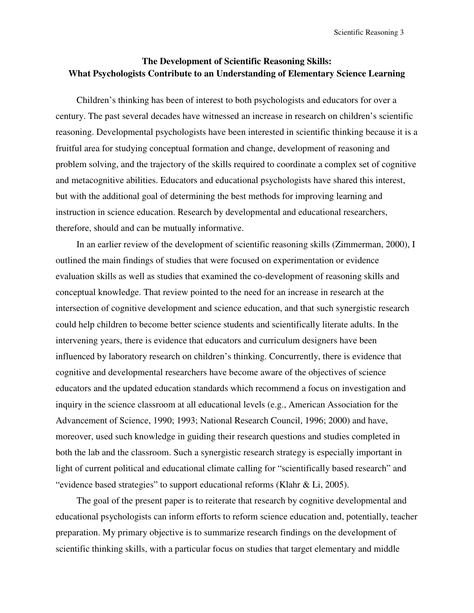## **The Development of Scientific Reasoning Skills: What Psychologists Contribute to an Understanding of Elementary Science Learning**

Children's thinking has been of interest to both psychologists and educators for over a century. The past several decades have witnessed an increase in research on children's scientific reasoning. Developmental psychologists have been interested in scientific thinking because it is a fruitful area for studying conceptual formation and change, development of reasoning and problem solving, and the trajectory of the skills required to coordinate a complex set of cognitive and metacognitive abilities. Educators and educational psychologists have shared this interest, but with the additional goal of determining the best methods for improving learning and instruction in science education. Research by developmental and educational researchers, therefore, should and can be mutually informative.

In an earlier review of the development of scientific reasoning skills (Zimmerman, 2000), I outlined the main findings of studies that were focused on experimentation or evidence evaluation skills as well as studies that examined the co-development of reasoning skills and conceptual knowledge. That review pointed to the need for an increase in research at the intersection of cognitive development and science education, and that such synergistic research could help children to become better science students and scientifically literate adults. In the intervening years, there is evidence that educators and curriculum designers have been influenced by laboratory research on children's thinking. Concurrently, there is evidence that cognitive and developmental researchers have become aware of the objectives of science educators and the updated education standards which recommend a focus on investigation and inquiry in the science classroom at all educational levels (e.g., American Association for the Advancement of Science, 1990; 1993; National Research Council, 1996; 2000) and have, moreover, used such knowledge in guiding their research questions and studies completed in both the lab and the classroom. Such a synergistic research strategy is especially important in light of current political and educational climate calling for "scientifically based research" and "evidence based strategies" to support educational reforms (Klahr & Li, 2005).

The goal of the present paper is to reiterate that research by cognitive developmental and educational psychologists can inform efforts to reform science education and, potentially, teacher preparation. My primary objective is to summarize research findings on the development of scientific thinking skills, with a particular focus on studies that target elementary and middle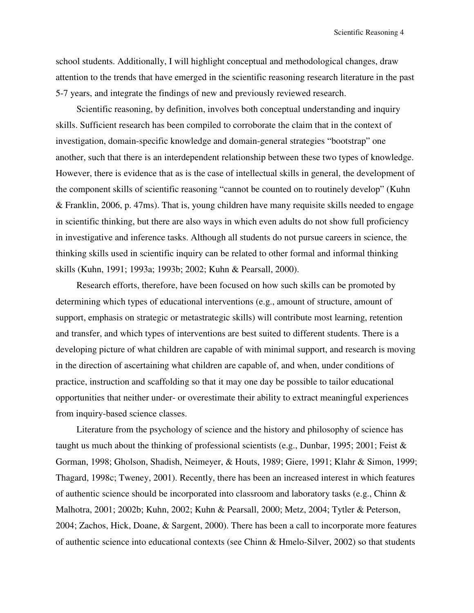school students. Additionally, I will highlight conceptual and methodological changes, draw attention to the trends that have emerged in the scientific reasoning research literature in the past 5-7 years, and integrate the findings of new and previously reviewed research.

Scientific reasoning, by definition, involves both conceptual understanding and inquiry skills. Sufficient research has been compiled to corroborate the claim that in the context of investigation, domain-specific knowledge and domain-general strategies "bootstrap" one another, such that there is an interdependent relationship between these two types of knowledge. However, there is evidence that as is the case of intellectual skills in general, the development of the component skills of scientific reasoning "cannot be counted on to routinely develop" (Kuhn & Franklin, 2006, p. 47ms). That is, young children have many requisite skills needed to engage in scientific thinking, but there are also ways in which even adults do not show full proficiency in investigative and inference tasks. Although all students do not pursue careers in science, the thinking skills used in scientific inquiry can be related to other formal and informal thinking skills (Kuhn, 1991; 1993a; 1993b; 2002; Kuhn & Pearsall, 2000).

Research efforts, therefore, have been focused on how such skills can be promoted by determining which types of educational interventions (e.g., amount of structure, amount of support, emphasis on strategic or metastrategic skills) will contribute most learning, retention and transfer, and which types of interventions are best suited to different students. There is a developing picture of what children are capable of with minimal support, and research is moving in the direction of ascertaining what children are capable of, and when, under conditions of practice, instruction and scaffolding so that it may one day be possible to tailor educational opportunities that neither under- or overestimate their ability to extract meaningful experiences from inquiry-based science classes.

Literature from the psychology of science and the history and philosophy of science has taught us much about the thinking of professional scientists (e.g., Dunbar, 1995; 2001; Feist & Gorman, 1998; Gholson, Shadish, Neimeyer, & Houts, 1989; Giere, 1991; Klahr & Simon, 1999; Thagard, 1998c; Tweney, 2001). Recently, there has been an increased interest in which features of authentic science should be incorporated into classroom and laboratory tasks (e.g., Chinn & Malhotra, 2001; 2002b; Kuhn, 2002; Kuhn & Pearsall, 2000; Metz, 2004; Tytler & Peterson, 2004; Zachos, Hick, Doane, & Sargent, 2000). There has been a call to incorporate more features of authentic science into educational contexts (see Chinn & Hmelo-Silver, 2002) so that students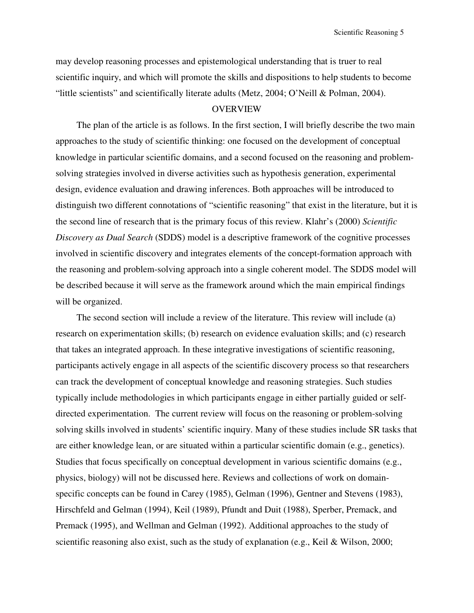may develop reasoning processes and epistemological understanding that is truer to real scientific inquiry, and which will promote the skills and dispositions to help students to become "little scientists" and scientifically literate adults (Metz, 2004; O'Neill & Polman, 2004).

### **OVERVIEW**

The plan of the article is as follows. In the first section, I will briefly describe the two main approaches to the study of scientific thinking: one focused on the development of conceptual knowledge in particular scientific domains, and a second focused on the reasoning and problemsolving strategies involved in diverse activities such as hypothesis generation, experimental design, evidence evaluation and drawing inferences. Both approaches will be introduced to distinguish two different connotations of "scientific reasoning" that exist in the literature, but it is the second line of research that is the primary focus of this review. Klahr's (2000) *Scientific Discovery as Dual Search* (SDDS) model is a descriptive framework of the cognitive processes involved in scientific discovery and integrates elements of the concept-formation approach with the reasoning and problem-solving approach into a single coherent model. The SDDS model will be described because it will serve as the framework around which the main empirical findings will be organized.

The second section will include a review of the literature. This review will include (a) research on experimentation skills; (b) research on evidence evaluation skills; and (c) research that takes an integrated approach. In these integrative investigations of scientific reasoning, participants actively engage in all aspects of the scientific discovery process so that researchers can track the development of conceptual knowledge and reasoning strategies. Such studies typically include methodologies in which participants engage in either partially guided or selfdirected experimentation. The current review will focus on the reasoning or problem-solving solving skills involved in students' scientific inquiry. Many of these studies include SR tasks that are either knowledge lean, or are situated within a particular scientific domain (e.g., genetics). Studies that focus specifically on conceptual development in various scientific domains (e.g., physics, biology) will not be discussed here. Reviews and collections of work on domainspecific concepts can be found in Carey (1985), Gelman (1996), Gentner and Stevens (1983), Hirschfeld and Gelman (1994), Keil (1989), Pfundt and Duit (1988), Sperber, Premack, and Premack (1995), and Wellman and Gelman (1992). Additional approaches to the study of scientific reasoning also exist, such as the study of explanation (e.g., Keil & Wilson, 2000;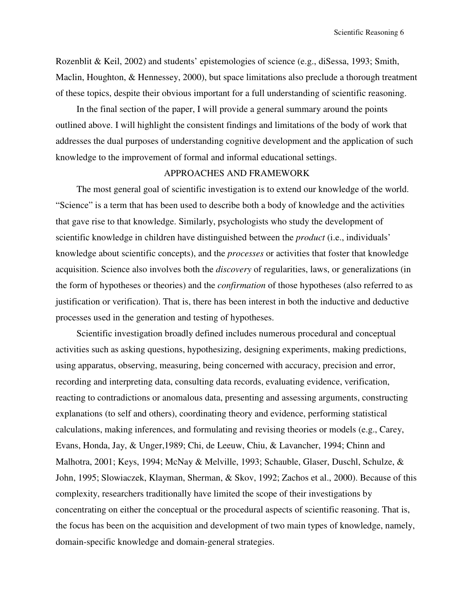Rozenblit & Keil, 2002) and students' epistemologies of science (e.g., diSessa, 1993; Smith, Maclin, Houghton, & Hennessey, 2000), but space limitations also preclude a thorough treatment of these topics, despite their obvious important for a full understanding of scientific reasoning.

In the final section of the paper, I will provide a general summary around the points outlined above. I will highlight the consistent findings and limitations of the body of work that addresses the dual purposes of understanding cognitive development and the application of such knowledge to the improvement of formal and informal educational settings.

### APPROACHES AND FRAMEWORK

The most general goal of scientific investigation is to extend our knowledge of the world. "Science" is a term that has been used to describe both a body of knowledge and the activities that gave rise to that knowledge. Similarly, psychologists who study the development of scientific knowledge in children have distinguished between the *product* (i.e., individuals' knowledge about scientific concepts), and the *processes* or activities that foster that knowledge acquisition. Science also involves both the *discovery* of regularities, laws, or generalizations (in the form of hypotheses or theories) and the *confirmation* of those hypotheses (also referred to as justification or verification). That is, there has been interest in both the inductive and deductive processes used in the generation and testing of hypotheses.

Scientific investigation broadly defined includes numerous procedural and conceptual activities such as asking questions, hypothesizing, designing experiments, making predictions, using apparatus, observing, measuring, being concerned with accuracy, precision and error, recording and interpreting data, consulting data records, evaluating evidence, verification, reacting to contradictions or anomalous data, presenting and assessing arguments, constructing explanations (to self and others), coordinating theory and evidence, performing statistical calculations, making inferences, and formulating and revising theories or models (e.g., Carey, Evans, Honda, Jay, & Unger,1989; Chi, de Leeuw, Chiu, & Lavancher, 1994; Chinn and Malhotra, 2001; Keys, 1994; McNay & Melville, 1993; Schauble, Glaser, Duschl, Schulze, & John, 1995; Slowiaczek, Klayman, Sherman, & Skov, 1992; Zachos et al., 2000). Because of this complexity, researchers traditionally have limited the scope of their investigations by concentrating on either the conceptual or the procedural aspects of scientific reasoning. That is, the focus has been on the acquisition and development of two main types of knowledge, namely, domain-specific knowledge and domain-general strategies.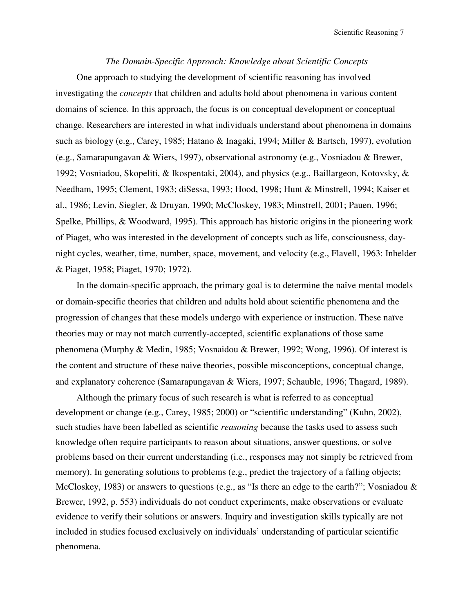# *The Domain-Specific Approach: Knowledge about Scientific Concepts* One approach to studying the development of scientific reasoning has involved investigating the *concepts* that children and adults hold about phenomena in various content domains of science. In this approach, the focus is on conceptual development or conceptual change. Researchers are interested in what individuals understand about phenomena in domains such as biology (e.g., Carey, 1985; Hatano & Inagaki, 1994; Miller & Bartsch, 1997), evolution (e.g., Samarapungavan & Wiers, 1997), observational astronomy (e.g., Vosniadou & Brewer, 1992; Vosniadou, Skopeliti, & Ikospentaki, 2004), and physics (e.g., Baillargeon, Kotovsky, & Needham, 1995; Clement, 1983; diSessa, 1993; Hood, 1998; Hunt & Minstrell, 1994; Kaiser et al., 1986; Levin, Siegler, & Druyan, 1990; McCloskey, 1983; Minstrell, 2001; Pauen, 1996; Spelke, Phillips, & Woodward, 1995). This approach has historic origins in the pioneering work of Piaget, who was interested in the development of concepts such as life, consciousness, daynight cycles, weather, time, number, space, movement, and velocity (e.g., Flavell, 1963: Inhelder & Piaget, 1958; Piaget, 1970; 1972).

In the domain-specific approach, the primary goal is to determine the naïve mental models or domain-specific theories that children and adults hold about scientific phenomena and the progression of changes that these models undergo with experience or instruction. These naïve theories may or may not match currently-accepted, scientific explanations of those same phenomena (Murphy & Medin, 1985; Vosnaidou & Brewer, 1992; Wong, 1996). Of interest is the content and structure of these naive theories, possible misconceptions, conceptual change, and explanatory coherence (Samarapungavan & Wiers, 1997; Schauble, 1996; Thagard, 1989).

Although the primary focus of such research is what is referred to as conceptual development or change (e.g., Carey, 1985; 2000) or "scientific understanding" (Kuhn, 2002), such studies have been labelled as scientific *reasoning* because the tasks used to assess such knowledge often require participants to reason about situations, answer questions, or solve problems based on their current understanding (i.e., responses may not simply be retrieved from memory). In generating solutions to problems (e.g., predict the trajectory of a falling objects; McCloskey, 1983) or answers to questions (e.g., as "Is there an edge to the earth?"; Vosniadou  $\&$ Brewer, 1992, p. 553) individuals do not conduct experiments, make observations or evaluate evidence to verify their solutions or answers. Inquiry and investigation skills typically are not included in studies focused exclusively on individuals' understanding of particular scientific phenomena.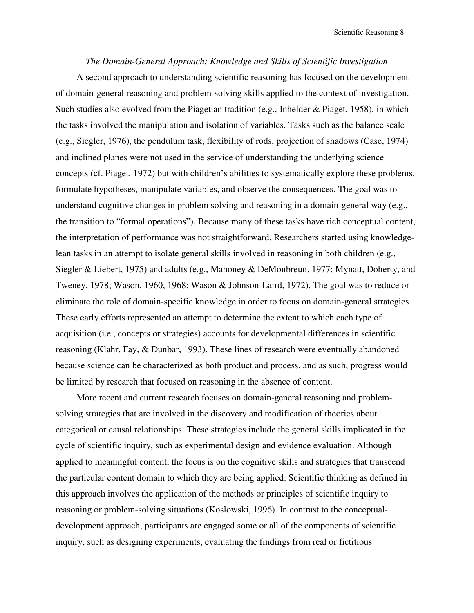*The Domain-General Approach: Knowledge and Skills of Scientific Investigation* A second approach to understanding scientific reasoning has focused on the development of domain-general reasoning and problem-solving skills applied to the context of investigation. Such studies also evolved from the Piagetian tradition (e.g., Inhelder & Piaget, 1958), in which the tasks involved the manipulation and isolation of variables. Tasks such as the balance scale (e.g., Siegler, 1976), the pendulum task, flexibility of rods, projection of shadows (Case, 1974) and inclined planes were not used in the service of understanding the underlying science concepts (cf. Piaget, 1972) but with children's abilities to systematically explore these problems, formulate hypotheses, manipulate variables, and observe the consequences. The goal was to understand cognitive changes in problem solving and reasoning in a domain-general way (e.g., the transition to "formal operations"). Because many of these tasks have rich conceptual content, the interpretation of performance was not straightforward. Researchers started using knowledgelean tasks in an attempt to isolate general skills involved in reasoning in both children (e.g., Siegler & Liebert, 1975) and adults (e.g., Mahoney & DeMonbreun, 1977; Mynatt, Doherty, and Tweney, 1978; Wason, 1960, 1968; Wason & Johnson-Laird, 1972). The goal was to reduce or eliminate the role of domain-specific knowledge in order to focus on domain-general strategies. These early efforts represented an attempt to determine the extent to which each type of acquisition (i.e., concepts or strategies) accounts for developmental differences in scientific reasoning (Klahr, Fay, & Dunbar, 1993). These lines of research were eventually abandoned because science can be characterized as both product and process, and as such, progress would be limited by research that focused on reasoning in the absence of content.

More recent and current research focuses on domain-general reasoning and problemsolving strategies that are involved in the discovery and modification of theories about categorical or causal relationships. These strategies include the general skills implicated in the cycle of scientific inquiry, such as experimental design and evidence evaluation. Although applied to meaningful content, the focus is on the cognitive skills and strategies that transcend the particular content domain to which they are being applied. Scientific thinking as defined in this approach involves the application of the methods or principles of scientific inquiry to reasoning or problem-solving situations (Koslowski, 1996). In contrast to the conceptualdevelopment approach, participants are engaged some or all of the components of scientific inquiry, such as designing experiments, evaluating the findings from real or fictitious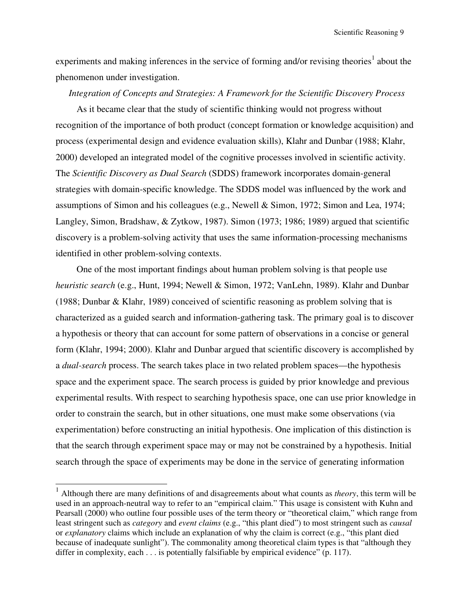experiments and making inferences in the service of forming and/or revising theories<sup>1</sup> about the phenomenon under investigation.

*Integration of Concepts and Strategies: A Framework for the Scientific Discovery Process* As it became clear that the study of scientific thinking would not progress without recognition of the importance of both product (concept formation or knowledge acquisition) and process (experimental design and evidence evaluation skills), Klahr and Dunbar (1988; Klahr, 2000) developed an integrated model of the cognitive processes involved in scientific activity. The *Scientific Discovery as Dual Search* (SDDS) framework incorporates domain-general strategies with domain-specific knowledge. The SDDS model was influenced by the work and assumptions of Simon and his colleagues (e.g., Newell & Simon, 1972; Simon and Lea, 1974; Langley, Simon, Bradshaw, & Zytkow, 1987). Simon (1973; 1986; 1989) argued that scientific discovery is a problem-solving activity that uses the same information-processing mechanisms identified in other problem-solving contexts.

One of the most important findings about human problem solving is that people use *heuristic search* (e.g., Hunt, 1994; Newell & Simon, 1972; VanLehn, 1989). Klahr and Dunbar (1988; Dunbar & Klahr, 1989) conceived of scientific reasoning as problem solving that is characterized as a guided search and information-gathering task. The primary goal is to discover a hypothesis or theory that can account for some pattern of observations in a concise or general form (Klahr, 1994; 2000). Klahr and Dunbar argued that scientific discovery is accomplished by a *dual-search* process. The search takes place in two related problem spaces—the hypothesis space and the experiment space. The search process is guided by prior knowledge and previous experimental results. With respect to searching hypothesis space, one can use prior knowledge in order to constrain the search, but in other situations, one must make some observations (via experimentation) before constructing an initial hypothesis. One implication of this distinction is that the search through experiment space may or may not be constrained by a hypothesis. Initial search through the space of experiments may be done in the service of generating information

<sup>1</sup> Although there are many definitions of and disagreements about what counts as *theory*, this term will be used in an approach-neutral way to refer to an "empirical claim." This usage is consistent with Kuhn and Pearsall (2000) who outline four possible uses of the term theory or "theoretical claim," which range from least stringent such as *category* and *event claims* (e.g., "this plant died") to most stringent such as *causal* or *explanatory* claims which include an explanation of why the claim is correct (e.g., "this plant died because of inadequate sunlight"). The commonality among theoretical claim types is that "although they differ in complexity, each . . . is potentially falsifiable by empirical evidence" (p. 117).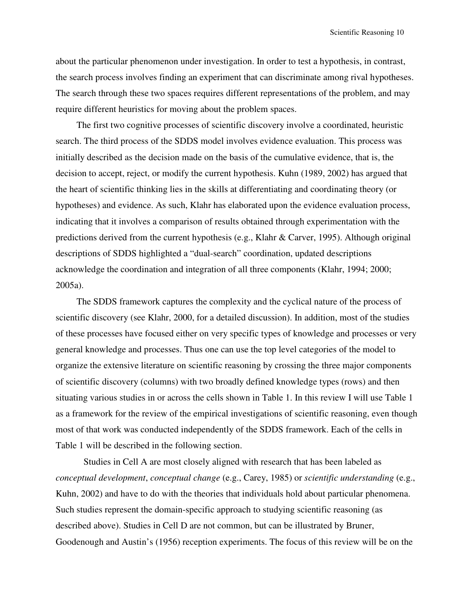about the particular phenomenon under investigation. In order to test a hypothesis, in contrast, the search process involves finding an experiment that can discriminate among rival hypotheses. The search through these two spaces requires different representations of the problem, and may require different heuristics for moving about the problem spaces.

The first two cognitive processes of scientific discovery involve a coordinated, heuristic search. The third process of the SDDS model involves evidence evaluation. This process was initially described as the decision made on the basis of the cumulative evidence, that is, the decision to accept, reject, or modify the current hypothesis. Kuhn (1989, 2002) has argued that the heart of scientific thinking lies in the skills at differentiating and coordinating theory (or hypotheses) and evidence. As such, Klahr has elaborated upon the evidence evaluation process, indicating that it involves a comparison of results obtained through experimentation with the predictions derived from the current hypothesis (e.g., Klahr & Carver, 1995). Although original descriptions of SDDS highlighted a "dual-search" coordination, updated descriptions acknowledge the coordination and integration of all three components (Klahr, 1994; 2000; 2005a).

The SDDS framework captures the complexity and the cyclical nature of the process of scientific discovery (see Klahr, 2000, for a detailed discussion). In addition, most of the studies of these processes have focused either on very specific types of knowledge and processes or very general knowledge and processes. Thus one can use the top level categories of the model to organize the extensive literature on scientific reasoning by crossing the three major components of scientific discovery (columns) with two broadly defined knowledge types (rows) and then situating various studies in or across the cells shown in Table 1. In this review I will use Table 1 as a framework for the review of the empirical investigations of scientific reasoning, even though most of that work was conducted independently of the SDDS framework. Each of the cells in Table 1 will be described in the following section.

Studies in Cell A are most closely aligned with research that has been labeled as *conceptual development*, *conceptual change* (e.g., Carey, 1985) or *scientific understanding* (e.g., Kuhn, 2002) and have to do with the theories that individuals hold about particular phenomena. Such studies represent the domain-specific approach to studying scientific reasoning (as described above). Studies in Cell D are not common, but can be illustrated by Bruner, Goodenough and Austin's (1956) reception experiments. The focus of this review will be on the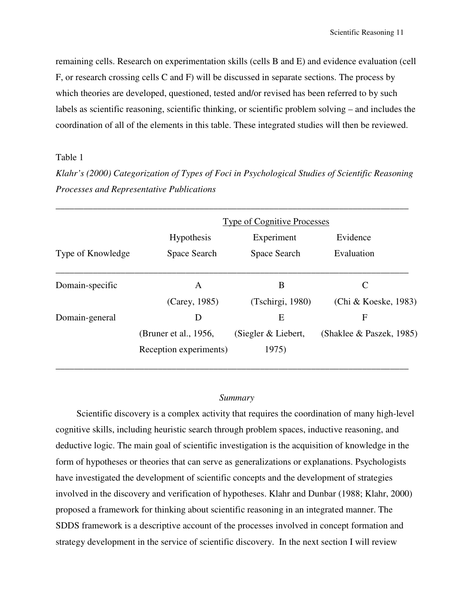remaining cells. Research on experimentation skills (cells B and E) and evidence evaluation (cell F, or research crossing cells C and F) will be discussed in separate sections. The process by which theories are developed, questioned, tested and/or revised has been referred to by such labels as scientific reasoning, scientific thinking, or scientific problem solving – and includes the coordination of all of the elements in this table. These integrated studies will then be reviewed.

### Table 1

*Klahr's (2000) Categorization of Types of Foci in Psychological Studies of Scientific Reasoning Processes and Representative Publications*

|                   |                        | <b>Type of Cognitive Processes</b> |                          |
|-------------------|------------------------|------------------------------------|--------------------------|
|                   | <b>Hypothesis</b>      | Experiment                         | Evidence                 |
| Type of Knowledge | Space Search           | Space Search                       | Evaluation               |
| Domain-specific   | A                      | B                                  | C                        |
|                   | (Carey, 1985)          | (Tschirgi, 1980)                   | (Chi & Koeske, 1983)     |
| Domain-general    | D                      | E                                  | $\mathbf{F}$             |
|                   | (Bruner et al., 1956,  | (Siegler & Liebert,                | (Shaklee & Paszek, 1985) |
|                   | Reception experiments) | 1975)                              |                          |

### *Summary*

\_\_\_\_\_\_\_\_\_\_\_\_\_\_\_\_\_\_\_\_\_\_\_\_\_\_\_\_\_\_\_\_\_\_\_\_\_\_\_\_\_\_\_\_\_\_\_\_\_\_\_\_\_\_\_\_\_\_\_\_\_\_\_\_\_\_\_\_\_\_\_\_\_\_\_\_

Scientific discovery is a complex activity that requires the coordination of many high-level cognitive skills, including heuristic search through problem spaces, inductive reasoning, and deductive logic. The main goal of scientific investigation is the acquisition of knowledge in the form of hypotheses or theories that can serve as generalizations or explanations. Psychologists have investigated the development of scientific concepts and the development of strategies involved in the discovery and verification of hypotheses. Klahr and Dunbar (1988; Klahr, 2000) proposed a framework for thinking about scientific reasoning in an integrated manner. The SDDS framework is a descriptive account of the processes involved in concept formation and strategy development in the service of scientific discovery. In the next section I will review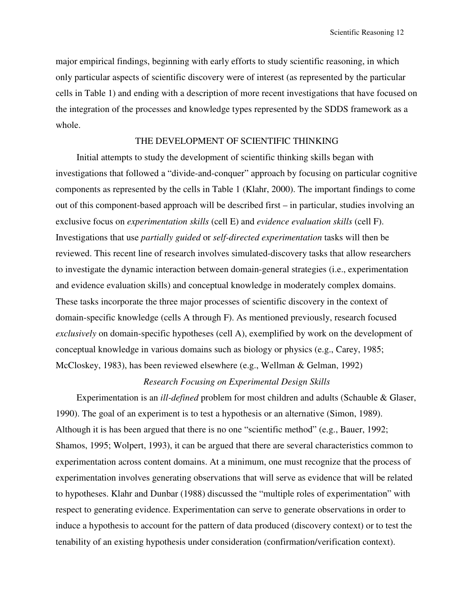major empirical findings, beginning with early efforts to study scientific reasoning, in which only particular aspects of scientific discovery were of interest (as represented by the particular cells in Table 1) and ending with a description of more recent investigations that have focused on the integration of the processes and knowledge types represented by the SDDS framework as a whole.

### THE DEVELOPMENT OF SCIENTIFIC THINKING

Initial attempts to study the development of scientific thinking skills began with investigations that followed a "divide-and-conquer" approach by focusing on particular cognitive components as represented by the cells in Table 1 (Klahr, 2000). The important findings to come out of this component-based approach will be described first – in particular, studies involving an exclusive focus on *experimentation skills* (cell E) and *evidence evaluation skills* (cell F). Investigations that use *partially guided* or *self-directed experimentation* tasks will then be reviewed. This recent line of research involves simulated-discovery tasks that allow researchers to investigate the dynamic interaction between domain-general strategies (i.e., experimentation and evidence evaluation skills) and conceptual knowledge in moderately complex domains. These tasks incorporate the three major processes of scientific discovery in the context of domain-specific knowledge (cells A through F). As mentioned previously, research focused *exclusively* on domain-specific hypotheses (cell A), exemplified by work on the development of conceptual knowledge in various domains such as biology or physics (e.g., Carey, 1985; McCloskey, 1983), has been reviewed elsewhere (e.g., Wellman & Gelman, 1992)

### *Research Focusing on Experimental Design Skills*

Experimentation is an *ill-defined* problem for most children and adults (Schauble & Glaser, 1990). The goal of an experiment is to test a hypothesis or an alternative (Simon, 1989). Although it is has been argued that there is no one "scientific method" (e.g., Bauer, 1992; Shamos, 1995; Wolpert, 1993), it can be argued that there are several characteristics common to experimentation across content domains. At a minimum, one must recognize that the process of experimentation involves generating observations that will serve as evidence that will be related to hypotheses. Klahr and Dunbar (1988) discussed the "multiple roles of experimentation" with respect to generating evidence. Experimentation can serve to generate observations in order to induce a hypothesis to account for the pattern of data produced (discovery context) or to test the tenability of an existing hypothesis under consideration (confirmation/verification context).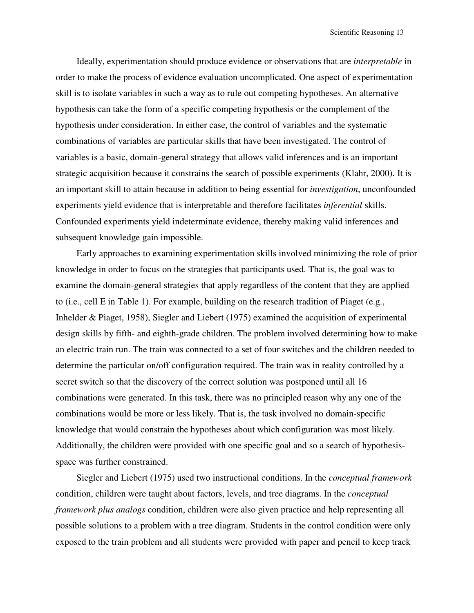Ideally, experimentation should produce evidence or observations that are *interpretable* in order to make the process of evidence evaluation uncomplicated. One aspect of experimentation skill is to isolate variables in such a way as to rule out competing hypotheses. An alternative hypothesis can take the form of a specific competing hypothesis or the complement of the hypothesis under consideration. In either case, the control of variables and the systematic combinations of variables are particular skills that have been investigated. The control of variables is a basic, domain-general strategy that allows valid inferences and is an important strategic acquisition because it constrains the search of possible experiments (Klahr, 2000). It is an important skill to attain because in addition to being essential for *investigation*, unconfounded experiments yield evidence that is interpretable and therefore facilitates *inferential* skills. Confounded experiments yield indeterminate evidence, thereby making valid inferences and subsequent knowledge gain impossible.

Early approaches to examining experimentation skills involved minimizing the role of prior knowledge in order to focus on the strategies that participants used. That is, the goal was to examine the domain-general strategies that apply regardless of the content that they are applied to (i.e., cell E in Table 1). For example, building on the research tradition of Piaget (e.g., Inhelder & Piaget, 1958), Siegler and Liebert (1975) examined the acquisition of experimental design skills by fifth- and eighth-grade children. The problem involved determining how to make an electric train run. The train was connected to a set of four switches and the children needed to determine the particular on/off configuration required. The train was in reality controlled by a secret switch so that the discovery of the correct solution was postponed until all 16 combinations were generated. In this task, there was no principled reason why any one of the combinations would be more or less likely. That is, the task involved no domain-specific knowledge that would constrain the hypotheses about which configuration was most likely. Additionally, the children were provided with one specific goal and so a search of hypothesisspace was further constrained.

Siegler and Liebert (1975) used two instructional conditions. In the *conceptual framework* condition, children were taught about factors, levels, and tree diagrams. In the *conceptual framework plus analogs* condition, children were also given practice and help representing all possible solutions to a problem with a tree diagram. Students in the control condition were only exposed to the train problem and all students were provided with paper and pencil to keep track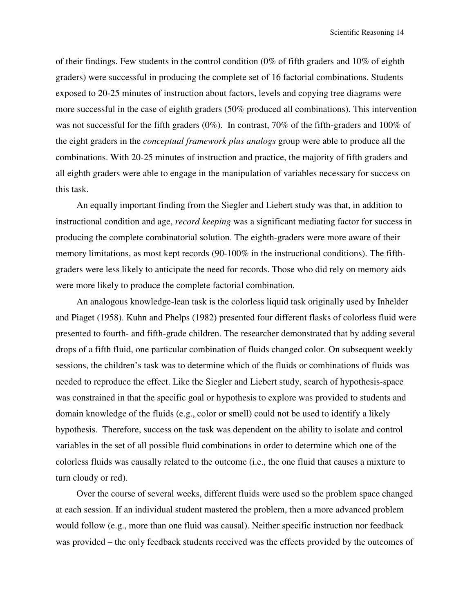of their findings. Few students in the control condition  $(0\%$  of fifth graders and  $10\%$  of eighth graders) were successful in producing the complete set of 16 factorial combinations. Students exposed to 20-25 minutes of instruction about factors, levels and copying tree diagrams were more successful in the case of eighth graders (50% produced all combinations). This intervention was not successful for the fifth graders (0%). In contrast, 70% of the fifth-graders and 100% of the eight graders in the *conceptual framework plus analogs* group were able to produce all the combinations. With 20-25 minutes of instruction and practice, the majority of fifth graders and all eighth graders were able to engage in the manipulation of variables necessary for success on this task.

An equally important finding from the Siegler and Liebert study was that, in addition to instructional condition and age, *record keeping* was a significant mediating factor for success in producing the complete combinatorial solution. The eighth-graders were more aware of their memory limitations, as most kept records (90-100% in the instructional conditions). The fifthgraders were less likely to anticipate the need for records. Those who did rely on memory aids were more likely to produce the complete factorial combination.

An analogous knowledge-lean task is the colorless liquid task originally used by Inhelder and Piaget (1958). Kuhn and Phelps (1982) presented four different flasks of colorless fluid were presented to fourth- and fifth-grade children. The researcher demonstrated that by adding several drops of a fifth fluid, one particular combination of fluids changed color. On subsequent weekly sessions, the children's task was to determine which of the fluids or combinations of fluids was needed to reproduce the effect. Like the Siegler and Liebert study, search of hypothesis-space was constrained in that the specific goal or hypothesis to explore was provided to students and domain knowledge of the fluids (e.g., color or smell) could not be used to identify a likely hypothesis. Therefore, success on the task was dependent on the ability to isolate and control variables in the set of all possible fluid combinations in order to determine which one of the colorless fluids was causally related to the outcome (i.e., the one fluid that causes a mixture to turn cloudy or red).

Over the course of several weeks, different fluids were used so the problem space changed at each session. If an individual student mastered the problem, then a more advanced problem would follow (e.g., more than one fluid was causal). Neither specific instruction nor feedback was provided – the only feedback students received was the effects provided by the outcomes of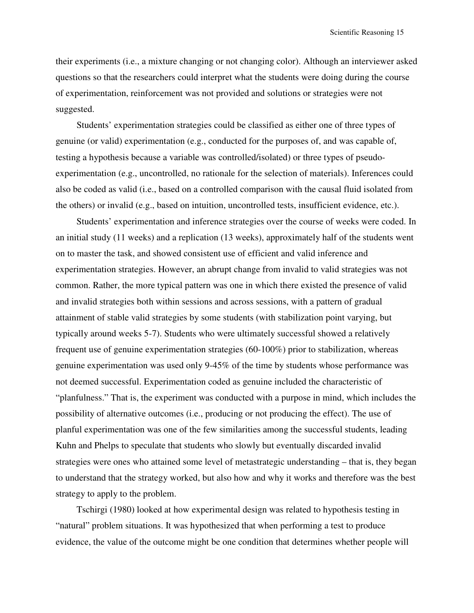their experiments (i.e., a mixture changing or not changing color). Although an interviewer asked questions so that the researchers could interpret what the students were doing during the course of experimentation, reinforcement was not provided and solutions or strategies were not suggested.

Students' experimentation strategies could be classified as either one of three types of genuine (or valid) experimentation (e.g., conducted for the purposes of, and was capable of, testing a hypothesis because a variable was controlled/isolated) or three types of pseudoexperimentation (e.g., uncontrolled, no rationale for the selection of materials). Inferences could also be coded as valid (i.e., based on a controlled comparison with the causal fluid isolated from the others) or invalid (e.g., based on intuition, uncontrolled tests, insufficient evidence, etc.).

Students' experimentation and inference strategies over the course of weeks were coded. In an initial study (11 weeks) and a replication (13 weeks), approximately half of the students went on to master the task, and showed consistent use of efficient and valid inference and experimentation strategies. However, an abrupt change from invalid to valid strategies was not common. Rather, the more typical pattern was one in which there existed the presence of valid and invalid strategies both within sessions and across sessions, with a pattern of gradual attainment of stable valid strategies by some students (with stabilization point varying, but typically around weeks 5-7). Students who were ultimately successful showed a relatively frequent use of genuine experimentation strategies (60-100%) prior to stabilization, whereas genuine experimentation was used only 9-45% of the time by students whose performance was not deemed successful. Experimentation coded as genuine included the characteristic of "planfulness." That is, the experiment was conducted with a purpose in mind, which includes the possibility of alternative outcomes (i.e., producing or not producing the effect). The use of planful experimentation was one of the few similarities among the successful students, leading Kuhn and Phelps to speculate that students who slowly but eventually discarded invalid strategies were ones who attained some level of metastrategic understanding – that is, they began to understand that the strategy worked, but also how and why it works and therefore was the best strategy to apply to the problem.

Tschirgi (1980) looked at how experimental design was related to hypothesis testing in "natural" problem situations. It was hypothesized that when performing a test to produce evidence, the value of the outcome might be one condition that determines whether people will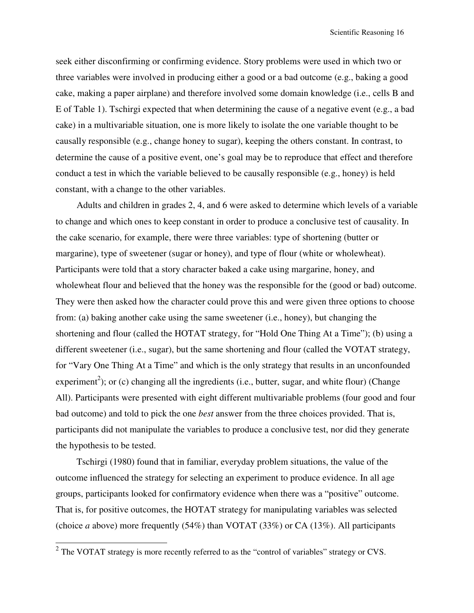seek either disconfirming or confirming evidence. Story problems were used in which two or three variables were involved in producing either a good or a bad outcome (e.g., baking a good cake, making a paper airplane) and therefore involved some domain knowledge (i.e., cells B and E of Table 1). Tschirgi expected that when determining the cause of a negative event (e.g., a bad cake) in a multivariable situation, one is more likely to isolate the one variable thought to be causally responsible (e.g., change honey to sugar), keeping the others constant. In contrast, to determine the cause of a positive event, one's goal may be to reproduce that effect and therefore conduct a test in which the variable believed to be causally responsible (e.g., honey) is held constant, with a change to the other variables.

Adults and children in grades 2, 4, and 6 were asked to determine which levels of a variable to change and which ones to keep constant in order to produce a conclusive test of causality. In the cake scenario, for example, there were three variables: type of shortening (butter or margarine), type of sweetener (sugar or honey), and type of flour (white or wholewheat). Participants were told that a story character baked a cake using margarine, honey, and wholewheat flour and believed that the honey was the responsible for the (good or bad) outcome. They were then asked how the character could prove this and were given three options to choose from: (a) baking another cake using the same sweetener (i.e., honey), but changing the shortening and flour (called the HOTAT strategy, for "Hold One Thing At a Time"); (b) using a different sweetener (i.e., sugar), but the same shortening and flour (called the VOTAT strategy, for "Vary One Thing At a Time" and which is the only strategy that results in an unconfounded experiment<sup>2</sup>); or (c) changing all the ingredients (i.e., butter, sugar, and white flour) (Change All). Participants were presented with eight different multivariable problems (four good and four bad outcome) and told to pick the one *best* answer from the three choices provided. That is, participants did not manipulate the variables to produce a conclusive test, nor did they generate the hypothesis to be tested.

Tschirgi (1980) found that in familiar, everyday problem situations, the value of the outcome influenced the strategy for selecting an experiment to produce evidence. In all age groups, participants looked for confirmatory evidence when there was a "positive" outcome. That is, for positive outcomes, the HOTAT strategy for manipulating variables was selected (choice *a* above) more frequently (54%) than VOTAT (33%) or CA (13%). All participants

 $2^2$  The VOTAT strategy is more recently referred to as the "control of variables" strategy or CVS.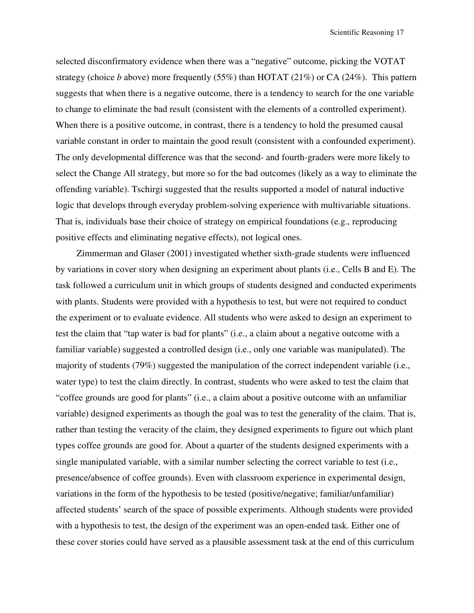selected disconfirmatory evidence when there was a "negative" outcome, picking the VOTAT strategy (choice *b* above) more frequently (55%) than HOTAT (21%) or CA (24%). This pattern suggests that when there is a negative outcome, there is a tendency to search for the one variable to change to eliminate the bad result (consistent with the elements of a controlled experiment). When there is a positive outcome, in contrast, there is a tendency to hold the presumed causal variable constant in order to maintain the good result (consistent with a confounded experiment). The only developmental difference was that the second- and fourth-graders were more likely to select the Change All strategy, but more so for the bad outcomes (likely as a way to eliminate the offending variable). Tschirgi suggested that the results supported a model of natural inductive logic that develops through everyday problem-solving experience with multivariable situations. That is, individuals base their choice of strategy on empirical foundations (e.g., reproducing positive effects and eliminating negative effects), not logical ones.

Zimmerman and Glaser (2001) investigated whether sixth-grade students were influenced by variations in cover story when designing an experiment about plants (i.e., Cells B and E). The task followed a curriculum unit in which groups of students designed and conducted experiments with plants. Students were provided with a hypothesis to test, but were not required to conduct the experiment or to evaluate evidence. All students who were asked to design an experiment to test the claim that "tap water is bad for plants" (i.e., a claim about a negative outcome with a familiar variable) suggested a controlled design (i.e., only one variable was manipulated). The majority of students (79%) suggested the manipulation of the correct independent variable (i.e., water type) to test the claim directly. In contrast, students who were asked to test the claim that "coffee grounds are good for plants" (i.e., a claim about a positive outcome with an unfamiliar variable) designed experiments as though the goal was to test the generality of the claim. That is, rather than testing the veracity of the claim, they designed experiments to figure out which plant types coffee grounds are good for. About a quarter of the students designed experiments with a single manipulated variable, with a similar number selecting the correct variable to test (i.e., presence/absence of coffee grounds). Even with classroom experience in experimental design, variations in the form of the hypothesis to be tested (positive/negative; familiar/unfamiliar) affected students' search of the space of possible experiments. Although students were provided with a hypothesis to test, the design of the experiment was an open-ended task. Either one of these cover stories could have served as a plausible assessment task at the end of this curriculum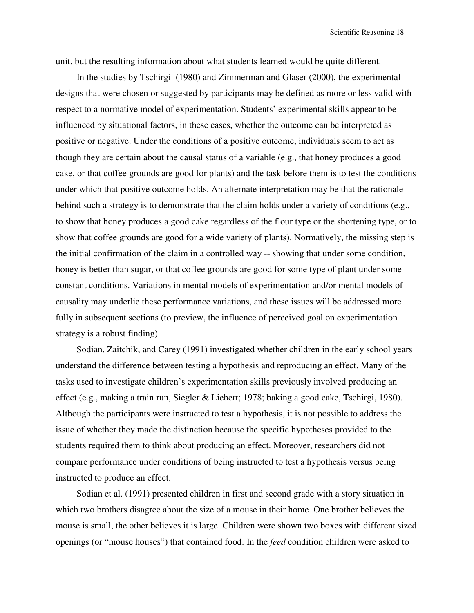unit, but the resulting information about what students learned would be quite different.

In the studies by Tschirgi (1980) and Zimmerman and Glaser (2000), the experimental designs that were chosen or suggested by participants may be defined as more or less valid with respect to a normative model of experimentation. Students' experimental skills appear to be influenced by situational factors, in these cases, whether the outcome can be interpreted as positive or negative. Under the conditions of a positive outcome, individuals seem to act as though they are certain about the causal status of a variable (e.g., that honey produces a good cake, or that coffee grounds are good for plants) and the task before them is to test the conditions under which that positive outcome holds. An alternate interpretation may be that the rationale behind such a strategy is to demonstrate that the claim holds under a variety of conditions (e.g., to show that honey produces a good cake regardless of the flour type or the shortening type, or to show that coffee grounds are good for a wide variety of plants). Normatively, the missing step is the initial confirmation of the claim in a controlled way -- showing that under some condition, honey is better than sugar, or that coffee grounds are good for some type of plant under some constant conditions. Variations in mental models of experimentation and/or mental models of causality may underlie these performance variations, and these issues will be addressed more fully in subsequent sections (to preview, the influence of perceived goal on experimentation strategy is a robust finding).

Sodian, Zaitchik, and Carey (1991) investigated whether children in the early school years understand the difference between testing a hypothesis and reproducing an effect. Many of the tasks used to investigate children's experimentation skills previously involved producing an effect (e.g., making a train run, Siegler & Liebert; 1978; baking a good cake, Tschirgi, 1980). Although the participants were instructed to test a hypothesis, it is not possible to address the issue of whether they made the distinction because the specific hypotheses provided to the students required them to think about producing an effect. Moreover, researchers did not compare performance under conditions of being instructed to test a hypothesis versus being instructed to produce an effect.

Sodian et al. (1991) presented children in first and second grade with a story situation in which two brothers disagree about the size of a mouse in their home. One brother believes the mouse is small, the other believes it is large. Children were shown two boxes with different sized openings (or "mouse houses") that contained food. In the *feed* condition children were asked to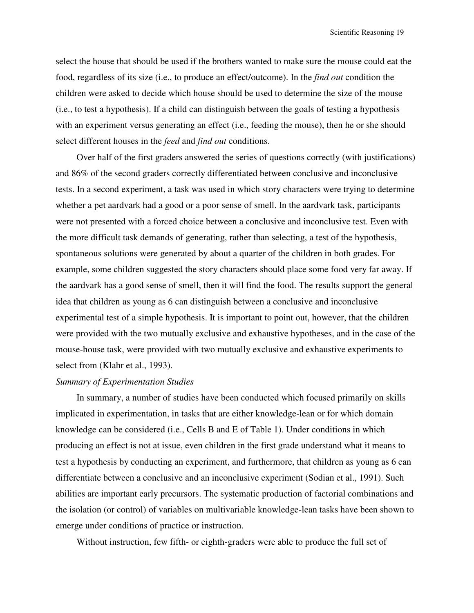select the house that should be used if the brothers wanted to make sure the mouse could eat the food, regardless of its size (i.e., to produce an effect/outcome). In the *find out* condition the children were asked to decide which house should be used to determine the size of the mouse (i.e., to test a hypothesis). If a child can distinguish between the goals of testing a hypothesis with an experiment versus generating an effect (i.e., feeding the mouse), then he or she should select different houses in the *feed* and *find out* conditions.

Over half of the first graders answered the series of questions correctly (with justifications) and 86% of the second graders correctly differentiated between conclusive and inconclusive tests. In a second experiment, a task was used in which story characters were trying to determine whether a pet aardvark had a good or a poor sense of smell. In the aardvark task, participants were not presented with a forced choice between a conclusive and inconclusive test. Even with the more difficult task demands of generating, rather than selecting, a test of the hypothesis, spontaneous solutions were generated by about a quarter of the children in both grades. For example, some children suggested the story characters should place some food very far away. If the aardvark has a good sense of smell, then it will find the food. The results support the general idea that children as young as 6 can distinguish between a conclusive and inconclusive experimental test of a simple hypothesis. It is important to point out, however, that the children were provided with the two mutually exclusive and exhaustive hypotheses, and in the case of the mouse-house task, were provided with two mutually exclusive and exhaustive experiments to select from (Klahr et al., 1993).

### *Summary of Experimentation Studies*

In summary, a number of studies have been conducted which focused primarily on skills implicated in experimentation, in tasks that are either knowledge-lean or for which domain knowledge can be considered (i.e., Cells B and E of Table 1). Under conditions in which producing an effect is not at issue, even children in the first grade understand what it means to test a hypothesis by conducting an experiment, and furthermore, that children as young as 6 can differentiate between a conclusive and an inconclusive experiment (Sodian et al., 1991). Such abilities are important early precursors. The systematic production of factorial combinations and the isolation (or control) of variables on multivariable knowledge-lean tasks have been shown to emerge under conditions of practice or instruction.

Without instruction, few fifth- or eighth-graders were able to produce the full set of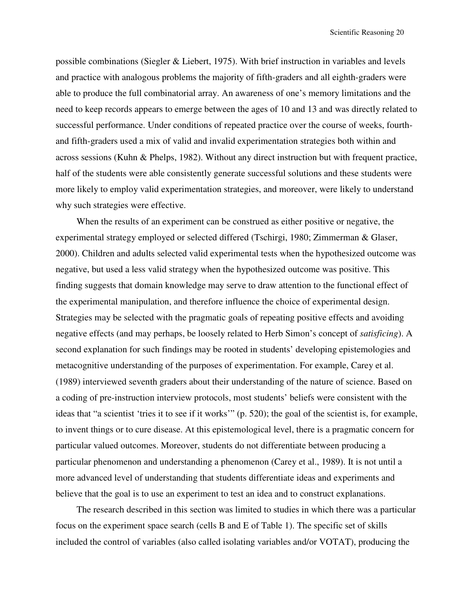possible combinations (Siegler & Liebert, 1975). With brief instruction in variables and levels and practice with analogous problems the majority of fifth-graders and all eighth-graders were able to produce the full combinatorial array. An awareness of one's memory limitations and the need to keep records appears to emerge between the ages of 10 and 13 and was directly related to successful performance. Under conditions of repeated practice over the course of weeks, fourthand fifth-graders used a mix of valid and invalid experimentation strategies both within and across sessions (Kuhn & Phelps, 1982). Without any direct instruction but with frequent practice, half of the students were able consistently generate successful solutions and these students were more likely to employ valid experimentation strategies, and moreover, were likely to understand why such strategies were effective.

When the results of an experiment can be construed as either positive or negative, the experimental strategy employed or selected differed (Tschirgi, 1980; Zimmerman & Glaser, 2000). Children and adults selected valid experimental tests when the hypothesized outcome was negative, but used a less valid strategy when the hypothesized outcome was positive. This finding suggests that domain knowledge may serve to draw attention to the functional effect of the experimental manipulation, and therefore influence the choice of experimental design. Strategies may be selected with the pragmatic goals of repeating positive effects and avoiding negative effects (and may perhaps, be loosely related to Herb Simon's concept of *satisficing*). A second explanation for such findings may be rooted in students' developing epistemologies and metacognitive understanding of the purposes of experimentation. For example, Carey et al. (1989) interviewed seventh graders about their understanding of the nature of science. Based on a coding of pre-instruction interview protocols, most students' beliefs were consistent with the ideas that "a scientist 'tries it to see if it works'" (p. 520); the goal of the scientist is, for example, to invent things or to cure disease. At this epistemological level, there is a pragmatic concern for particular valued outcomes. Moreover, students do not differentiate between producing a particular phenomenon and understanding a phenomenon (Carey et al., 1989). It is not until a more advanced level of understanding that students differentiate ideas and experiments and believe that the goal is to use an experiment to test an idea and to construct explanations.

The research described in this section was limited to studies in which there was a particular focus on the experiment space search (cells B and E of Table 1). The specific set of skills included the control of variables (also called isolating variables and/or VOTAT), producing the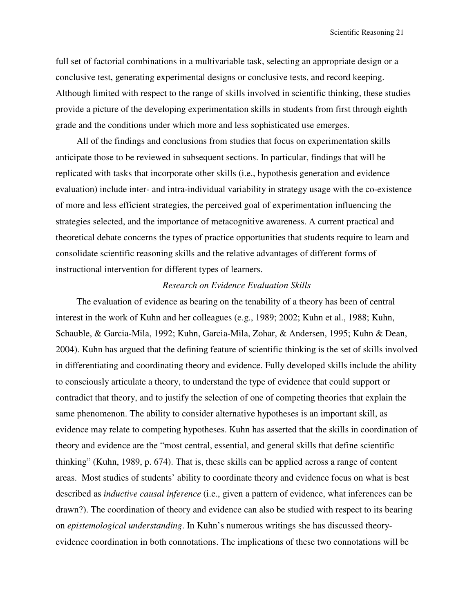full set of factorial combinations in a multivariable task, selecting an appropriate design or a conclusive test, generating experimental designs or conclusive tests, and record keeping. Although limited with respect to the range of skills involved in scientific thinking, these studies provide a picture of the developing experimentation skills in students from first through eighth grade and the conditions under which more and less sophisticated use emerges.

All of the findings and conclusions from studies that focus on experimentation skills anticipate those to be reviewed in subsequent sections. In particular, findings that will be replicated with tasks that incorporate other skills (i.e., hypothesis generation and evidence evaluation) include inter- and intra-individual variability in strategy usage with the co-existence of more and less efficient strategies, the perceived goal of experimentation influencing the strategies selected, and the importance of metacognitive awareness. A current practical and theoretical debate concerns the types of practice opportunities that students require to learn and consolidate scientific reasoning skills and the relative advantages of different forms of instructional intervention for different types of learners.

### *Research on Evidence Evaluation Skills*

The evaluation of evidence as bearing on the tenability of a theory has been of central interest in the work of Kuhn and her colleagues (e.g., 1989; 2002; Kuhn et al., 1988; Kuhn, Schauble, & Garcia-Mila, 1992; Kuhn, Garcia-Mila, Zohar, & Andersen, 1995; Kuhn & Dean, 2004). Kuhn has argued that the defining feature of scientific thinking is the set of skills involved in differentiating and coordinating theory and evidence. Fully developed skills include the ability to consciously articulate a theory, to understand the type of evidence that could support or contradict that theory, and to justify the selection of one of competing theories that explain the same phenomenon. The ability to consider alternative hypotheses is an important skill, as evidence may relate to competing hypotheses. Kuhn has asserted that the skills in coordination of theory and evidence are the "most central, essential, and general skills that define scientific thinking" (Kuhn, 1989, p. 674). That is, these skills can be applied across a range of content areas. Most studies of students' ability to coordinate theory and evidence focus on what is best described as *inductive causal inference* (i.e., given a pattern of evidence, what inferences can be drawn?). The coordination of theory and evidence can also be studied with respect to its bearing on *epistemological understanding*. In Kuhn's numerous writings she has discussed theoryevidence coordination in both connotations. The implications of these two connotations will be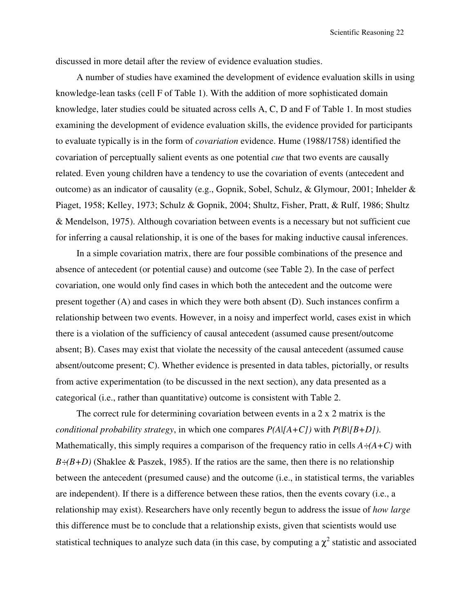discussed in more detail after the review of evidence evaluation studies.

A number of studies have examined the development of evidence evaluation skills in using knowledge-lean tasks (cell F of Table 1). With the addition of more sophisticated domain knowledge, later studies could be situated across cells A, C, D and F of Table 1. In most studies examining the development of evidence evaluation skills, the evidence provided for participants to evaluate typically is in the form of *covariation* evidence. Hume (1988/1758) identified the covariation of perceptually salient events as one potential *cue* that two events are causally related. Even young children have a tendency to use the covariation of events (antecedent and outcome) as an indicator of causality (e.g., Gopnik, Sobel, Schulz, & Glymour, 2001; Inhelder & Piaget, 1958; Kelley, 1973; Schulz & Gopnik, 2004; Shultz, Fisher, Pratt, & Rulf, 1986; Shultz & Mendelson, 1975). Although covariation between events is a necessary but not sufficient cue for inferring a causal relationship, it is one of the bases for making inductive causal inferences.

In a simple covariation matrix, there are four possible combinations of the presence and absence of antecedent (or potential cause) and outcome (see Table 2). In the case of perfect covariation, one would only find cases in which both the antecedent and the outcome were present together (A) and cases in which they were both absent (D). Such instances confirm a relationship between two events. However, in a noisy and imperfect world, cases exist in which there is a violation of the sufficiency of causal antecedent (assumed cause present/outcome absent; B). Cases may exist that violate the necessity of the causal antecedent (assumed cause absent/outcome present; C). Whether evidence is presented in data tables, pictorially, or results from active experimentation (to be discussed in the next section), any data presented as a categorical (i.e., rather than quantitative) outcome is consistent with Table 2.

The correct rule for determining covariation between events in a 2 x 2 matrix is the *conditional probability strategy*, in which one compares *P(A*|*[A+C])* with *P(B|[B+D])*. Mathematically, this simply requires a comparison of the frequency ratio in cells  $A \div (A+C)$  with  $B \div (B+D)$  (Shaklee & Paszek, 1985). If the ratios are the same, then there is no relationship between the antecedent (presumed cause) and the outcome (i.e., in statistical terms, the variables are independent). If there is a difference between these ratios, then the events covary (i.e., a relationship may exist). Researchers have only recently begun to address the issue of *how large* this difference must be to conclude that a relationship exists, given that scientists would use statistical techniques to analyze such data (in this case, by computing a  $\chi^2$  statistic and associated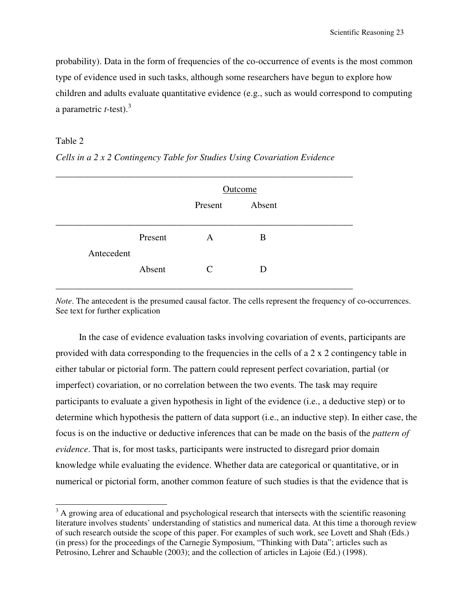probability). Data in the form of frequencies of the co-occurrence of events is the most common type of evidence used in such tasks, although some researchers have begun to explore how children and adults evaluate quantitative evidence (e.g., such as would correspond to computing a parametric *t*-test). 3

### Table 2

|            |         | Outcome |        |  |
|------------|---------|---------|--------|--|
|            |         | Present | Absent |  |
|            | Present | A       | B      |  |
| Antecedent | Absent  | C       | D      |  |

*Cells in a 2 x 2 Contingency Table for Studies Using Covariation Evidence*

*Note*. The antecedent is the presumed causal factor. The cells represent the frequency of co-occurrences. See text for further explication

In the case of evidence evaluation tasks involving covariation of events, participants are provided with data corresponding to the frequencies in the cells of a 2 x 2 contingency table in either tabular or pictorial form. The pattern could represent perfect covariation, partial (or imperfect) covariation, or no correlation between the two events. The task may require participants to evaluate a given hypothesis in light of the evidence (i.e., a deductive step) or to determine which hypothesis the pattern of data support (i.e., an inductive step). In either case, the focus is on the inductive or deductive inferences that can be made on the basis of the *pattern of evidence*. That is, for most tasks, participants were instructed to disregard prior domain knowledge while evaluating the evidence. Whether data are categorical or quantitative, or in numerical or pictorial form, another common feature of such studies is that the evidence that is

 $3 \text{ A}$  growing area of educational and psychological research that intersects with the scientific reasoning literature involves students' understanding of statistics and numerical data. At this time a thorough review of such research outside the scope of this paper. For examples of such work, see Lovett and Shah (Eds.) (in press) for the proceedings of the Carnegie Symposium, "Thinking with Data"; articles such as Petrosino, Lehrer and Schauble (2003); and the collection of articles in Lajoie (Ed.) (1998).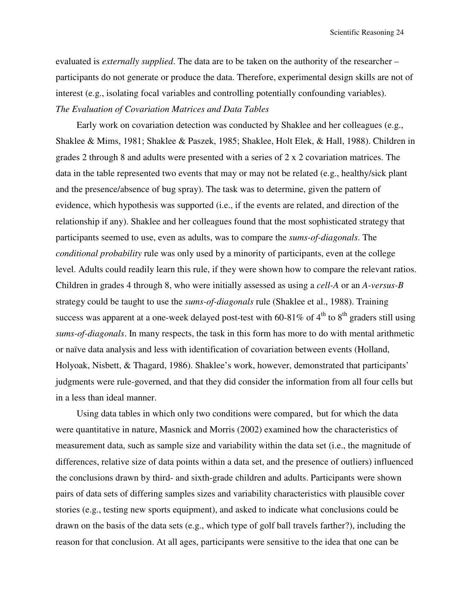evaluated is *externally supplied*. The data are to be taken on the authority of the researcher – participants do not generate or produce the data. Therefore, experimental design skills are not of interest (e.g., isolating focal variables and controlling potentially confounding variables). *The Evaluation of Covariation Matrices and Data Tables*

Early work on covariation detection was conducted by Shaklee and her colleagues (e.g., Shaklee & Mims, 1981; Shaklee & Paszek, 1985; Shaklee, Holt Elek, & Hall, 1988). Children in grades 2 through 8 and adults were presented with a series of 2 x 2 covariation matrices. The data in the table represented two events that may or may not be related (e.g., healthy/sick plant and the presence/absence of bug spray). The task was to determine, given the pattern of evidence, which hypothesis was supported (i.e., if the events are related, and direction of the relationship if any). Shaklee and her colleagues found that the most sophisticated strategy that participants seemed to use, even as adults, was to compare the *sums-of-diagonals*. The *conditional probability* rule was only used by a minority of participants, even at the college level. Adults could readily learn this rule, if they were shown how to compare the relevant ratios. Children in grades 4 through 8, who were initially assessed as using a *cell-A* or an *A-versus-B* strategy could be taught to use the *sums-of-diagonals* rule (Shaklee et al., 1988). Training success was apparent at a one-week delayed post-test with  $60-81\%$  of  $4^{\text{th}}$  to  $8^{\text{th}}$  graders still using *sums-of-diagonals*. In many respects, the task in this form has more to do with mental arithmetic or naïve data analysis and less with identification of covariation between events (Holland, Holyoak, Nisbett, & Thagard, 1986). Shaklee's work, however, demonstrated that participants' judgments were rule-governed, and that they did consider the information from all four cells but in a less than ideal manner.

Using data tables in which only two conditions were compared, but for which the data were quantitative in nature, Masnick and Morris (2002) examined how the characteristics of measurement data, such as sample size and variability within the data set (i.e., the magnitude of differences, relative size of data points within a data set, and the presence of outliers) influenced the conclusions drawn by third- and sixth-grade children and adults. Participants were shown pairs of data sets of differing samples sizes and variability characteristics with plausible cover stories (e.g., testing new sports equipment), and asked to indicate what conclusions could be drawn on the basis of the data sets (e.g., which type of golf ball travels farther?), including the reason for that conclusion. At all ages, participants were sensitive to the idea that one can be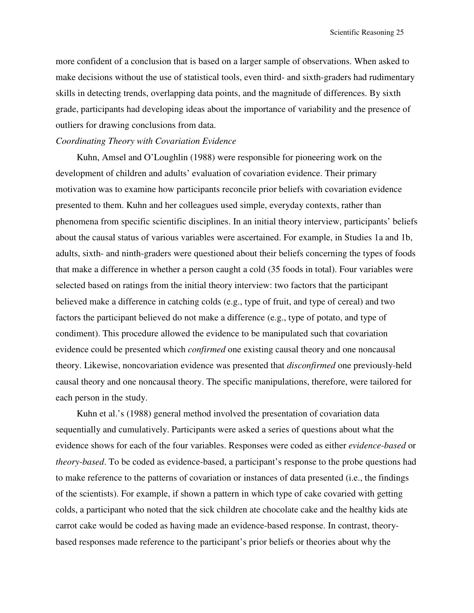more confident of a conclusion that is based on a larger sample of observations. When asked to make decisions without the use of statistical tools, even third- and sixth-graders had rudimentary skills in detecting trends, overlapping data points, and the magnitude of differences. By sixth grade, participants had developing ideas about the importance of variability and the presence of outliers for drawing conclusions from data.

### *Coordinating Theory with Covariation Evidence*

Kuhn, Amsel and O'Loughlin (1988) were responsible for pioneering work on the development of children and adults' evaluation of covariation evidence. Their primary motivation was to examine how participants reconcile prior beliefs with covariation evidence presented to them. Kuhn and her colleagues used simple, everyday contexts, rather than phenomena from specific scientific disciplines. In an initial theory interview, participants' beliefs about the causal status of various variables were ascertained. For example, in Studies 1a and 1b, adults, sixth- and ninth-graders were questioned about their beliefs concerning the types of foods that make a difference in whether a person caught a cold (35 foods in total). Four variables were selected based on ratings from the initial theory interview: two factors that the participant believed make a difference in catching colds (e.g., type of fruit, and type of cereal) and two factors the participant believed do not make a difference (e.g., type of potato, and type of condiment). This procedure allowed the evidence to be manipulated such that covariation evidence could be presented which *confirmed* one existing causal theory and one noncausal theory. Likewise, noncovariation evidence was presented that *disconfirmed* one previously-held causal theory and one noncausal theory. The specific manipulations, therefore, were tailored for each person in the study.

Kuhn et al.'s (1988) general method involved the presentation of covariation data sequentially and cumulatively. Participants were asked a series of questions about what the evidence shows for each of the four variables. Responses were coded as either *evidence-based* or *theory-based*. To be coded as evidence-based, a participant's response to the probe questions had to make reference to the patterns of covariation or instances of data presented (i.e., the findings of the scientists). For example, if shown a pattern in which type of cake covaried with getting colds, a participant who noted that the sick children ate chocolate cake and the healthy kids ate carrot cake would be coded as having made an evidence-based response. In contrast, theorybased responses made reference to the participant's prior beliefs or theories about why the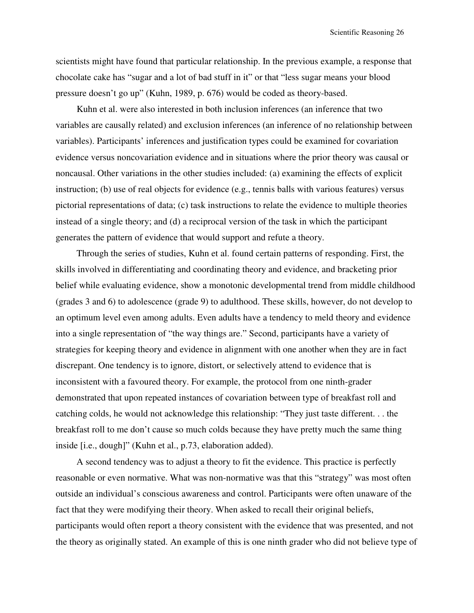scientists might have found that particular relationship. In the previous example, a response that chocolate cake has "sugar and a lot of bad stuff in it" or that "less sugar means your blood pressure doesn't go up" (Kuhn, 1989, p. 676) would be coded as theory-based.

Kuhn et al. were also interested in both inclusion inferences (an inference that two variables are causally related) and exclusion inferences (an inference of no relationship between variables). Participants' inferences and justification types could be examined for covariation evidence versus noncovariation evidence and in situations where the prior theory was causal or noncausal. Other variations in the other studies included: (a) examining the effects of explicit instruction; (b) use of real objects for evidence (e.g., tennis balls with various features) versus pictorial representations of data; (c) task instructions to relate the evidence to multiple theories instead of a single theory; and (d) a reciprocal version of the task in which the participant generates the pattern of evidence that would support and refute a theory.

Through the series of studies, Kuhn et al. found certain patterns of responding. First, the skills involved in differentiating and coordinating theory and evidence, and bracketing prior belief while evaluating evidence, show a monotonic developmental trend from middle childhood (grades 3 and 6) to adolescence (grade 9) to adulthood. These skills, however, do not develop to an optimum level even among adults. Even adults have a tendency to meld theory and evidence into a single representation of "the way things are." Second, participants have a variety of strategies for keeping theory and evidence in alignment with one another when they are in fact discrepant. One tendency is to ignore, distort, or selectively attend to evidence that is inconsistent with a favoured theory. For example, the protocol from one ninth-grader demonstrated that upon repeated instances of covariation between type of breakfast roll and catching colds, he would not acknowledge this relationship: "They just taste different. . . the breakfast roll to me don't cause so much colds because they have pretty much the same thing inside [i.e., dough]" (Kuhn et al., p.73, elaboration added).

A second tendency was to adjust a theory to fit the evidence. This practice is perfectly reasonable or even normative. What was non-normative was that this "strategy" was most often outside an individual's conscious awareness and control. Participants were often unaware of the fact that they were modifying their theory. When asked to recall their original beliefs, participants would often report a theory consistent with the evidence that was presented, and not the theory as originally stated. An example of this is one ninth grader who did not believe type of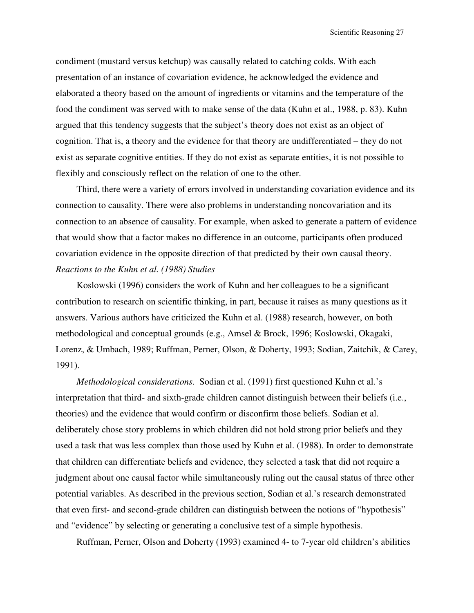condiment (mustard versus ketchup) was causally related to catching colds. With each presentation of an instance of covariation evidence, he acknowledged the evidence and elaborated a theory based on the amount of ingredients or vitamins and the temperature of the food the condiment was served with to make sense of the data (Kuhn et al., 1988, p. 83). Kuhn argued that this tendency suggests that the subject's theory does not exist as an object of cognition. That is, a theory and the evidence for that theory are undifferentiated – they do not exist as separate cognitive entities. If they do not exist as separate entities, it is not possible to flexibly and consciously reflect on the relation of one to the other.

Third, there were a variety of errors involved in understanding covariation evidence and its connection to causality. There were also problems in understanding noncovariation and its connection to an absence of causality. For example, when asked to generate a pattern of evidence that would show that a factor makes no difference in an outcome, participants often produced covariation evidence in the opposite direction of that predicted by their own causal theory. *Reactions to the Kuhn et al. (1988) Studies*

Koslowski (1996) considers the work of Kuhn and her colleagues to be a significant contribution to research on scientific thinking, in part, because it raises as many questions as it answers. Various authors have criticized the Kuhn et al. (1988) research, however, on both methodological and conceptual grounds (e.g., Amsel & Brock, 1996; Koslowski, Okagaki, Lorenz, & Umbach, 1989; Ruffman, Perner, Olson, & Doherty, 1993; Sodian, Zaitchik, & Carey, 1991).

*Methodological considerations*. Sodian et al. (1991) first questioned Kuhn et al.'s interpretation that third- and sixth-grade children cannot distinguish between their beliefs (i.e., theories) and the evidence that would confirm or disconfirm those beliefs. Sodian et al. deliberately chose story problems in which children did not hold strong prior beliefs and they used a task that was less complex than those used by Kuhn et al. (1988). In order to demonstrate that children can differentiate beliefs and evidence, they selected a task that did not require a judgment about one causal factor while simultaneously ruling out the causal status of three other potential variables. As described in the previous section, Sodian et al.'s research demonstrated that even first- and second-grade children can distinguish between the notions of "hypothesis" and "evidence" by selecting or generating a conclusive test of a simple hypothesis.

Ruffman, Perner, Olson and Doherty (1993) examined 4- to 7-year old children's abilities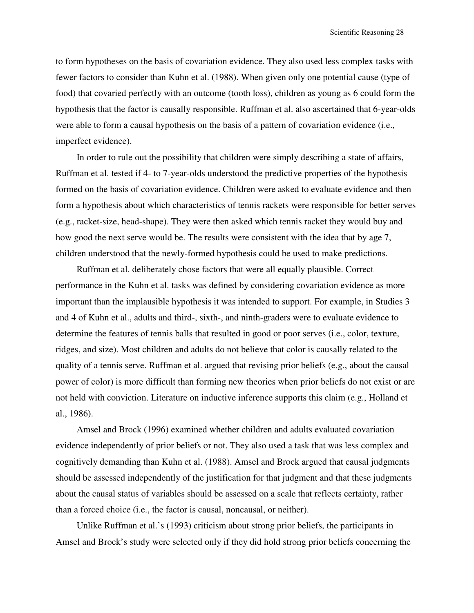to form hypotheses on the basis of covariation evidence. They also used less complex tasks with fewer factors to consider than Kuhn et al. (1988). When given only one potential cause (type of food) that covaried perfectly with an outcome (tooth loss), children as young as 6 could form the hypothesis that the factor is causally responsible. Ruffman et al. also ascertained that 6-year-olds were able to form a causal hypothesis on the basis of a pattern of covariation evidence (i.e., imperfect evidence).

In order to rule out the possibility that children were simply describing a state of affairs, Ruffman et al. tested if 4- to 7-year-olds understood the predictive properties of the hypothesis formed on the basis of covariation evidence. Children were asked to evaluate evidence and then form a hypothesis about which characteristics of tennis rackets were responsible for better serves (e.g., racket-size, head-shape). They were then asked which tennis racket they would buy and how good the next serve would be. The results were consistent with the idea that by age 7, children understood that the newly-formed hypothesis could be used to make predictions.

Ruffman et al. deliberately chose factors that were all equally plausible. Correct performance in the Kuhn et al. tasks was defined by considering covariation evidence as more important than the implausible hypothesis it was intended to support. For example, in Studies 3 and 4 of Kuhn et al., adults and third-, sixth-, and ninth-graders were to evaluate evidence to determine the features of tennis balls that resulted in good or poor serves (i.e., color, texture, ridges, and size). Most children and adults do not believe that color is causally related to the quality of a tennis serve. Ruffman et al. argued that revising prior beliefs (e.g., about the causal power of color) is more difficult than forming new theories when prior beliefs do not exist or are not held with conviction. Literature on inductive inference supports this claim (e.g., Holland et al., 1986).

Amsel and Brock (1996) examined whether children and adults evaluated covariation evidence independently of prior beliefs or not. They also used a task that was less complex and cognitively demanding than Kuhn et al. (1988). Amsel and Brock argued that causal judgments should be assessed independently of the justification for that judgment and that these judgments about the causal status of variables should be assessed on a scale that reflects certainty, rather than a forced choice (i.e., the factor is causal, noncausal, or neither).

Unlike Ruffman et al.'s (1993) criticism about strong prior beliefs, the participants in Amsel and Brock's study were selected only if they did hold strong prior beliefs concerning the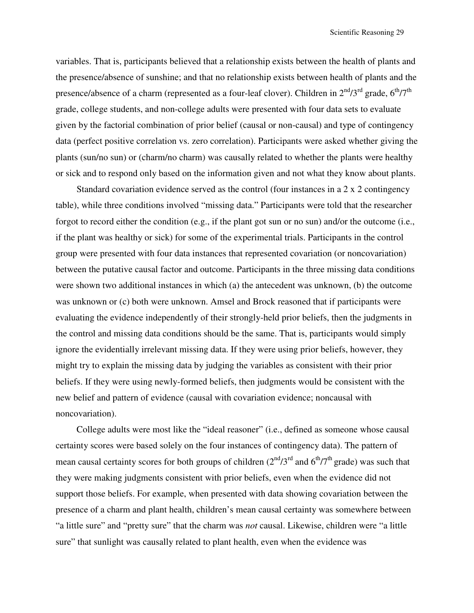variables. That is, participants believed that a relationship exists between the health of plants and the presence/absence of sunshine; and that no relationship exists between health of plants and the presence/absence of a charm (represented as a four-leaf clover). Children in  $2^{nd}/3^{rd}$  grade,  $6^{th}/7^{th}$ grade, college students, and non-college adults were presented with four data sets to evaluate given by the factorial combination of prior belief (causal or non-causal) and type of contingency data (perfect positive correlation vs. zero correlation). Participants were asked whether giving the plants (sun/no sun) or (charm/no charm) was causally related to whether the plants were healthy or sick and to respond only based on the information given and not what they know about plants.

Standard covariation evidence served as the control (four instances in a 2 x 2 contingency table), while three conditions involved "missing data." Participants were told that the researcher forgot to record either the condition (e.g., if the plant got sun or no sun) and/or the outcome (i.e., if the plant was healthy or sick) for some of the experimental trials. Participants in the control group were presented with four data instances that represented covariation (or noncovariation) between the putative causal factor and outcome. Participants in the three missing data conditions were shown two additional instances in which (a) the antecedent was unknown, (b) the outcome was unknown or (c) both were unknown. Amsel and Brock reasoned that if participants were evaluating the evidence independently of their strongly-held prior beliefs, then the judgments in the control and missing data conditions should be the same. That is, participants would simply ignore the evidentially irrelevant missing data. If they were using prior beliefs, however, they might try to explain the missing data by judging the variables as consistent with their prior beliefs. If they were using newly-formed beliefs, then judgments would be consistent with the new belief and pattern of evidence (causal with covariation evidence; noncausal with noncovariation).

College adults were most like the "ideal reasoner" (i.e., defined as someone whose causal certainty scores were based solely on the four instances of contingency data). The pattern of mean causal certainty scores for both groups of children  $(2^{nd}/3^{rd})$  and  $6^{th}/7^{th}$  grade) was such that they were making judgments consistent with prior beliefs, even when the evidence did not support those beliefs. For example, when presented with data showing covariation between the presence of a charm and plant health, children's mean causal certainty was somewhere between "a little sure" and "pretty sure" that the charm was *not* causal. Likewise, children were "a little sure" that sunlight was causally related to plant health, even when the evidence was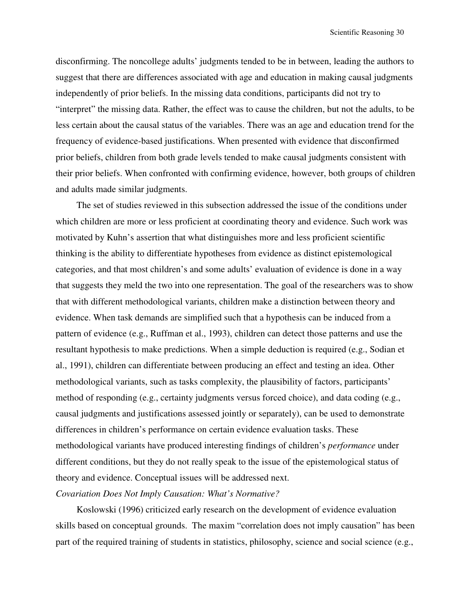disconfirming. The noncollege adults' judgments tended to be in between, leading the authors to suggest that there are differences associated with age and education in making causal judgments independently of prior beliefs. In the missing data conditions, participants did not try to "interpret" the missing data. Rather, the effect was to cause the children, but not the adults, to be less certain about the causal status of the variables. There was an age and education trend for the frequency of evidence-based justifications. When presented with evidence that disconfirmed prior beliefs, children from both grade levels tended to make causal judgments consistent with their prior beliefs. When confronted with confirming evidence, however, both groups of children and adults made similar judgments.

The set of studies reviewed in this subsection addressed the issue of the conditions under which children are more or less proficient at coordinating theory and evidence. Such work was motivated by Kuhn's assertion that what distinguishes more and less proficient scientific thinking is the ability to differentiate hypotheses from evidence as distinct epistemological categories, and that most children's and some adults' evaluation of evidence is done in a way that suggests they meld the two into one representation. The goal of the researchers was to show that with different methodological variants, children make a distinction between theory and evidence. When task demands are simplified such that a hypothesis can be induced from a pattern of evidence (e.g., Ruffman et al., 1993), children can detect those patterns and use the resultant hypothesis to make predictions. When a simple deduction is required (e.g., Sodian et al., 1991), children can differentiate between producing an effect and testing an idea. Other methodological variants, such as tasks complexity, the plausibility of factors, participants' method of responding (e.g., certainty judgments versus forced choice), and data coding (e.g., causal judgments and justifications assessed jointly or separately), can be used to demonstrate differences in children's performance on certain evidence evaluation tasks. These methodological variants have produced interesting findings of children's *performance* under different conditions, but they do not really speak to the issue of the epistemological status of theory and evidence. Conceptual issues will be addressed next.

### *Covariation Does Not Imply Causation: What's Normative?*

Koslowski (1996) criticized early research on the development of evidence evaluation skills based on conceptual grounds. The maxim "correlation does not imply causation" has been part of the required training of students in statistics, philosophy, science and social science (e.g.,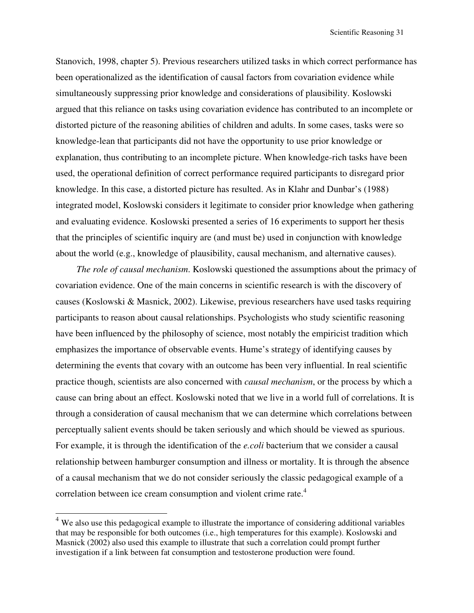Stanovich, 1998, chapter 5). Previous researchers utilized tasks in which correct performance has been operationalized as the identification of causal factors from covariation evidence while simultaneously suppressing prior knowledge and considerations of plausibility. Koslowski argued that this reliance on tasks using covariation evidence has contributed to an incomplete or distorted picture of the reasoning abilities of children and adults. In some cases, tasks were so knowledge-lean that participants did not have the opportunity to use prior knowledge or explanation, thus contributing to an incomplete picture. When knowledge-rich tasks have been used, the operational definition of correct performance required participants to disregard prior knowledge. In this case, a distorted picture has resulted. As in Klahr and Dunbar's (1988) integrated model, Koslowski considers it legitimate to consider prior knowledge when gathering and evaluating evidence. Koslowski presented a series of 16 experiments to support her thesis that the principles of scientific inquiry are (and must be) used in conjunction with knowledge about the world (e.g., knowledge of plausibility, causal mechanism, and alternative causes).

*The role of causal mechanism*. Koslowski questioned the assumptions about the primacy of covariation evidence. One of the main concerns in scientific research is with the discovery of causes (Koslowski & Masnick, 2002). Likewise, previous researchers have used tasks requiring participants to reason about causal relationships. Psychologists who study scientific reasoning have been influenced by the philosophy of science, most notably the empiricist tradition which emphasizes the importance of observable events. Hume's strategy of identifying causes by determining the events that covary with an outcome has been very influential. In real scientific practice though, scientists are also concerned with *causal mechanism*, or the process by which a cause can bring about an effect. Koslowski noted that we live in a world full of correlations. It is through a consideration of causal mechanism that we can determine which correlations between perceptually salient events should be taken seriously and which should be viewed as spurious. For example, it is through the identification of the *e.coli* bacterium that we consider a causal relationship between hamburger consumption and illness or mortality. It is through the absence of a causal mechanism that we do not consider seriously the classic pedagogical example of a correlation between ice cream consumption and violent crime rate. 4

 $4$  We also use this pedagogical example to illustrate the importance of considering additional variables that may be responsible for both outcomes (i.e., high temperatures for this example). Koslowski and Masnick (2002) also used this example to illustrate that such a correlation could prompt further investigation if a link between fat consumption and testosterone production were found.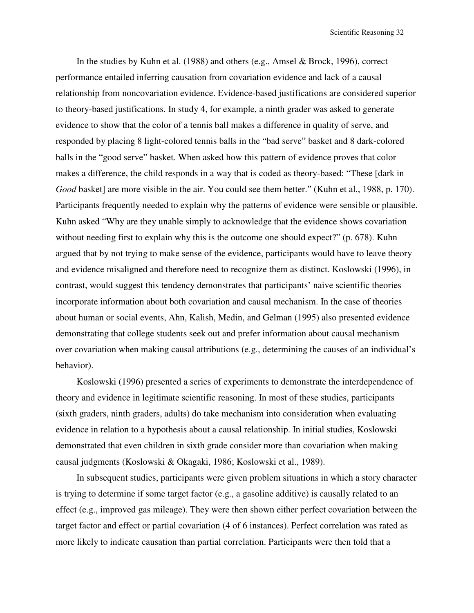In the studies by Kuhn et al. (1988) and others (e.g., Amsel & Brock, 1996), correct performance entailed inferring causation from covariation evidence and lack of a causal relationship from noncovariation evidence. Evidence-based justifications are considered superior to theory-based justifications. In study 4, for example, a ninth grader was asked to generate evidence to show that the color of a tennis ball makes a difference in quality of serve, and responded by placing 8 light-colored tennis balls in the "bad serve" basket and 8 dark-colored balls in the "good serve" basket. When asked how this pattern of evidence proves that color makes a difference, the child responds in a way that is coded as theory-based: "These [dark in *Good* basket] are more visible in the air. You could see them better." (Kuhn et al., 1988, p. 170). Participants frequently needed to explain why the patterns of evidence were sensible or plausible. Kuhn asked "Why are they unable simply to acknowledge that the evidence shows covariation without needing first to explain why this is the outcome one should expect?" (p. 678). Kuhn argued that by not trying to make sense of the evidence, participants would have to leave theory and evidence misaligned and therefore need to recognize them as distinct. Koslowski (1996), in contrast, would suggest this tendency demonstrates that participants' naive scientific theories incorporate information about both covariation and causal mechanism. In the case of theories about human or social events, Ahn, Kalish, Medin, and Gelman (1995) also presented evidence demonstrating that college students seek out and prefer information about causal mechanism over covariation when making causal attributions (e.g., determining the causes of an individual's behavior).

Koslowski (1996) presented a series of experiments to demonstrate the interdependence of theory and evidence in legitimate scientific reasoning. In most of these studies, participants (sixth graders, ninth graders, adults) do take mechanism into consideration when evaluating evidence in relation to a hypothesis about a causal relationship. In initial studies, Koslowski demonstrated that even children in sixth grade consider more than covariation when making causal judgments (Koslowski & Okagaki, 1986; Koslowski et al., 1989).

In subsequent studies, participants were given problem situations in which a story character is trying to determine if some target factor (e.g., a gasoline additive) is causally related to an effect (e.g., improved gas mileage). They were then shown either perfect covariation between the target factor and effect or partial covariation (4 of 6 instances). Perfect correlation was rated as more likely to indicate causation than partial correlation. Participants were then told that a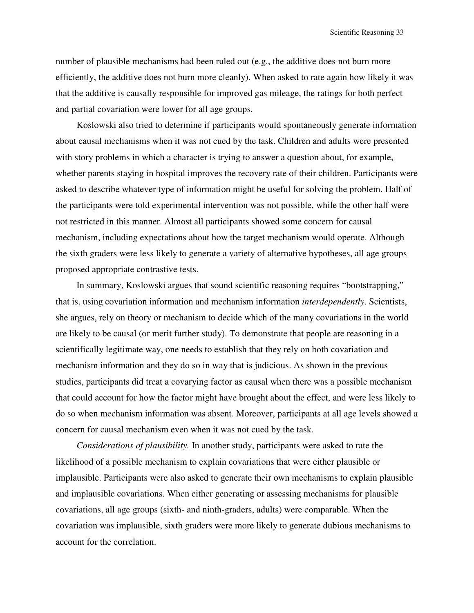number of plausible mechanisms had been ruled out (e.g., the additive does not burn more efficiently, the additive does not burn more cleanly). When asked to rate again how likely it was that the additive is causally responsible for improved gas mileage, the ratings for both perfect and partial covariation were lower for all age groups.

Koslowski also tried to determine if participants would spontaneously generate information about causal mechanisms when it was not cued by the task. Children and adults were presented with story problems in which a character is trying to answer a question about, for example, whether parents staying in hospital improves the recovery rate of their children. Participants were asked to describe whatever type of information might be useful for solving the problem. Half of the participants were told experimental intervention was not possible, while the other half were not restricted in this manner. Almost all participants showed some concern for causal mechanism, including expectations about how the target mechanism would operate. Although the sixth graders were less likely to generate a variety of alternative hypotheses, all age groups proposed appropriate contrastive tests.

In summary, Koslowski argues that sound scientific reasoning requires "bootstrapping," that is, using covariation information and mechanism information *interdependently*. Scientists, she argues, rely on theory or mechanism to decide which of the many covariations in the world are likely to be causal (or merit further study). To demonstrate that people are reasoning in a scientifically legitimate way, one needs to establish that they rely on both covariation and mechanism information and they do so in way that is judicious. As shown in the previous studies, participants did treat a covarying factor as causal when there was a possible mechanism that could account for how the factor might have brought about the effect, and were less likely to do so when mechanism information was absent. Moreover, participants at all age levels showed a concern for causal mechanism even when it was not cued by the task.

*Considerations of plausibility.* In another study, participants were asked to rate the likelihood of a possible mechanism to explain covariations that were either plausible or implausible. Participants were also asked to generate their own mechanisms to explain plausible and implausible covariations. When either generating or assessing mechanisms for plausible covariations, all age groups (sixth- and ninth-graders, adults) were comparable. When the covariation was implausible, sixth graders were more likely to generate dubious mechanisms to account for the correlation.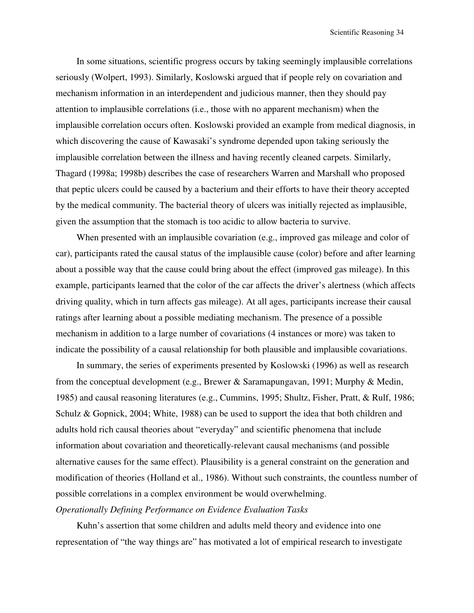In some situations, scientific progress occurs by taking seemingly implausible correlations seriously (Wolpert, 1993). Similarly, Koslowski argued that if people rely on covariation and mechanism information in an interdependent and judicious manner, then they should pay attention to implausible correlations (i.e., those with no apparent mechanism) when the implausible correlation occurs often. Koslowski provided an example from medical diagnosis, in which discovering the cause of Kawasaki's syndrome depended upon taking seriously the implausible correlation between the illness and having recently cleaned carpets. Similarly, Thagard (1998a; 1998b) describes the case of researchers Warren and Marshall who proposed that peptic ulcers could be caused by a bacterium and their efforts to have their theory accepted by the medical community. The bacterial theory of ulcers was initially rejected as implausible, given the assumption that the stomach is too acidic to allow bacteria to survive.

When presented with an implausible covariation (e.g., improved gas mileage and color of car), participants rated the causal status of the implausible cause (color) before and after learning about a possible way that the cause could bring about the effect (improved gas mileage). In this example, participants learned that the color of the car affects the driver's alertness (which affects driving quality, which in turn affects gas mileage). At all ages, participants increase their causal ratings after learning about a possible mediating mechanism. The presence of a possible mechanism in addition to a large number of covariations (4 instances or more) was taken to indicate the possibility of a causal relationship for both plausible and implausible covariations.

In summary, the series of experiments presented by Koslowski (1996) as well as research from the conceptual development (e.g., Brewer & Saramapungavan, 1991; Murphy & Medin, 1985) and causal reasoning literatures (e.g., Cummins, 1995; Shultz, Fisher, Pratt, & Rulf, 1986; Schulz & Gopnick, 2004; White, 1988) can be used to support the idea that both children and adults hold rich causal theories about "everyday" and scientific phenomena that include information about covariation and theoretically-relevant causal mechanisms (and possible alternative causes for the same effect). Plausibility is a general constraint on the generation and modification of theories (Holland et al., 1986). Without such constraints, the countless number of possible correlations in a complex environment be would overwhelming. *Operationally Defining Performance on Evidence Evaluation Tasks*

Kuhn's assertion that some children and adults meld theory and evidence into one representation of "the way things are" has motivated a lot of empirical research to investigate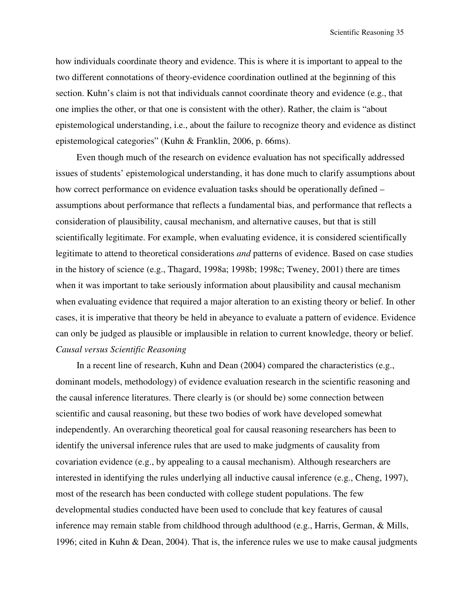how individuals coordinate theory and evidence. This is where it is important to appeal to the two different connotations of theory-evidence coordination outlined at the beginning of this section. Kuhn's claim is not that individuals cannot coordinate theory and evidence (e.g., that one implies the other, or that one is consistent with the other). Rather, the claim is "about epistemological understanding, i.e., about the failure to recognize theory and evidence as distinct epistemological categories" (Kuhn & Franklin, 2006, p. 66ms).

Even though much of the research on evidence evaluation has not specifically addressed issues of students' epistemological understanding, it has done much to clarify assumptions about how correct performance on evidence evaluation tasks should be operationally defined – assumptions about performance that reflects a fundamental bias, and performance that reflects a consideration of plausibility, causal mechanism, and alternative causes, but that is still scientifically legitimate. For example, when evaluating evidence, it is considered scientifically legitimate to attend to theoretical considerations *and* patterns of evidence. Based on case studies in the history of science (e.g., Thagard, 1998a; 1998b; 1998c; Tweney, 2001) there are times when it was important to take seriously information about plausibility and causal mechanism when evaluating evidence that required a major alteration to an existing theory or belief. In other cases, it is imperative that theory be held in abeyance to evaluate a pattern of evidence. Evidence can only be judged as plausible or implausible in relation to current knowledge, theory or belief. *Causal versus Scientific Reasoning*

In a recent line of research, Kuhn and Dean (2004) compared the characteristics (e.g., dominant models, methodology) of evidence evaluation research in the scientific reasoning and the causal inference literatures. There clearly is (or should be) some connection between scientific and causal reasoning, but these two bodies of work have developed somewhat independently. An overarching theoretical goal for causal reasoning researchers has been to identify the universal inference rules that are used to make judgments of causality from covariation evidence (e.g., by appealing to a causal mechanism). Although researchers are interested in identifying the rules underlying all inductive causal inference (e.g., Cheng, 1997), most of the research has been conducted with college student populations. The few developmental studies conducted have been used to conclude that key features of causal inference may remain stable from childhood through adulthood (e.g., Harris, German, & Mills, 1996; cited in Kuhn & Dean, 2004). That is, the inference rules we use to make causal judgments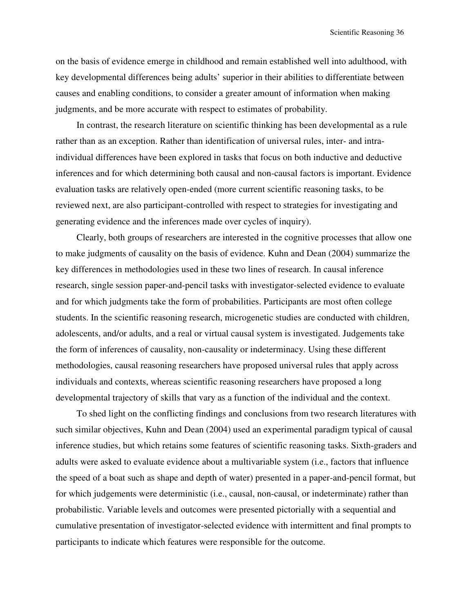on the basis of evidence emerge in childhood and remain established well into adulthood, with key developmental differences being adults' superior in their abilities to differentiate between causes and enabling conditions, to consider a greater amount of information when making judgments, and be more accurate with respect to estimates of probability.

In contrast, the research literature on scientific thinking has been developmental as a rule rather than as an exception. Rather than identification of universal rules, inter- and intraindividual differences have been explored in tasks that focus on both inductive and deductive inferences and for which determining both causal and non-causal factors is important. Evidence evaluation tasks are relatively open-ended (more current scientific reasoning tasks, to be reviewed next, are also participant-controlled with respect to strategies for investigating and generating evidence and the inferences made over cycles of inquiry).

Clearly, both groups of researchers are interested in the cognitive processes that allow one to make judgments of causality on the basis of evidence. Kuhn and Dean (2004) summarize the key differences in methodologies used in these two lines of research. In causal inference research, single session paper-and-pencil tasks with investigator-selected evidence to evaluate and for which judgments take the form of probabilities. Participants are most often college students. In the scientific reasoning research, microgenetic studies are conducted with children, adolescents, and/or adults, and a real or virtual causal system is investigated. Judgements take the form of inferences of causality, non-causality or indeterminacy. Using these different methodologies, causal reasoning researchers have proposed universal rules that apply across individuals and contexts, whereas scientific reasoning researchers have proposed a long developmental trajectory of skills that vary as a function of the individual and the context.

To shed light on the conflicting findings and conclusions from two research literatures with such similar objectives, Kuhn and Dean (2004) used an experimental paradigm typical of causal inference studies, but which retains some features of scientific reasoning tasks. Sixth-graders and adults were asked to evaluate evidence about a multivariable system (i.e., factors that influence the speed of a boat such as shape and depth of water) presented in a paper-and-pencil format, but for which judgements were deterministic (i.e., causal, non-causal, or indeterminate) rather than probabilistic. Variable levels and outcomes were presented pictorially with a sequential and cumulative presentation of investigator-selected evidence with intermittent and final prompts to participants to indicate which features were responsible for the outcome.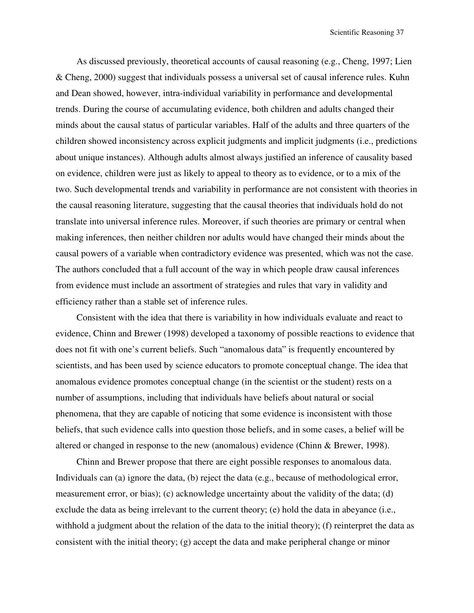As discussed previously, theoretical accounts of causal reasoning (e.g., Cheng, 1997; Lien & Cheng, 2000) suggest that individuals possess a universal set of causal inference rules. Kuhn and Dean showed, however, intra-individual variability in performance and developmental trends. During the course of accumulating evidence, both children and adults changed their minds about the causal status of particular variables. Half of the adults and three quarters of the children showed inconsistency across explicit judgments and implicit judgments (i.e., predictions about unique instances). Although adults almost always justified an inference of causality based on evidence, children were just as likely to appeal to theory as to evidence, or to a mix of the two. Such developmental trends and variability in performance are not consistent with theories in the causal reasoning literature, suggesting that the causal theories that individuals hold do not translate into universal inference rules. Moreover, if such theories are primary or central when making inferences, then neither children nor adults would have changed their minds about the causal powers of a variable when contradictory evidence was presented, which was not the case. The authors concluded that a full account of the way in which people draw causal inferences from evidence must include an assortment of strategies and rules that vary in validity and efficiency rather than a stable set of inference rules.

Consistent with the idea that there is variability in how individuals evaluate and react to evidence, Chinn and Brewer (1998) developed a taxonomy of possible reactions to evidence that does not fit with one's current beliefs. Such "anomalous data" is frequently encountered by scientists, and has been used by science educators to promote conceptual change. The idea that anomalous evidence promotes conceptual change (in the scientist or the student) rests on a number of assumptions, including that individuals have beliefs about natural or social phenomena, that they are capable of noticing that some evidence is inconsistent with those beliefs, that such evidence calls into question those beliefs, and in some cases, a belief will be altered or changed in response to the new (anomalous) evidence (Chinn & Brewer, 1998).

Chinn and Brewer propose that there are eight possible responses to anomalous data. Individuals can (a) ignore the data, (b) reject the data (e.g., because of methodological error, measurement error, or bias); (c) acknowledge uncertainty about the validity of the data; (d) exclude the data as being irrelevant to the current theory; (e) hold the data in abeyance (i.e., withhold a judgment about the relation of the data to the initial theory); (f) reinterpret the data as consistent with the initial theory; (g) accept the data and make peripheral change or minor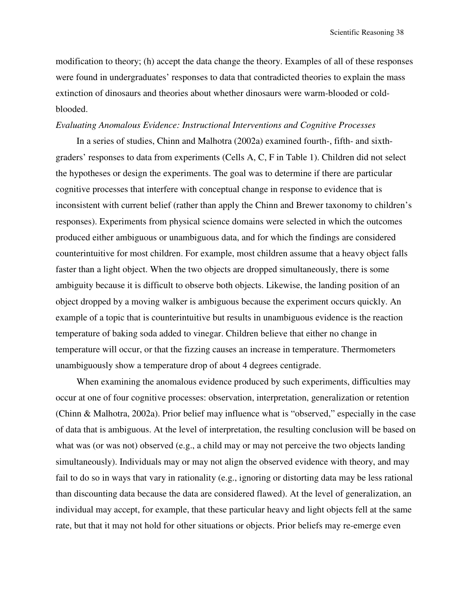modification to theory; (h) accept the data change the theory. Examples of all of these responses were found in undergraduates' responses to data that contradicted theories to explain the mass extinction of dinosaurs and theories about whether dinosaurs were warm-blooded or coldblooded.

#### *Evaluating Anomalous Evidence: Instructional Interventions and Cognitive Processes*

In a series of studies, Chinn and Malhotra (2002a) examined fourth-, fifth- and sixthgraders' responses to data from experiments (Cells A, C, F in Table 1). Children did not select the hypotheses or design the experiments. The goal was to determine if there are particular cognitive processes that interfere with conceptual change in response to evidence that is inconsistent with current belief (rather than apply the Chinn and Brewer taxonomy to children's responses). Experiments from physical science domains were selected in which the outcomes produced either ambiguous or unambiguous data, and for which the findings are considered counterintuitive for most children. For example, most children assume that a heavy object falls faster than a light object. When the two objects are dropped simultaneously, there is some ambiguity because it is difficult to observe both objects. Likewise, the landing position of an object dropped by a moving walker is ambiguous because the experiment occurs quickly. An example of a topic that is counterintuitive but results in unambiguous evidence is the reaction temperature of baking soda added to vinegar. Children believe that either no change in temperature will occur, or that the fizzing causes an increase in temperature. Thermometers unambiguously show a temperature drop of about 4 degrees centigrade.

When examining the anomalous evidence produced by such experiments, difficulties may occur at one of four cognitive processes: observation, interpretation, generalization or retention (Chinn & Malhotra, 2002a). Prior belief may influence what is "observed," especially in the case of data that is ambiguous. At the level of interpretation, the resulting conclusion will be based on what was (or was not) observed (e.g., a child may or may not perceive the two objects landing simultaneously). Individuals may or may not align the observed evidence with theory, and may fail to do so in ways that vary in rationality (e.g., ignoring or distorting data may be less rational than discounting data because the data are considered flawed). At the level of generalization, an individual may accept, for example, that these particular heavy and light objects fell at the same rate, but that it may not hold for other situations or objects. Prior beliefs may re-emerge even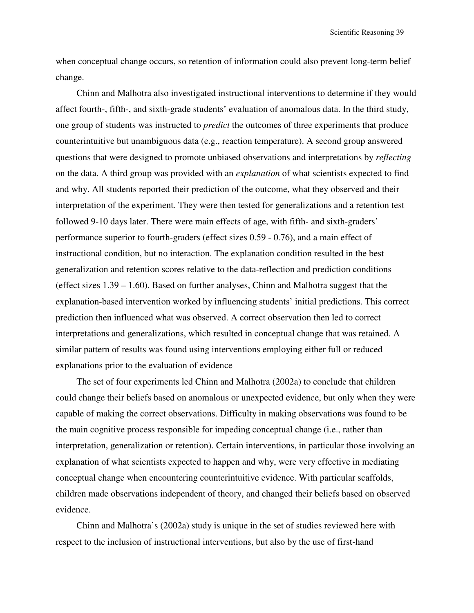when conceptual change occurs, so retention of information could also prevent long-term belief change.

Chinn and Malhotra also investigated instructional interventions to determine if they would affect fourth-, fifth-, and sixth-grade students' evaluation of anomalous data. In the third study, one group of students was instructed to *predict* the outcomes of three experiments that produce counterintuitive but unambiguous data (e.g., reaction temperature). A second group answered questions that were designed to promote unbiased observations and interpretations by *reflecting* on the data. A third group was provided with an *explanation* of what scientists expected to find and why. All students reported their prediction of the outcome, what they observed and their interpretation of the experiment. They were then tested for generalizations and a retention test followed 9-10 days later. There were main effects of age, with fifth- and sixth-graders' performance superior to fourth-graders (effect sizes 0.59 - 0.76), and a main effect of instructional condition, but no interaction. The explanation condition resulted in the best generalization and retention scores relative to the data-reflection and prediction conditions (effect sizes 1.39 – 1.60). Based on further analyses, Chinn and Malhotra suggest that the explanation-based intervention worked by influencing students' initial predictions. This correct prediction then influenced what was observed. A correct observation then led to correct interpretations and generalizations, which resulted in conceptual change that was retained. A similar pattern of results was found using interventions employing either full or reduced explanations prior to the evaluation of evidence

The set of four experiments led Chinn and Malhotra (2002a) to conclude that children could change their beliefs based on anomalous or unexpected evidence, but only when they were capable of making the correct observations. Difficulty in making observations was found to be the main cognitive process responsible for impeding conceptual change (i.e., rather than interpretation, generalization or retention). Certain interventions, in particular those involving an explanation of what scientists expected to happen and why, were very effective in mediating conceptual change when encountering counterintuitive evidence. With particular scaffolds, children made observations independent of theory, and changed their beliefs based on observed evidence.

Chinn and Malhotra's (2002a) study is unique in the set of studies reviewed here with respect to the inclusion of instructional interventions, but also by the use of first-hand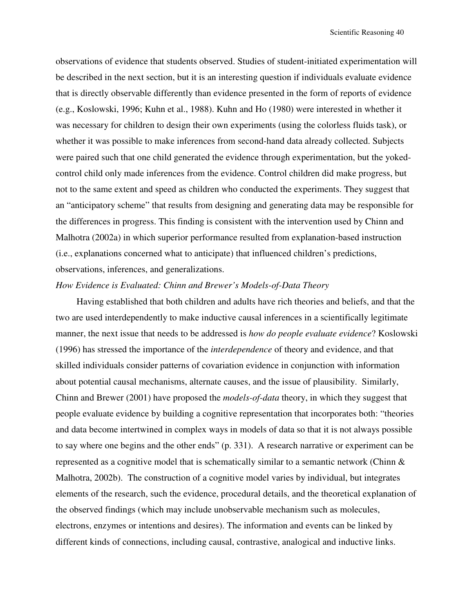observations of evidence that students observed. Studies of student-initiated experimentation will be described in the next section, but it is an interesting question if individuals evaluate evidence that is directly observable differently than evidence presented in the form of reports of evidence (e.g., Koslowski, 1996; Kuhn et al., 1988). Kuhn and Ho (1980) were interested in whether it was necessary for children to design their own experiments (using the colorless fluids task), or whether it was possible to make inferences from second-hand data already collected. Subjects were paired such that one child generated the evidence through experimentation, but the yokedcontrol child only made inferences from the evidence. Control children did make progress, but not to the same extent and speed as children who conducted the experiments. They suggest that an "anticipatory scheme" that results from designing and generating data may be responsible for the differences in progress. This finding is consistent with the intervention used by Chinn and Malhotra (2002a) in which superior performance resulted from explanation-based instruction (i.e., explanations concerned what to anticipate) that influenced children's predictions, observations, inferences, and generalizations.

## *How Evidence is Evaluated: Chinn and Brewer's Models-of-Data Theory*

Having established that both children and adults have rich theories and beliefs, and that the two are used interdependently to make inductive causal inferences in a scientifically legitimate manner, the next issue that needs to be addressed is *how do people evaluate evidence*? Koslowski (1996) has stressed the importance of the *interdependence* of theory and evidence, and that skilled individuals consider patterns of covariation evidence in conjunction with information about potential causal mechanisms, alternate causes, and the issue of plausibility. Similarly, Chinn and Brewer (2001) have proposed the *models-of-data* theory, in which they suggest that people evaluate evidence by building a cognitive representation that incorporates both: "theories and data become intertwined in complex ways in models of data so that it is not always possible to say where one begins and the other ends" (p. 331). A research narrative or experiment can be represented as a cognitive model that is schematically similar to a semantic network (Chinn & Malhotra, 2002b). The construction of a cognitive model varies by individual, but integrates elements of the research, such the evidence, procedural details, and the theoretical explanation of the observed findings (which may include unobservable mechanism such as molecules, electrons, enzymes or intentions and desires). The information and events can be linked by different kinds of connections, including causal, contrastive, analogical and inductive links.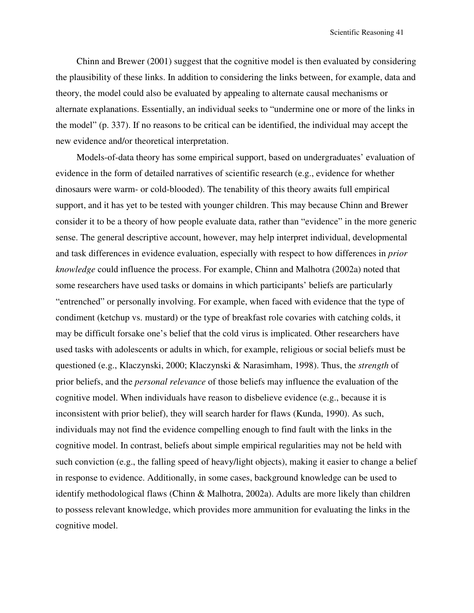Chinn and Brewer (2001) suggest that the cognitive model is then evaluated by considering the plausibility of these links. In addition to considering the links between, for example, data and theory, the model could also be evaluated by appealing to alternate causal mechanisms or alternate explanations. Essentially, an individual seeks to "undermine one or more of the links in the model" (p. 337). If no reasons to be critical can be identified, the individual may accept the new evidence and/or theoretical interpretation.

Models-of-data theory has some empirical support, based on undergraduates' evaluation of evidence in the form of detailed narratives of scientific research (e.g., evidence for whether dinosaurs were warm- or cold-blooded). The tenability of this theory awaits full empirical support, and it has yet to be tested with younger children. This may because Chinn and Brewer consider it to be a theory of how people evaluate data, rather than "evidence" in the more generic sense. The general descriptive account, however, may help interpret individual, developmental and task differences in evidence evaluation, especially with respect to how differences in *prior knowledge* could influence the process. For example, Chinn and Malhotra (2002a) noted that some researchers have used tasks or domains in which participants' beliefs are particularly "entrenched" or personally involving. For example, when faced with evidence that the type of condiment (ketchup vs. mustard) or the type of breakfast role covaries with catching colds, it may be difficult forsake one's belief that the cold virus is implicated. Other researchers have used tasks with adolescents or adults in which, for example, religious or social beliefs must be questioned (e.g., Klaczynski, 2000; Klaczynski & Narasimham, 1998). Thus, the *strength* of prior beliefs, and the *personal relevance* of those beliefs may influence the evaluation of the cognitive model. When individuals have reason to disbelieve evidence (e.g., because it is inconsistent with prior belief), they will search harder for flaws (Kunda, 1990). As such, individuals may not find the evidence compelling enough to find fault with the links in the cognitive model. In contrast, beliefs about simple empirical regularities may not be held with such conviction (e.g., the falling speed of heavy/light objects), making it easier to change a belief in response to evidence. Additionally, in some cases, background knowledge can be used to identify methodological flaws (Chinn & Malhotra, 2002a). Adults are more likely than children to possess relevant knowledge, which provides more ammunition for evaluating the links in the cognitive model.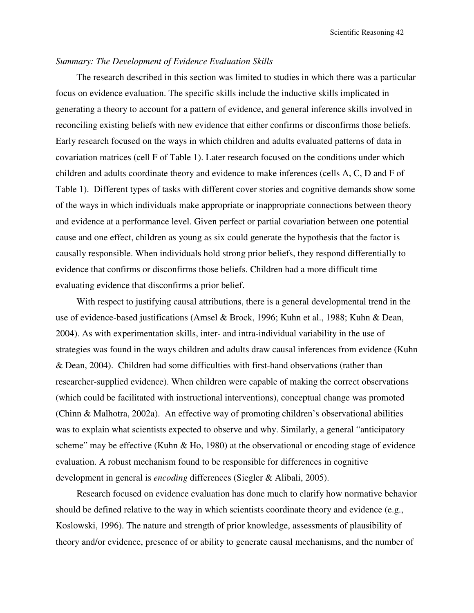## *Summary: The Development of Evidence Evaluation Skills*

The research described in this section was limited to studies in which there was a particular focus on evidence evaluation. The specific skills include the inductive skills implicated in generating a theory to account for a pattern of evidence, and general inference skills involved in reconciling existing beliefs with new evidence that either confirms or disconfirms those beliefs. Early research focused on the ways in which children and adults evaluated patterns of data in covariation matrices (cell F of Table 1). Later research focused on the conditions under which children and adults coordinate theory and evidence to make inferences (cells A, C, D and F of Table 1). Different types of tasks with different cover stories and cognitive demands show some of the ways in which individuals make appropriate or inappropriate connections between theory and evidence at a performance level. Given perfect or partial covariation between one potential cause and one effect, children as young as six could generate the hypothesis that the factor is causally responsible. When individuals hold strong prior beliefs, they respond differentially to evidence that confirms or disconfirms those beliefs. Children had a more difficult time evaluating evidence that disconfirms a prior belief.

With respect to justifying causal attributions, there is a general developmental trend in the use of evidence-based justifications (Amsel & Brock, 1996; Kuhn et al., 1988; Kuhn & Dean, 2004). As with experimentation skills, inter- and intra-individual variability in the use of strategies was found in the ways children and adults draw causal inferences from evidence (Kuhn & Dean, 2004). Children had some difficulties with first-hand observations (rather than researcher-supplied evidence). When children were capable of making the correct observations (which could be facilitated with instructional interventions), conceptual change was promoted (Chinn & Malhotra, 2002a). An effective way of promoting children's observational abilities was to explain what scientists expected to observe and why. Similarly, a general "anticipatory scheme" may be effective (Kuhn & Ho, 1980) at the observational or encoding stage of evidence evaluation. A robust mechanism found to be responsible for differences in cognitive development in general is *encoding* differences (Siegler & Alibali, 2005).

Research focused on evidence evaluation has done much to clarify how normative behavior should be defined relative to the way in which scientists coordinate theory and evidence (e.g., Koslowski, 1996). The nature and strength of prior knowledge, assessments of plausibility of theory and/or evidence, presence of or ability to generate causal mechanisms, and the number of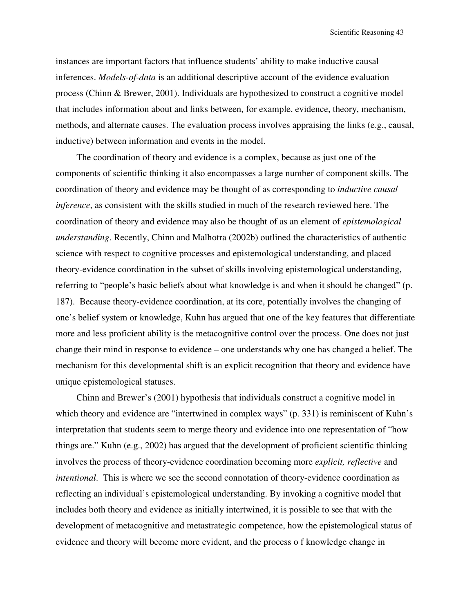instances are important factors that influence students' ability to make inductive causal inferences. *Models-of-data* is an additional descriptive account of the evidence evaluation process (Chinn & Brewer, 2001). Individuals are hypothesized to construct a cognitive model that includes information about and links between, for example, evidence, theory, mechanism, methods, and alternate causes. The evaluation process involves appraising the links (e.g., causal, inductive) between information and events in the model.

The coordination of theory and evidence is a complex, because as just one of the components of scientific thinking it also encompasses a large number of component skills. The coordination of theory and evidence may be thought of as corresponding to *inductive causal inference*, as consistent with the skills studied in much of the research reviewed here. The coordination of theory and evidence may also be thought of as an element of *epistemological understanding*. Recently, Chinn and Malhotra (2002b) outlined the characteristics of authentic science with respect to cognitive processes and epistemological understanding, and placed theory-evidence coordination in the subset of skills involving epistemological understanding, referring to "people's basic beliefs about what knowledge is and when it should be changed" (p. 187). Because theory-evidence coordination, at its core, potentially involves the changing of one's belief system or knowledge, Kuhn has argued that one of the key features that differentiate more and less proficient ability is the metacognitive control over the process. One does not just change their mind in response to evidence – one understands why one has changed a belief. The mechanism for this developmental shift is an explicit recognition that theory and evidence have unique epistemological statuses.

Chinn and Brewer's (2001) hypothesis that individuals construct a cognitive model in which theory and evidence are "intertwined in complex ways" (p. 331) is reminiscent of Kuhn's interpretation that students seem to merge theory and evidence into one representation of "how things are." Kuhn (e.g., 2002) has argued that the development of proficient scientific thinking involves the process of theory-evidence coordination becoming more *explicit, reflective* and *intentional*. This is where we see the second connotation of theory-evidence coordination as reflecting an individual's epistemological understanding. By invoking a cognitive model that includes both theory and evidence as initially intertwined, it is possible to see that with the development of metacognitive and metastrategic competence, how the epistemological status of evidence and theory will become more evident, and the process o f knowledge change in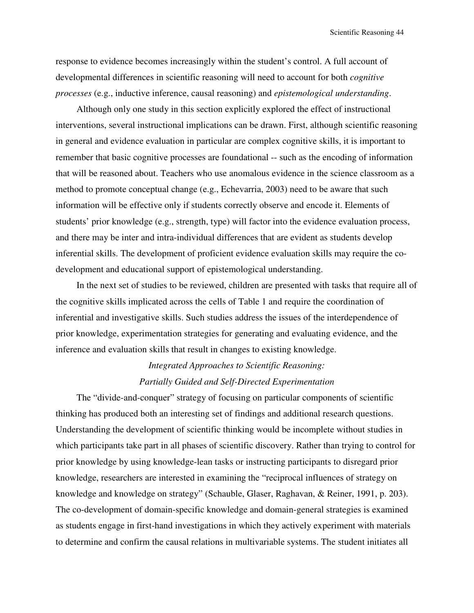response to evidence becomes increasingly within the student's control. A full account of developmental differences in scientific reasoning will need to account for both *cognitive processes* (e.g., inductive inference, causal reasoning) and *epistemological understanding*.

Although only one study in this section explicitly explored the effect of instructional interventions, several instructional implications can be drawn. First, although scientific reasoning in general and evidence evaluation in particular are complex cognitive skills, it is important to remember that basic cognitive processes are foundational -- such as the encoding of information that will be reasoned about. Teachers who use anomalous evidence in the science classroom as a method to promote conceptual change (e.g., Echevarria, 2003) need to be aware that such information will be effective only if students correctly observe and encode it. Elements of students' prior knowledge (e.g., strength, type) will factor into the evidence evaluation process, and there may be inter and intra-individual differences that are evident as students develop inferential skills. The development of proficient evidence evaluation skills may require the codevelopment and educational support of epistemological understanding.

In the next set of studies to be reviewed, children are presented with tasks that require all of the cognitive skills implicated across the cells of Table 1 and require the coordination of inferential and investigative skills. Such studies address the issues of the interdependence of prior knowledge, experimentation strategies for generating and evaluating evidence, and the inference and evaluation skills that result in changes to existing knowledge.

# *Integrated Approaches to Scientific Reasoning: Partially Guided and Self-Directed Experimentation*

The "divide-and-conquer" strategy of focusing on particular components of scientific thinking has produced both an interesting set of findings and additional research questions. Understanding the development of scientific thinking would be incomplete without studies in which participants take part in all phases of scientific discovery. Rather than trying to control for prior knowledge by using knowledge-lean tasks or instructing participants to disregard prior knowledge, researchers are interested in examining the "reciprocal influences of strategy on knowledge and knowledge on strategy" (Schauble, Glaser, Raghavan, & Reiner, 1991, p. 203). The co-development of domain-specific knowledge and domain-general strategies is examined as students engage in first-hand investigations in which they actively experiment with materials to determine and confirm the causal relations in multivariable systems. The student initiates all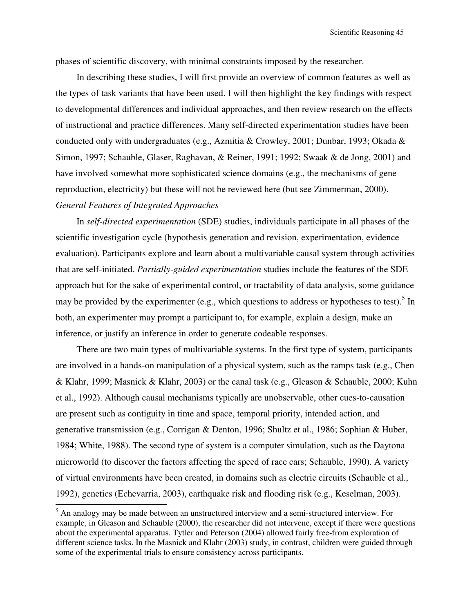phases of scientific discovery, with minimal constraints imposed by the researcher.

In describing these studies, I will first provide an overview of common features as well as the types of task variants that have been used. I will then highlight the key findings with respect to developmental differences and individual approaches, and then review research on the effects of instructional and practice differences. Many self-directed experimentation studies have been conducted only with undergraduates (e.g., Azmitia & Crowley, 2001; Dunbar, 1993; Okada & Simon, 1997; Schauble, Glaser, Raghavan, & Reiner, 1991; 1992; Swaak & de Jong, 2001) and have involved somewhat more sophisticated science domains (e.g., the mechanisms of gene reproduction, electricity) but these will not be reviewed here (but see Zimmerman, 2000). *General Features of Integrated Approaches*

In *self-directed experimentation* (SDE) studies, individuals participate in all phases of the scientific investigation cycle (hypothesis generation and revision, experimentation, evidence evaluation). Participants explore and learn about a multivariable causal system through activities that are self-initiated. *Partially-guided experimentation* studies include the features of the SDE approach but for the sake of experimental control, or tractability of data analysis, some guidance may be provided by the experimenter (e.g., which questions to address or hypotheses to test).<sup>5</sup> In both, an experimenter may prompt a participant to, for example, explain a design, make an inference, or justify an inference in order to generate codeable responses.

There are two main types of multivariable systems. In the first type of system, participants are involved in a hands-on manipulation of a physical system, such as the ramps task (e.g., Chen & Klahr, 1999; Masnick & Klahr, 2003) or the canal task (e.g., Gleason & Schauble, 2000; Kuhn et al., 1992). Although causal mechanisms typically are unobservable, other cues-to-causation are present such as contiguity in time and space, temporal priority, intended action, and generative transmission (e.g., Corrigan & Denton, 1996; Shultz et al., 1986; Sophian & Huber, 1984; White, 1988). The second type of system is a computer simulation, such as the Daytona microworld (to discover the factors affecting the speed of race cars; Schauble, 1990). A variety of virtual environments have been created, in domains such as electric circuits (Schauble et al., 1992), genetics (Echevarria, 2003), earthquake risk and flooding risk (e.g., Keselman, 2003).

 $<sup>5</sup>$  An analogy may be made between an unstructured interview and a semi-structured interview. For</sup> example, in Gleason and Schauble (2000), the researcher did not intervene, except if there were questions about the experimental apparatus. Tytler and Peterson (2004) allowed fairly free-from exploration of different science tasks. In the Masnick and Klahr (2003) study, in contrast, children were guided through some of the experimental trials to ensure consistency across participants.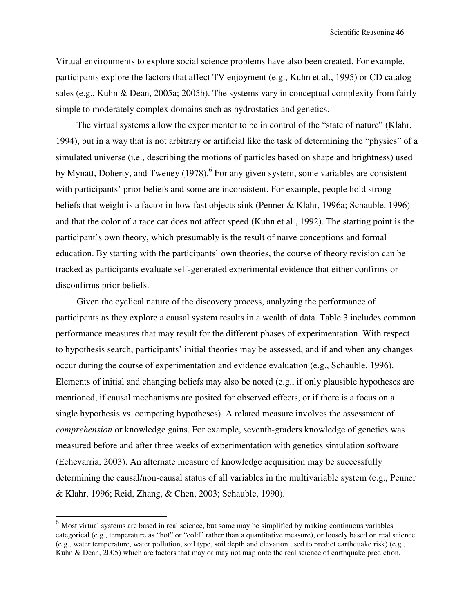Virtual environments to explore social science problems have also been created. For example, participants explore the factors that affect TV enjoyment (e.g., Kuhn et al., 1995) or CD catalog sales (e.g., Kuhn & Dean, 2005a; 2005b). The systems vary in conceptual complexity from fairly simple to moderately complex domains such as hydrostatics and genetics.

The virtual systems allow the experimenter to be in control of the "state of nature" (Klahr, 1994), but in a way that is not arbitrary or artificial like the task of determining the "physics" of a simulated universe (i.e., describing the motions of particles based on shape and brightness) used by Mynatt, Doherty, and Tweney (1978).<sup>6</sup> For any given system, some variables are consistent with participants' prior beliefs and some are inconsistent. For example, people hold strong beliefs that weight is a factor in how fast objects sink (Penner & Klahr, 1996a; Schauble, 1996) and that the color of a race car does not affect speed (Kuhn et al., 1992). The starting point is the participant's own theory, which presumably is the result of naïve conceptions and formal education. By starting with the participants' own theories, the course of theory revision can be tracked as participants evaluate self-generated experimental evidence that either confirms or disconfirms prior beliefs.

Given the cyclical nature of the discovery process, analyzing the performance of participants as they explore a causal system results in a wealth of data. Table 3 includes common performance measures that may result for the different phases of experimentation. With respect to hypothesis search, participants' initial theories may be assessed, and if and when any changes occur during the course of experimentation and evidence evaluation (e.g., Schauble, 1996). Elements of initial and changing beliefs may also be noted (e.g., if only plausible hypotheses are mentioned, if causal mechanisms are posited for observed effects, or if there is a focus on a single hypothesis vs. competing hypotheses). A related measure involves the assessment of *comprehension* or knowledge gains. For example, seventh-graders knowledge of genetics was measured before and after three weeks of experimentation with genetics simulation software (Echevarria, 2003). An alternate measure of knowledge acquisition may be successfully determining the causal/non-causal status of all variables in the multivariable system (e.g., Penner & Klahr, 1996; Reid, Zhang, & Chen, 2003; Schauble, 1990).

<sup>&</sup>lt;sup>6</sup> Most virtual systems are based in real science, but some may be simplified by making continuous variables categorical (e.g., temperature as "hot" or "cold" rather than a quantitative measure), or loosely based on real science (e.g., water temperature, water pollution, soil type, soil depth and elevation used to predict earthquake risk) (e.g., Kuhn & Dean, 2005) which are factors that may or may not map onto the real science of earthquake prediction.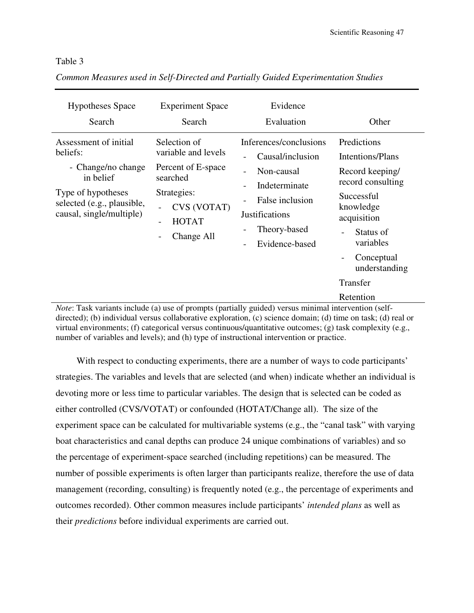#### Table 3

*Common Measures used in Self-Directed and Partially Guided Experimentation Studies*

| <b>Hypotheses Space</b><br>Search                                                                                                                    | <b>Experiment Space</b><br>Search                                                                                                                                             | Evidence<br>Evaluation                                                                                                                                                                                                                           | Other                                                                                                                                                                                                                           |
|------------------------------------------------------------------------------------------------------------------------------------------------------|-------------------------------------------------------------------------------------------------------------------------------------------------------------------------------|--------------------------------------------------------------------------------------------------------------------------------------------------------------------------------------------------------------------------------------------------|---------------------------------------------------------------------------------------------------------------------------------------------------------------------------------------------------------------------------------|
| Assessment of initial<br>beliefs:<br>- Change/no change<br>in belief<br>Type of hypotheses<br>selected (e.g., plausible,<br>causal, single/multiple) | Selection of<br>variable and levels<br>Percent of E-space<br>searched<br>Strategies:<br><b>CVS (VOTAT)</b><br>$\overline{a}$<br><b>HOTAT</b><br>Change All<br>$\qquad \qquad$ | Inferences/conclusions<br>Causal/inclusion<br>Non-causal<br>$\overline{\phantom{0}}$<br>Indeterminate<br>$\overline{\phantom{0}}$<br>False inclusion<br><b>Justifications</b><br>Theory-based<br>$\overline{\phantom{0}}$<br>Evidence-based<br>- | Predictions<br>Intentions/Plans<br>Record keeping/<br>record consulting<br>Successful<br>knowledge<br>acquisition<br>Status of<br>variables<br>Conceptual<br>$\overline{\phantom{a}}$<br>understanding<br>Transfer<br>Retention |
|                                                                                                                                                      |                                                                                                                                                                               | Note: Task variants include (a) use of prompts (partially quided) versus minimal intervention (self                                                                                                                                              |                                                                                                                                                                                                                                 |

*Note*: Task variants include (a) use of prompts (partially guided) versus minimal intervention (selfdirected); (b) individual versus collaborative exploration, (c) science domain; (d) time on task; (d) real or virtual environments; (f) categorical versus continuous/quantitative outcomes; (g) task complexity (e.g., number of variables and levels); and (h) type of instructional intervention or practice.

With respect to conducting experiments, there are a number of ways to code participants' strategies. The variables and levels that are selected (and when) indicate whether an individual is devoting more or less time to particular variables. The design that is selected can be coded as either controlled (CVS/VOTAT) or confounded (HOTAT/Change all). The size of the experiment space can be calculated for multivariable systems (e.g., the "canal task" with varying boat characteristics and canal depths can produce 24 unique combinations of variables) and so the percentage of experiment-space searched (including repetitions) can be measured. The number of possible experiments is often larger than participants realize, therefore the use of data management (recording, consulting) is frequently noted (e.g., the percentage of experiments and outcomes recorded). Other common measures include participants' *intended plans* as well as their *predictions* before individual experiments are carried out.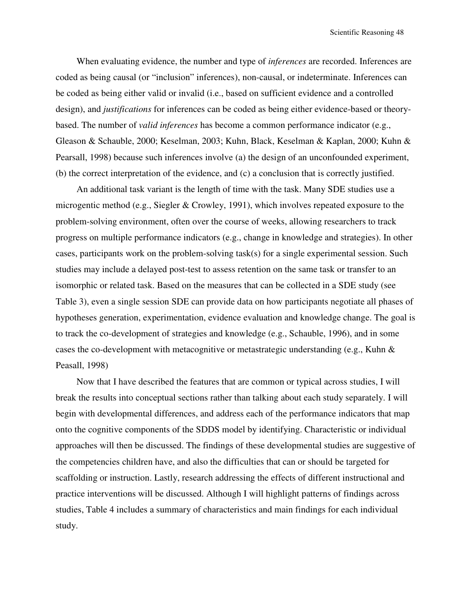When evaluating evidence, the number and type of *inferences* are recorded. Inferences are coded as being causal (or "inclusion" inferences), non-causal, or indeterminate. Inferences can be coded as being either valid or invalid (i.e., based on sufficient evidence and a controlled design), and *justifications* for inferences can be coded as being either evidence-based or theorybased. The number of *valid inferences* has become a common performance indicator (e.g., Gleason & Schauble, 2000; Keselman, 2003; Kuhn, Black, Keselman & Kaplan, 2000; Kuhn & Pearsall, 1998) because such inferences involve (a) the design of an unconfounded experiment, (b) the correct interpretation of the evidence, and (c) a conclusion that is correctly justified.

An additional task variant is the length of time with the task. Many SDE studies use a microgentic method (e.g., Siegler & Crowley, 1991), which involves repeated exposure to the problem-solving environment, often over the course of weeks, allowing researchers to track progress on multiple performance indicators (e.g., change in knowledge and strategies). In other cases, participants work on the problem-solving task(s) for a single experimental session. Such studies may include a delayed post-test to assess retention on the same task or transfer to an isomorphic or related task. Based on the measures that can be collected in a SDE study (see Table 3), even a single session SDE can provide data on how participants negotiate all phases of hypotheses generation, experimentation, evidence evaluation and knowledge change. The goal is to track the co-development of strategies and knowledge (e.g., Schauble, 1996), and in some cases the co-development with metacognitive or metastrategic understanding (e.g., Kuhn  $\&$ Peasall, 1998)

Now that I have described the features that are common or typical across studies, I will break the results into conceptual sections rather than talking about each study separately. I will begin with developmental differences, and address each of the performance indicators that map onto the cognitive components of the SDDS model by identifying. Characteristic or individual approaches will then be discussed. The findings of these developmental studies are suggestive of the competencies children have, and also the difficulties that can or should be targeted for scaffolding or instruction. Lastly, research addressing the effects of different instructional and practice interventions will be discussed. Although I will highlight patterns of findings across studies, Table 4 includes a summary of characteristics and main findings for each individual study.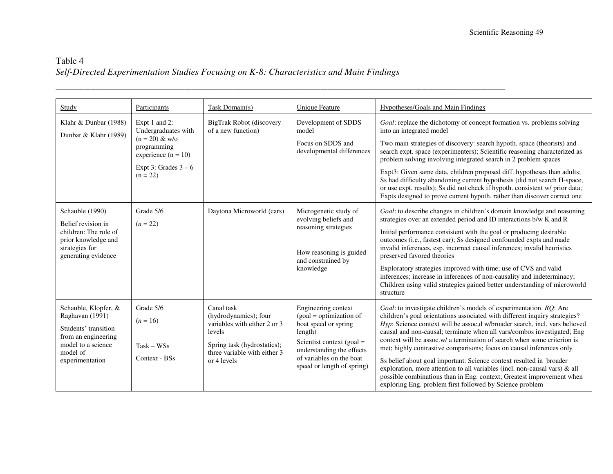## Table 4 *Self-Directed Experimentation Studies Focusing on K-8: Characteristics and Main Findings*

| Study                                                                                                                                       | Participants                                                                                                                           | Task Domain(s)                                                                                                                                              | <b>Unique Feature</b>                                                                                                                                                                                     | Hypotheses/Goals and Main Findings                                                                                                                                                                                                                                                                                                                                                                                                                                                                                                                                                                                                                                                                                                                     |
|---------------------------------------------------------------------------------------------------------------------------------------------|----------------------------------------------------------------------------------------------------------------------------------------|-------------------------------------------------------------------------------------------------------------------------------------------------------------|-----------------------------------------------------------------------------------------------------------------------------------------------------------------------------------------------------------|--------------------------------------------------------------------------------------------------------------------------------------------------------------------------------------------------------------------------------------------------------------------------------------------------------------------------------------------------------------------------------------------------------------------------------------------------------------------------------------------------------------------------------------------------------------------------------------------------------------------------------------------------------------------------------------------------------------------------------------------------------|
| Klahr & Dunbar (1988)<br>Dunbar & Klahr (1989)                                                                                              | Expt 1 and 2:<br>Undergraduates with<br>$(n = 20)$ & w/o<br>programming<br>experience $(n = 10)$<br>Expt 3: Grades $3-6$<br>$(n = 22)$ | BigTrak Robot (discovery<br>of a new function)                                                                                                              | Development of SDDS<br>model<br>Focus on SDDS and<br>developmental differences                                                                                                                            | Goal: replace the dichotomy of concept formation vs. problems solving<br>into an integrated model<br>Two main strategies of discovery: search hypoth. space (theorists) and<br>search expt. space (experimenters); Scientific reasoning characterized as<br>problem solving involving integrated search in 2 problem spaces<br>Expt3: Given same data, children proposed diff. hypotheses than adults;<br>Ss had difficulty abandoning current hypothesis (did not search H-space,<br>or use expt. results); Ss did not check if hypoth. consistent w/ prior data;<br>Expts designed to prove current hypoth. rather than discover correct one                                                                                                         |
| Schauble (1990)<br>Belief revision in<br>children: The role of<br>prior knowledge and<br>strategies for<br>generating evidence              | Grade 5/6<br>$(n = 22)$                                                                                                                | Daytona Microworld (cars)                                                                                                                                   | Microgenetic study of<br>evolving beliefs and<br>reasoning strategies<br>How reasoning is guided<br>and constrained by<br>knowledge                                                                       | Goal: to describe changes in children's domain knowledge and reasoning<br>strategies over an extended period and ID interactions b/w K and R<br>Initial performance consistent with the goal or producing desirable<br>outcomes (i.e., fastest car); Ss designed confounded expts and made<br>invalid inferences, esp. incorrect causal inferences; invalid heuristics<br>preserved favored theories<br>Exploratory strategies improved with time; use of CVS and valid<br>inferences; increase in inferences of non-causality and indeterminacy;<br>Children using valid strategies gained better understanding of microworld<br>structure                                                                                                            |
| Schauble, Klopfer, &<br>Raghavan (1991)<br>Students' transition<br>from an engineering<br>model to a science<br>model of<br>experimentation | Grade 5/6<br>$(n = 16)$<br>$Task - WSs$<br>Context - BSs                                                                               | Canal task<br>(hydrodynamics); four<br>variables with either 2 or 3<br>levels<br>Spring task (hydrostatics);<br>three variable with either 3<br>or 4 levels | Engineering context<br>$(goal = optimization of$<br>boat speed or spring<br>length)<br>Scientist context (goal $=$<br>understanding the effects<br>of variables on the boat<br>speed or length of spring) | Goal: to investigate children's models of experimentation. RQ: Are<br>children's goal orientations associated with different inquiry strategies?<br>Hyp: Science context will be assoc,d w/broader search, incl. vars believed<br>causal and non-causal; terminate when all vars/combos investigated; Eng<br>context will be assoc.w/ a termination of search when some criterion is<br>met; highly contrastive comparisons; focus on causal inferences only<br>Ss belief about goal important: Science context resulted in broader<br>exploration, more attention to all variables (incl. non-causal vars) & all<br>possible combinations than in Eng. context; Greatest improvement when<br>exploring Eng. problem first followed by Science problem |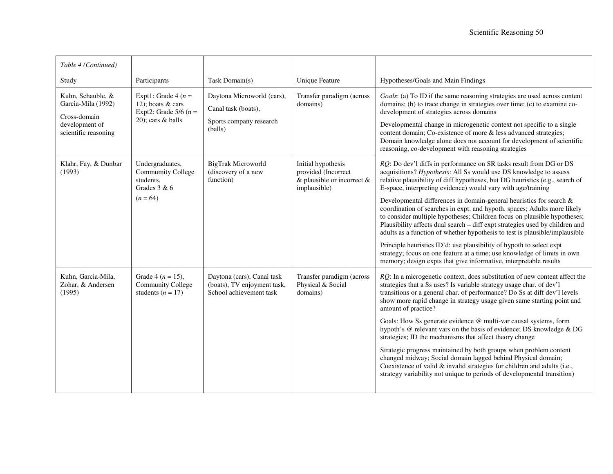| Table 4 (Continued)                                                                               |                                                                                                |                                                                                         |                                                                                            |                                                                                                                                                                                                                                                                                                                                                                                                                                                                                                                                                                                                                                                                                                                                                                                                                                                                                                                   |
|---------------------------------------------------------------------------------------------------|------------------------------------------------------------------------------------------------|-----------------------------------------------------------------------------------------|--------------------------------------------------------------------------------------------|-------------------------------------------------------------------------------------------------------------------------------------------------------------------------------------------------------------------------------------------------------------------------------------------------------------------------------------------------------------------------------------------------------------------------------------------------------------------------------------------------------------------------------------------------------------------------------------------------------------------------------------------------------------------------------------------------------------------------------------------------------------------------------------------------------------------------------------------------------------------------------------------------------------------|
| Study                                                                                             | Participants                                                                                   | Task Domain(s)                                                                          | <b>Unique Feature</b>                                                                      | Hypotheses/Goals and Main Findings                                                                                                                                                                                                                                                                                                                                                                                                                                                                                                                                                                                                                                                                                                                                                                                                                                                                                |
| Kuhn, Schauble, &<br>Garcia-Mila (1992)<br>Cross-domain<br>development of<br>scientific reasoning | Expt1: Grade 4 $(n =$<br>12); boats $& cars$<br>Expt2: Grade $5/6$ (n =<br>$20$ ; cars & balls | Daytona Microworld (cars),<br>Canal task (boats),<br>Sports company research<br>(balls) | Transfer paradigm (across<br>domains)                                                      | Goals: (a) To ID if the same reasoning strategies are used across content<br>domains; (b) to trace change in strategies over time; (c) to examine co-<br>development of strategies across domains<br>Developmental change in microgenetic context not specific to a single<br>content domain; Co-existence of more & less advanced strategies;<br>Domain knowledge alone does not account for development of scientific<br>reasoning, co-development with reasoning strategies                                                                                                                                                                                                                                                                                                                                                                                                                                    |
| Klahr, Fay, & Dunbar<br>(1993)                                                                    | Undergraduates,<br>Commumity College<br>students,<br>Grades $3 & 6$<br>$(n = 64)$              | <b>BigTrak Microworld</b><br>(discovery of a new<br>function)                           | Initial hypothesis<br>provided (Incorrect<br>& plausible or incorrect $\&$<br>implausible) | RQ: Do dev'l diffs in performance on SR tasks result from DG or DS<br>acquisitions? Hypothesis: All Ss would use DS knowledge to assess<br>relative plausibility of diff hypotheses, but DG heuristics (e.g., search of<br>E-space, interpreting evidence) would vary with age/training<br>Developmental differences in domain-general heuristics for search $\&$<br>coordination of searches in expt. and hypoth. spaces; Adults more likely<br>to consider multiple hypotheses; Children focus on plausible hypotheses;<br>Plausibility affects dual search - diff expt strategies used by children and<br>adults as a function of whether hypothesis to test is plausible/implausible<br>Principle heuristics ID'd: use plausibility of hypoth to select expt<br>strategy; focus on one feature at a time; use knowledge of limits in own<br>memory; design expts that give informative, interpretable results |
| Kuhn, Garcia-Mila,<br>Zohar, & Andersen<br>(1995)                                                 | Grade 4 ( $n = 15$ ),<br><b>Community College</b><br>students ( $n = 17$ )                     | Daytona (cars), Canal task<br>(boats), TV enjoyment task,<br>School achievement task    | Transfer paradigm (across<br>Physical & Social<br>domains)                                 | $RQ$ : In a microgenetic context, does substitution of new content affect the<br>strategies that a Ss uses? Is variable strategy usage char. of dev'l<br>transitions or a general char. of performance? Do Ss at diff dev'l levels<br>show more rapid change in strategy usage given same starting point and<br>amount of practice?<br>Goals: How Ss generate evidence @ multi-var causal systems, form<br>hypoth's @ relevant vars on the basis of evidence; DS knowledge & DG<br>strategies; ID the mechanisms that affect theory change<br>Strategic progress maintained by both groups when problem content<br>changed midway; Social domain lagged behind Physical domain;<br>Coexistence of valid & invalid strategies for children and adults (i.e.,<br>strategy variability not unique to periods of developmental transition)                                                                            |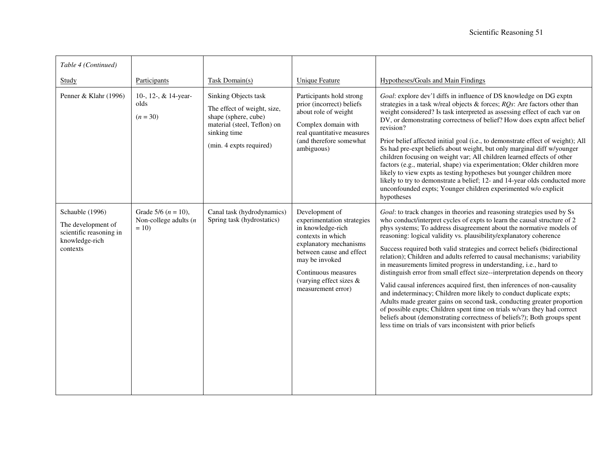| Table 4 (Continued)                                                                            |                                                                 |                                                                                                                                                       |                                                                                                                                                                                                                                           |                                                                                                                                                                                                                                                                                                                                                                                                                                                                                                                                                                                                                                                                                                                                                                                                                                                                                                                                                                                                                                                                  |
|------------------------------------------------------------------------------------------------|-----------------------------------------------------------------|-------------------------------------------------------------------------------------------------------------------------------------------------------|-------------------------------------------------------------------------------------------------------------------------------------------------------------------------------------------------------------------------------------------|------------------------------------------------------------------------------------------------------------------------------------------------------------------------------------------------------------------------------------------------------------------------------------------------------------------------------------------------------------------------------------------------------------------------------------------------------------------------------------------------------------------------------------------------------------------------------------------------------------------------------------------------------------------------------------------------------------------------------------------------------------------------------------------------------------------------------------------------------------------------------------------------------------------------------------------------------------------------------------------------------------------------------------------------------------------|
| Study                                                                                          | Participants                                                    | Task Domain(s)                                                                                                                                        | <b>Unique Feature</b>                                                                                                                                                                                                                     | Hypotheses/Goals and Main Findings                                                                                                                                                                                                                                                                                                                                                                                                                                                                                                                                                                                                                                                                                                                                                                                                                                                                                                                                                                                                                               |
| Penner & Klahr (1996)                                                                          | 10-, 12-, & 14-year-<br>olds<br>$(n = 30)$                      | Sinking Objects task<br>The effect of weight, size,<br>shape (sphere, cube)<br>material (steel, Teflon) on<br>sinking time<br>(min. 4 expts required) | Participants hold strong<br>prior (incorrect) beliefs<br>about role of weight<br>Complex domain with<br>real quantitative measures<br>(and therefore somewhat<br>ambiguous)                                                               | Goal: explore dev'l diffs in influence of DS knowledge on DG exptn<br>strategies in a task w/real objects $\&$ forces; $RQs$ : Are factors other than<br>weight considered? Is task interpreted as assessing effect of each var on<br>DV, or demonstrating correctness of belief? How does exptn affect belief<br>revision?<br>Prior belief affected initial goal (i.e., to demonstrate effect of weight); All<br>Ss had pre-expt beliefs about weight, but only marginal diff w/younger<br>children focusing on weight var; All children learned effects of other<br>factors (e.g., material, shape) via experimentation; Older children more<br>likely to view expts as testing hypotheses but younger children more<br>likely to try to demonstrate a belief; 12- and 14-year olds conducted more<br>unconfounded expts; Younger children experimented w/o explicit<br>hypotheses                                                                                                                                                                             |
| Schauble (1996)<br>The development of<br>scientific reasoning in<br>knowledge-rich<br>contexts | Grade $5/6$ ( $n = 10$ ),<br>Non-college adults $(n)$<br>$= 10$ | Canal task (hydrodynamics)<br>Spring task (hydrostatics)                                                                                              | Development of<br>experimentation strategies<br>in knowledge-rich<br>contexts in which<br>explanatory mechanisms<br>between cause and effect<br>may be invoked<br>Continuous measures<br>(varying effect sizes $\&$<br>measurement error) | Goal: to track changes in theories and reasoning strategies used by Ss<br>who conduct/interpret cycles of expts to learn the causal structure of 2<br>phys systems; To address disagreement about the normative models of<br>reasoning: logical validity vs. plausibility/explanatory coherence<br>Success required both valid strategies and correct beliefs (bidirectional<br>relation); Children and adults referred to causal mechanisms; variability<br>in measurements limited progress in understanding, i.e., hard to<br>distinguish error from small effect size--interpretation depends on theory<br>Valid causal inferences acquired first, then inferences of non-causality<br>and indeterminacy; Children more likely to conduct duplicate expts;<br>Adults made greater gains on second task, conducting greater proportion<br>of possible expts; Children spent time on trials w/vars they had correct<br>beliefs about (demonstrating correctness of beliefs?); Both groups spent<br>less time on trials of vars inconsistent with prior beliefs |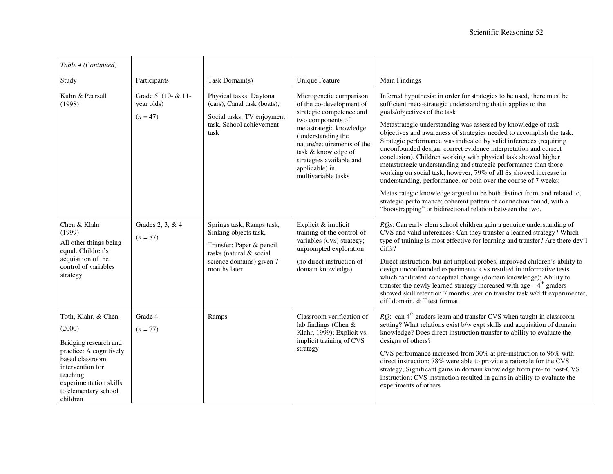| Table 4 (Continued)                                                                                                                                                                                |                                                |                                                                                                                                                       |                                                                                                                                                                                                                                                                                 |                                                                                                                                                                                                                                                                                                                                                                                                                                                                                                                                                                                                                                                                                                                                                                                                                                                                                                                                                             |
|----------------------------------------------------------------------------------------------------------------------------------------------------------------------------------------------------|------------------------------------------------|-------------------------------------------------------------------------------------------------------------------------------------------------------|---------------------------------------------------------------------------------------------------------------------------------------------------------------------------------------------------------------------------------------------------------------------------------|-------------------------------------------------------------------------------------------------------------------------------------------------------------------------------------------------------------------------------------------------------------------------------------------------------------------------------------------------------------------------------------------------------------------------------------------------------------------------------------------------------------------------------------------------------------------------------------------------------------------------------------------------------------------------------------------------------------------------------------------------------------------------------------------------------------------------------------------------------------------------------------------------------------------------------------------------------------|
| Study                                                                                                                                                                                              | Participants                                   | Task Domain(s)                                                                                                                                        | <b>Unique Feature</b>                                                                                                                                                                                                                                                           | <b>Main Findings</b>                                                                                                                                                                                                                                                                                                                                                                                                                                                                                                                                                                                                                                                                                                                                                                                                                                                                                                                                        |
| Kuhn & Pearsall<br>(1998)                                                                                                                                                                          | Grade 5 (10- & 11-<br>year olds)<br>$(n = 47)$ | Physical tasks: Daytona<br>(cars), Canal task (boats);<br>Social tasks: TV enjoyment<br>task, School achievement<br>task                              | Microgenetic comparison<br>of the co-development of<br>strategic competence and<br>two components of<br>metastrategic knowledge<br>(understanding the<br>nature/requirements of the<br>task & knowledge of<br>strategies available and<br>applicable) in<br>multivariable tasks | Inferred hypothesis: in order for strategies to be used, there must be<br>sufficient meta-strategic understanding that it applies to the<br>goals/objectives of the task<br>Metastrategic understanding was assessed by knowledge of task<br>objectives and awareness of strategies needed to accomplish the task.<br>Strategic performance was indicated by valid inferences (requiring<br>unconfounded design, correct evidence interpretation and correct<br>conclusion). Children working with physical task showed higher<br>metastrategic understanding and strategic performance than those<br>working on social task; however, 79% of all Ss showed increase in<br>understanding, performance, or both over the course of 7 weeks;<br>Metastrategic knowledge argued to be both distinct from, and related to,<br>strategic performance; coherent pattern of connection found, with a<br>"bootstrapping" or bidirectional relation between the two. |
| Chen & Klahr<br>(1999)<br>All other things being<br>equal: Children's<br>acquisition of the<br>control of variables<br>strategy                                                                    | Grades 2, 3, & 4<br>$(n = 87)$                 | Springs task, Ramps task,<br>Sinking objects task,<br>Transfer: Paper & pencil<br>tasks (natural & social<br>science domains) given 7<br>months later | Explicit & implicit<br>training of the control-of-<br>variables (CVS) strategy;<br>unprompted exploration<br>(no direct instruction of<br>domain knowledge)                                                                                                                     | RQs: Can early elem school children gain a genuine understanding of<br>CVS and valid inferences? Can they transfer a learned strategy? Which<br>type of training is most effective for learning and transfer? Are there dev'l<br>diffs?<br>Direct instruction, but not implicit probes, improved children's ability to<br>design unconfounded experiments; CVS resulted in informative tests<br>which facilitated conceptual change (domain knowledge); Ability to<br>transfer the newly learned strategy increased with age $-4th$ graders<br>showed skill retention 7 months later on transfer task w/diff experimenter,<br>diff domain, diff test format                                                                                                                                                                                                                                                                                                 |
| Toth, Klahr, & Chen<br>(2000)<br>Bridging research and<br>practice: A cognitively<br>based classroom<br>intervention for<br>teaching<br>experimentation skills<br>to elementary school<br>children | Grade 4<br>$(n = 77)$                          | Ramps                                                                                                                                                 | Classroom verification of<br>lab findings (Chen &<br>Klahr, 1999); Explicit vs.<br>implicit training of CVS<br>strategy                                                                                                                                                         | $RQ$ : can 4 <sup>th</sup> graders learn and transfer CVS when taught in classroom<br>setting? What relations exist b/w expt skills and acquisition of domain<br>knowledge? Does direct instruction transfer to ability to evaluate the<br>designs of others?<br>CVS performance increased from 30% at pre-instruction to 96% with<br>direct instruction; 78% were able to provide a rationale for the CVS<br>strategy; Significant gains in domain knowledge from pre- to post-CVS<br>instruction; CVS instruction resulted in gains in ability to evaluate the<br>experiments of others                                                                                                                                                                                                                                                                                                                                                                   |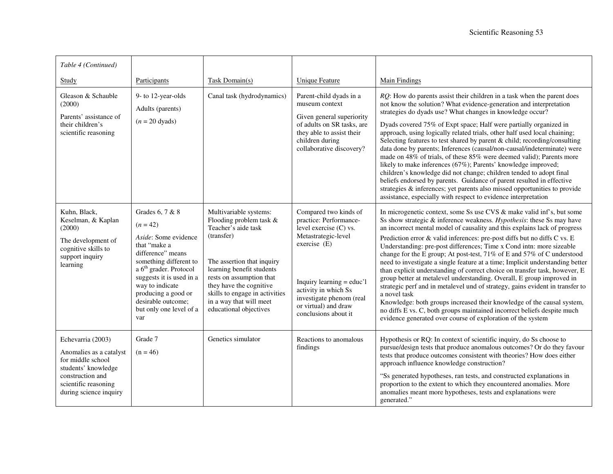| Table 4 (Continued)                                                                                                                                            |                                                                                                                                                                                                                                                                                          |                                                                                                                                                                                                                                                                                                 |                                                                                                                                                                                                                                                        |                                                                                                                                                                                                                                                                                                                                                                                                                                                                                                                                                                                                                                                                                                                                                                                                                                                                                                                                                                                                                        |
|----------------------------------------------------------------------------------------------------------------------------------------------------------------|------------------------------------------------------------------------------------------------------------------------------------------------------------------------------------------------------------------------------------------------------------------------------------------|-------------------------------------------------------------------------------------------------------------------------------------------------------------------------------------------------------------------------------------------------------------------------------------------------|--------------------------------------------------------------------------------------------------------------------------------------------------------------------------------------------------------------------------------------------------------|------------------------------------------------------------------------------------------------------------------------------------------------------------------------------------------------------------------------------------------------------------------------------------------------------------------------------------------------------------------------------------------------------------------------------------------------------------------------------------------------------------------------------------------------------------------------------------------------------------------------------------------------------------------------------------------------------------------------------------------------------------------------------------------------------------------------------------------------------------------------------------------------------------------------------------------------------------------------------------------------------------------------|
| Study                                                                                                                                                          | Participants                                                                                                                                                                                                                                                                             | Task Domain(s)                                                                                                                                                                                                                                                                                  | <b>Unique Feature</b>                                                                                                                                                                                                                                  | <b>Main Findings</b>                                                                                                                                                                                                                                                                                                                                                                                                                                                                                                                                                                                                                                                                                                                                                                                                                                                                                                                                                                                                   |
| Gleason & Schauble<br>(2000)<br>Parents' assistance of<br>their children's<br>scientific reasoning                                                             | 9- to 12-year-olds<br>Adults (parents)<br>$(n = 20 \text{ dyads})$                                                                                                                                                                                                                       | Canal task (hydrodynamics)                                                                                                                                                                                                                                                                      | Parent-child dyads in a<br>museum context<br>Given general superiority<br>of adults on SR tasks, are<br>they able to assist their<br>children during<br>collaborative discovery?                                                                       | $RQ$ : How do parents assist their children in a task when the parent does<br>not know the solution? What evidence-generation and interpretation<br>strategies do dyads use? What changes in knowledge occur?<br>Dyads covered 75% of Expt space; Half were partially organized in<br>approach, using logically related trials, other half used local chaining;<br>Selecting features to test shared by parent & child; recording/consulting<br>data done by parents; Inferences (causal/non-causal/indeterminate) were<br>made on 48% of trials, of these 85% were deemed valid); Parents more<br>likely to make inferences (67%); Parents' knowledge improved;<br>children's knowledge did not change; children tended to adopt final<br>beliefs endorsed by parents. Guidance of parent resulted in effective<br>strategies $\&$ inferences; yet parents also missed opportunities to provide<br>assistance, especially with respect to evidence interpretation                                                     |
| Kuhn, Black,<br>Keselman, & Kaplan<br>(2000)<br>The development of<br>cognitive skills to<br>support inquiry<br>learning                                       | Grades 6, 7 & 8<br>$(n = 42)$<br>Aside: Some evidence<br>that "make a<br>difference" means<br>something different to<br>a 6 <sup>th</sup> grader. Protocol<br>suggests it is used in a<br>way to indicate<br>producing a good or<br>desirable outcome;<br>but only one level of a<br>var | Multivariable systems:<br>Flooding problem task &<br>Teacher's aide task<br>(transfer)<br>The assertion that inquiry<br>learning benefit students<br>rests on assumption that<br>they have the cognitive<br>skills to engage in activities<br>in a way that will meet<br>educational objectives | Compared two kinds of<br>practice: Performance-<br>level exercise (C) vs.<br>Metastrategic-level<br>exercise $(E)$<br>Inquiry learning $=$ educ'l<br>activity in which Ss<br>investigate phenom (real<br>or virtual) and draw<br>conclusions about it. | In microgenetic context, some Ss use CVS & make valid inf's, but some<br>Ss show strategic & inference weakness. Hypothesis: these Ss may have<br>an incorrect mental model of causality and this explains lack of progress<br>Prediction error & valid inferences: pre-post diffs but no diffs C vs. E<br>Understanding: pre-post differences; Time x Cond intn: more sizeable<br>change for the E group; At post-test, 71% of E and 57% of C understood<br>need to investigate a single feature at a time; Implicit understanding better<br>than explicit understanding of correct choice on transfer task, however, E<br>group better at metalevel understanding. Overall, E group improved in<br>strategic perf and in metalevel und of strategy, gains evident in transfer to<br>a novel task<br>Knowledge: both groups increased their knowledge of the causal system,<br>no diffs E vs. C, both groups maintained incorrect beliefs despite much<br>evidence generated over course of exploration of the system |
| Echevarria (2003)<br>Anomalies as a catalyst<br>for middle school<br>students' knowledge<br>construction and<br>scientific reasoning<br>during science inquiry | Grade 7<br>$(n = 46)$                                                                                                                                                                                                                                                                    | Genetics simulator                                                                                                                                                                                                                                                                              | Reactions to anomalous<br>findings                                                                                                                                                                                                                     | Hypothesis or RQ: In context of scientific inquiry, do Ss choose to<br>pursue/design tests that produce anomalous outcomes? Or do they favour<br>tests that produce outcomes consistent with theories? How does either<br>approach influence knowledge construction?<br>"Ss generated hypotheses, ran tests, and constructed explanations in<br>proportion to the extent to which they encountered anomalies. More<br>anomalies meant more hypotheses, tests and explanations were<br>generated."                                                                                                                                                                                                                                                                                                                                                                                                                                                                                                                      |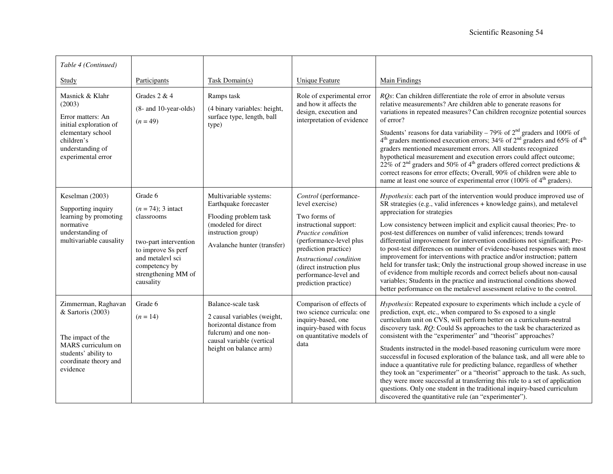| Table 4 (Continued)                                                                                                                                   |                                                                                                                                                                        |                                                                                                                                                               |                                                                                                                                                                                                                                                                     |                                                                                                                                                                                                                                                                                                                                                                                                                                                                                                                                                                                                                                                                                                                                                                                                                                                                                                     |
|-------------------------------------------------------------------------------------------------------------------------------------------------------|------------------------------------------------------------------------------------------------------------------------------------------------------------------------|---------------------------------------------------------------------------------------------------------------------------------------------------------------|---------------------------------------------------------------------------------------------------------------------------------------------------------------------------------------------------------------------------------------------------------------------|-----------------------------------------------------------------------------------------------------------------------------------------------------------------------------------------------------------------------------------------------------------------------------------------------------------------------------------------------------------------------------------------------------------------------------------------------------------------------------------------------------------------------------------------------------------------------------------------------------------------------------------------------------------------------------------------------------------------------------------------------------------------------------------------------------------------------------------------------------------------------------------------------------|
| Study                                                                                                                                                 | Participants                                                                                                                                                           | Task Domain(s)                                                                                                                                                | <b>Unique Feature</b>                                                                                                                                                                                                                                               | <b>Main Findings</b>                                                                                                                                                                                                                                                                                                                                                                                                                                                                                                                                                                                                                                                                                                                                                                                                                                                                                |
| Masnick & Klahr<br>(2003)<br>Error matters: An<br>initial exploration of<br>elementary school<br>children's<br>understanding of<br>experimental error | Grades 2 & 4<br>(8- and 10-year-olds)<br>$(n = 49)$                                                                                                                    | Ramps task<br>(4 binary variables: height,<br>surface type, length, ball<br>type)                                                                             | Role of experimental error<br>and how it affects the<br>design, execution and<br>interpretation of evidence                                                                                                                                                         | $RQs$ : Can children differentiate the role of error in absolute versus<br>relative measurements? Are children able to generate reasons for<br>variations in repeated measures? Can children recognize potential sources<br>of error?<br>Students' reasons for data variability – 79% of 2 <sup>nd</sup> graders and 100% of 4 <sup>th</sup> graders mentioned execution errors; 34% of 2 <sup>nd</sup> graders and 65% of 4 <sup>th</sup><br>graders mentioned measurement errors. All students recognized<br>hypothetical measurement and execution errors could affect outcome;<br>22% of 2 <sup>nd</sup> graders and 50% of 4 <sup>th</sup> graders offered correct predictions &<br>correct reasons for error effects; Overall, 90% of children were able to<br>name at least one source of experimental error (100% of 4 <sup>th</sup> graders).                                              |
| Keselman (2003)<br>Supporting inquiry<br>learning by promoting<br>normative<br>understanding of<br>multivariable causality                            | Grade 6<br>$(n = 74)$ ; 3 intact<br>classrooms<br>two-part intervention<br>to improve Ss perf<br>and metalevl sci<br>competency by<br>strengthening MM of<br>causality | Multivariable systems:<br>Earthquake forecaster<br>Flooding problem task<br>(modeled for direct<br>instruction group)<br>Avalanche hunter (transfer)          | Control (performance-<br>level exercise)<br>Two forms of<br>instructional support:<br>Practice condition<br>(performance-level plus<br>prediction practice)<br>Instructional condition<br>(direct instruction plus<br>performance-level and<br>prediction practice) | Hypothesis: each part of the intervention would produce improved use of<br>SR strategies (e.g., valid inferences + knowledge gains), and metalevel<br>appreciation for strategies<br>Low consistency between implicit and explicit causal theories; Pre- to<br>post-test differences on number of valid inferences; trends toward<br>differential improvement for intervention conditions not significant; Pre-<br>to post-test differences on number of evidence-based responses with most<br>improvement for interventions with practice and/or instruction; pattern<br>held for transfer task; Only the instructional group showed increase in use<br>of evidence from multiple records and correct beliefs about non-causal<br>variables; Students in the practice and instructional conditions showed<br>better performance on the metalevel assessment relative to the control.               |
| Zimmerman, Raghavan<br>& Sartoris (2003)<br>The impact of the<br>MARS curriculum on<br>students' ability to<br>coordinate theory and<br>evidence      | Grade 6<br>$(n = 14)$                                                                                                                                                  | Balance-scale task<br>2 causal variables (weight,<br>horizontal distance from<br>fulcrum) and one non-<br>causal variable (vertical<br>height on balance arm) | Comparison of effects of<br>two science curricula: one<br>inquiry-based, one<br>inquiry-based with focus<br>on quantitative models of<br>data                                                                                                                       | Hypothesis: Repeated exposure to experiments which include a cycle of<br>prediction, expt, etc., when compared to Ss exposed to a single<br>curriculum unit on CVS, will perform better on a curriculum-neutral<br>discovery task. $RQ$ : Could Ss approaches to the task be characterized as<br>consistent with the "experimenter" and "theorist" approaches?<br>Students instructed in the model-based reasoning curriculum were more<br>successful in focused exploration of the balance task, and all were able to<br>induce a quantitative rule for predicting balance, regardless of whether<br>they took an "experimenter" or a "theorist" approach to the task. As such,<br>they were more successful at transferring this rule to a set of application<br>questions. Only one student in the traditional inquiry-based curriculum<br>discovered the quantitative rule (an "experimenter"). |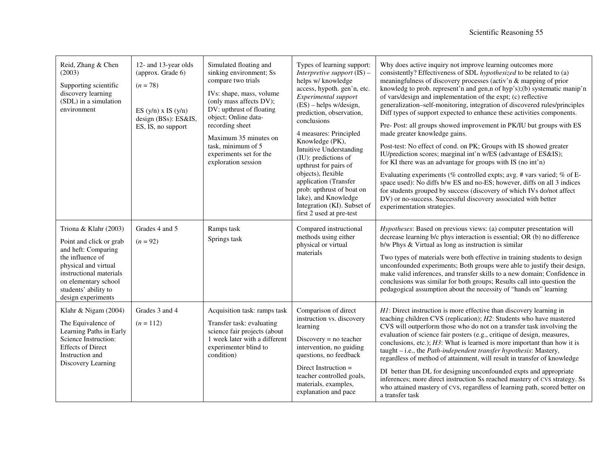| Reid, Zhang & Chen<br>(2003)<br>Supporting scientific<br>discovery learning<br>(SDL) in a simulation<br>environment                                                                                                  | 12- and 13-year olds<br>(approx. Grade 6)<br>$(n = 78)$<br>ES $(y/n)$ x IS $(y/n)$<br>design (BSs): ES&IS,<br>ES, IS, no support | Simulated floating and<br>sinking environment; Ss<br>compare two trials<br>IVs: shape, mass, volume<br>(only mass affects DV);<br>DV: upthrust of floating<br>object; Online data-<br>recording sheet<br>Maximum 35 minutes on<br>task, minimum of 5<br>experiments set for the<br>exploration session | Types of learning support:<br>Interpretive support $(IS)$ –<br>helps w/ knowledge<br>access, hypoth. gen'n, etc.<br>Experimental support<br>$(ES)$ – helps w/design,<br>prediction, observation,<br>conclusions<br>4 measures: Principled<br>Knowledge (PK),<br>Intuitive Understanding<br>(IU): predictions of<br>upthrust for pairs of<br>objects), flexible<br>application (Transfer<br>prob: upthrust of boat on<br>lake), and Knowledge<br>Integration (KI). Subset of<br>first 2 used at pre-test | Why does active inquiry not improve learning outcomes more<br>consistently? Effectiveness of SDL hypothesized to be related to (a)<br>meaningfulness of discovery processes (activ'n & mapping of prior<br>knowledg to prob. represent'n and gen,n of hyp's);(b) systematic manip'n<br>of vars/design and implementation of the expt; (c) reflective<br>generalization-self-monitoring, integration of discovered rules/principles<br>Diff types of support expected to enhance these activities components.<br>Pre-Post: all groups showed improvement in PK/IU but groups with ES<br>made greater knowledge gains.<br>Post-test: No effect of cond. on PK; Groups with IS showed greater<br>IU/prediction scores; marginal int'n w/ES (advantage of ES&IS);<br>for KI there was an advantage for groups with IS (no int'n)<br>Evaluating experiments (% controlled expts; avg. # vars varied; % of E-<br>space used): No diffs b/w ES and no-ES; however, diffs on all 3 indices<br>for students grouped by success (discovery of which IVs do/not affect<br>DV) or no-success. Successful discovery associated with better<br>experimentation strategies. |
|----------------------------------------------------------------------------------------------------------------------------------------------------------------------------------------------------------------------|----------------------------------------------------------------------------------------------------------------------------------|--------------------------------------------------------------------------------------------------------------------------------------------------------------------------------------------------------------------------------------------------------------------------------------------------------|---------------------------------------------------------------------------------------------------------------------------------------------------------------------------------------------------------------------------------------------------------------------------------------------------------------------------------------------------------------------------------------------------------------------------------------------------------------------------------------------------------|--------------------------------------------------------------------------------------------------------------------------------------------------------------------------------------------------------------------------------------------------------------------------------------------------------------------------------------------------------------------------------------------------------------------------------------------------------------------------------------------------------------------------------------------------------------------------------------------------------------------------------------------------------------------------------------------------------------------------------------------------------------------------------------------------------------------------------------------------------------------------------------------------------------------------------------------------------------------------------------------------------------------------------------------------------------------------------------------------------------------------------------------------------------|
| Triona & Klahr (2003)<br>Point and click or grab<br>and heft: Comparing<br>the influence of<br>physical and virtual<br>instructional materials<br>on elementary school<br>students' ability to<br>design experiments | Grades 4 and 5<br>$(n = 92)$                                                                                                     | Ramps task<br>Springs task                                                                                                                                                                                                                                                                             | Compared instructional<br>methods using either<br>physical or virtual<br>materials                                                                                                                                                                                                                                                                                                                                                                                                                      | Hypotheses: Based on previous views: (a) computer presentation will<br>decrease learning b/c phys interaction is essential; OR (b) no difference<br>b/w Phys & Virtual as long as instruction is similar<br>Two types of materials were both effective in training students to design<br>unconfounded experiments; Both groups were able to justify their design,<br>make valid inferences, and transfer skills to a new domain; Confidence in<br>conclusions was similar for both groups; Results call into question the<br>pedagogical assumption about the necessity of "hands on" learning                                                                                                                                                                                                                                                                                                                                                                                                                                                                                                                                                               |
| Klahr & Nigam (2004)<br>The Equivalence of<br>Learning Paths in Early<br>Science Instruction:<br><b>Effects of Direct</b><br>Instruction and<br>Discovery Learning                                                   | Grades 3 and 4<br>$(n = 112)$                                                                                                    | Acquisition task: ramps task<br>Transfer task: evaluating<br>science fair projects (about<br>1 week later with a different<br>experimenter blind to<br>condition)                                                                                                                                      | Comparison of direct<br>instruction vs. discovery<br>learning<br>$Discount = no teacher$<br>intervention, no guiding<br>questions, no feedback<br>Direct Instruction $=$<br>teacher controlled goals,<br>materials, examples,<br>explanation and pace                                                                                                                                                                                                                                                   | H1: Direct instruction is more effective than discovery learning in<br>teaching children CVS (replication); H2: Students who have mastered<br>CVS will outperform those who do not on a transfer task involving the<br>evaluation of science fair posters (e.g., critique of design, measures,<br>conclusions, etc.); $H3$ : What is learned is more important than how it is<br>taught $-$ i.e., the Path-independent transfer hypothesis: Mastery,<br>regardless of method of attainment, will result in transfer of knowledge<br>DI better than DL for designing unconfounded expts and appropriate<br>inferences; more direct instruction Ss reached mastery of CVS strategy. Ss<br>who attained mastery of CVS, regardless of learning path, scored better on<br>a transfer task                                                                                                                                                                                                                                                                                                                                                                        |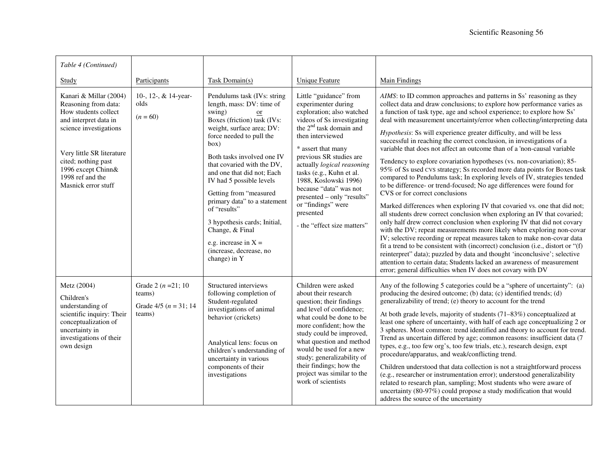| Table 4 (Continued)                                                                                                                                                                                                                            |                                                                            |                                                                                                                                                                                                                                                                                                                                                                                                                                                                                                    |                                                                                                                                                                                                                                                                                                                                                                                                                                   |                                                                                                                                                                                                                                                                                                                                                                                                                                                                                                                                                                                                                                                                                                                                                                                                                                                                                                                                                                                                                                                                                                                                                                                                                                                                                                                                                                                                                                                                                                                                                                              |
|------------------------------------------------------------------------------------------------------------------------------------------------------------------------------------------------------------------------------------------------|----------------------------------------------------------------------------|----------------------------------------------------------------------------------------------------------------------------------------------------------------------------------------------------------------------------------------------------------------------------------------------------------------------------------------------------------------------------------------------------------------------------------------------------------------------------------------------------|-----------------------------------------------------------------------------------------------------------------------------------------------------------------------------------------------------------------------------------------------------------------------------------------------------------------------------------------------------------------------------------------------------------------------------------|------------------------------------------------------------------------------------------------------------------------------------------------------------------------------------------------------------------------------------------------------------------------------------------------------------------------------------------------------------------------------------------------------------------------------------------------------------------------------------------------------------------------------------------------------------------------------------------------------------------------------------------------------------------------------------------------------------------------------------------------------------------------------------------------------------------------------------------------------------------------------------------------------------------------------------------------------------------------------------------------------------------------------------------------------------------------------------------------------------------------------------------------------------------------------------------------------------------------------------------------------------------------------------------------------------------------------------------------------------------------------------------------------------------------------------------------------------------------------------------------------------------------------------------------------------------------------|
| Study                                                                                                                                                                                                                                          | Participants                                                               | Task Domain(s)                                                                                                                                                                                                                                                                                                                                                                                                                                                                                     | <b>Unique Feature</b>                                                                                                                                                                                                                                                                                                                                                                                                             | <b>Main Findings</b>                                                                                                                                                                                                                                                                                                                                                                                                                                                                                                                                                                                                                                                                                                                                                                                                                                                                                                                                                                                                                                                                                                                                                                                                                                                                                                                                                                                                                                                                                                                                                         |
| Kanari & Millar (2004)<br>Reasoning from data:<br>How students collect<br>and interpret data in<br>science investigations<br>Very little SR literature<br>cited; nothing past<br>1996 except Chinn&<br>1998 ref and the<br>Masnick error stuff | 10-, 12-, & 14-year-<br>olds<br>$(n = 60)$                                 | Pendulums task (IVs: string<br>length, mass: DV: time of<br>swing)<br>$or$<br>Boxes (friction) task (IVs:<br>weight, surface area; DV:<br>force needed to pull the<br>box)<br>Both tasks involved one IV<br>that covaried with the DV,<br>and one that did not; Each<br>IV had 5 possible levels<br>Getting from "measured<br>primary data" to a statement<br>of "results"<br>3 hypothesis cards; Initial,<br>Change, & Final<br>e.g. increase in $X =$<br>(increase, decrease, no<br>change) in Y | Little "guidance" from<br>experimenter during<br>exploration; also watched<br>videos of Ss investigating<br>the 2 <sup>nd</sup> task domain and<br>then interviewed<br>* assert that many<br>previous SR studies are<br>actually logical reasoning<br>tasks (e.g., Kuhn et al.<br>1988, Koslowski 1996)<br>because "data" was not<br>presented - only "results"<br>or "findings" were<br>presented<br>- the "effect size matters" | AIMS: to ID common approaches and patterns in Ss' reasoning as they<br>collect data and draw conclusions; to explore how performance varies as<br>a function of task type, age and school experience; to explore how Ss'<br>deal with measurement uncertainty/error when collecting/interpreting data<br>Hypothesis: Ss will experience greater difficulty, and will be less<br>successful in reaching the correct conclusion, in investigations of a<br>variable that does not affect an outcome than of a 'non-causal variable<br>Tendency to explore covariation hypotheses (vs. non-covariation); 85-<br>95% of Ss used CVS strategy; Ss recorded more data points for Boxes task<br>compared to Pendulums task; In exploring levels of IV, strategies tended<br>to be difference- or trend-focused; No age differences were found for<br>CVS or for correct conclusions<br>Marked differences when exploring IV that covaried vs. one that did not;<br>all students drew correct conclusion when exploring an IV that covaried;<br>only half drew correct conclusion when exploring IV that did not covary<br>with the DV; repeat measurements more likely when exploring non-covar<br>IV; selective recording or repeat measures taken to make non-covar data<br>fit a trend to be consistent with (incorrect) conclusion (i.e., distort or "(f)<br>reinterpret" data); puzzled by data and thought 'inconclusive'; selective<br>attention to certain data; Students lacked an awareness of measurement<br>error; general difficulties when IV does not covary with DV |
| Metz (2004)<br>Children's<br>understanding of<br>scientific inquiry: Their<br>conceptualization of<br>uncertainty in<br>investigations of their<br>own design                                                                                  | Grade 2 ( $n = 21$ ; 10<br>teams)<br>Grade $4/5$ ( $n = 31$ ; 14<br>teams) | Structured interviews<br>following completion of<br>Student-regulated<br>investigations of animal<br>behavior (crickets)<br>Analytical lens: focus on<br>children's understanding of<br>uncertainty in various<br>components of their<br>investigations                                                                                                                                                                                                                                            | Children were asked<br>about their research<br>question; their findings<br>and level of confidence;<br>what could be done to be<br>more confident; how the<br>study could be improved,<br>what question and method<br>would be used for a new<br>study; generalizability of<br>their findings; how the<br>project was similar to the<br>work of scientists                                                                        | Any of the following 5 categories could be a "sphere of uncertainty": (a)<br>producing the desired outcome; (b) data; (c) identified trends; (d)<br>generalizability of trend; (e) theory to account for the trend<br>At both grade levels, majority of students (71–83%) conceptualized at<br>least one sphere of uncertainty, with half of each age conceptualizing 2 or<br>3 spheres. Most common: trend identified and theory to account for trend.<br>Trend as uncertain differed by age; common reasons: insufficient data (7<br>types, e.g., too few org's, too few trials, etc.), research design, expt<br>procedure/apparatus, and weak/conflicting trend.<br>Children understood that data collection is not a straightforward process<br>(e.g., researcher or instrumentation error); understood generalizability<br>related to research plan, sampling; Most students who were aware of<br>uncertainty (80-97%) could propose a study modification that would<br>address the source of the uncertainty                                                                                                                                                                                                                                                                                                                                                                                                                                                                                                                                                           |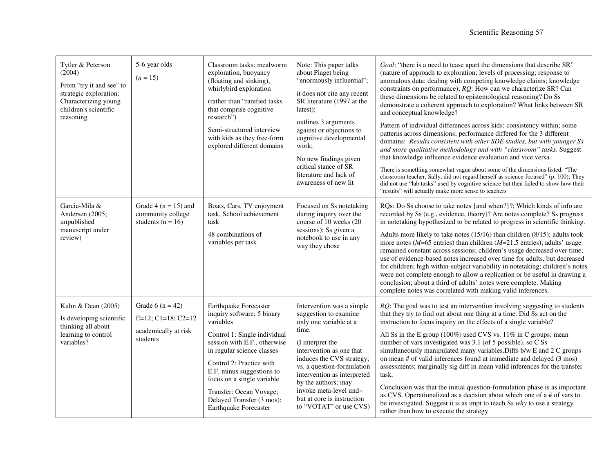| Tytler & Peterson<br>(2004)<br>From "try it and see" to<br>strategic exploration:<br>Characterizing young<br>children's scientific<br>reasoning | 5-6 year olds<br>$(n = 15)$                                                       | Classroom tasks: mealworm<br>exploration, buoyancy<br>(floating and sinking),<br>whirlybird exploration<br>(rather than "rarefied tasks<br>that comprise cognitive<br>research")<br>Semi-structured interview<br>with kids as they free-form<br>explored different domains                                                             | Note: This paper talks<br>about Piaget being<br>"enormously influential";<br>it does not cite any recent<br>SR literature (1997 at the<br>latest);<br>outlines 3 arguments<br>against or objections to<br>cognitive developmental<br>work;<br>No new findings given<br>critical stance of SR<br>literature and lack of<br>awareness of new lit | Goal: "there is a need to tease apart the dimensions that describe SR"<br>(nature of approach to exploration; levels of processing; response to<br>anomalous data; dealing with competing knowledge claims; knowledge<br>constraints on performance); $RQ$ : How can we characterize SR? Can<br>these dimensions be related to epistemological reasoning? Do Ss<br>demonstrate a coherent approach to exploration? What links between SR<br>and conceptual knowledge?<br>Pattern of individual differences across kids; consistency within; some<br>patterns across dimensions; performance differed for the 3 different<br>domains: Results consistent with other SDE studies, but with younger Ss<br>and more qualitative methodology and with "classroom" tasks. Suggest<br>that knowledge influence evidence evaluation and vice versa.<br>There is something somewhat vague about some of the dimensions listed; "The<br>classroom teacher, Sally, did not regard herself as science-focused" (p. 100); They<br>did not use "lab tasks" used by cognitive science but then failed to show how their<br>"results" will actually make more sense to teachers |
|-------------------------------------------------------------------------------------------------------------------------------------------------|-----------------------------------------------------------------------------------|----------------------------------------------------------------------------------------------------------------------------------------------------------------------------------------------------------------------------------------------------------------------------------------------------------------------------------------|------------------------------------------------------------------------------------------------------------------------------------------------------------------------------------------------------------------------------------------------------------------------------------------------------------------------------------------------|-----------------------------------------------------------------------------------------------------------------------------------------------------------------------------------------------------------------------------------------------------------------------------------------------------------------------------------------------------------------------------------------------------------------------------------------------------------------------------------------------------------------------------------------------------------------------------------------------------------------------------------------------------------------------------------------------------------------------------------------------------------------------------------------------------------------------------------------------------------------------------------------------------------------------------------------------------------------------------------------------------------------------------------------------------------------------------------------------------------------------------------------------------------------|
| Garcia-Mila &<br>Andersen (2005;<br>unpublished<br>manuscript under<br>review)                                                                  | Grade 4 ( $n = 15$ ) and<br>community college<br>students ( $n = 16$ )            | Boats, Cars, TV enjoyment<br>task, School achievement<br>task<br>48 combinations of<br>variables per task                                                                                                                                                                                                                              | Focused on Ss notetaking<br>during inquiry over the<br>course of 10 weeks (20<br>sessions); Ss given a<br>notebook to use in any<br>way they chose                                                                                                                                                                                             | RQs: Do Ss choose to take notes {and when?}?; Which kinds of info are<br>recorded by Ss (e.g., evidence, theory)? Are notes complete? Ss progress<br>in notetaking hypothesized to be related to progress in scientific thinking.<br>Adults more likely to take notes (15/16) than children (8/15); adults took<br>more notes ( $M=65$ entries) than children ( $M=21.5$ entries); adults' usage<br>remained constant across sessions; children's usage decreased over time;<br>use of evidence-based notes increased over time for adults, but decreased<br>for children; high within-subject variability in notetaking; children's notes<br>were not complete enough to allow a replication or be useful in drawing a<br>conclusion; about a third of adults' notes were complete. Making<br>complete notes was correlated with making valid inferences.                                                                                                                                                                                                                                                                                                      |
| Kuhn & Dean (2005)<br>Is developing scientific<br>thinking all about<br>learning to control<br>variables?                                       | Grade 6 ( $n = 42$ )<br>$E=12$ ; C1=18; C2=12<br>academically at risk<br>students | Earthquake Forecaster<br>inquiry software; 5 binary<br>variables<br>Control 1: Single individual<br>session with E.F., otherwise<br>in regular science classes<br>Control 2: Practice with<br>E.F. minus suggestions to<br>focus on a single variable<br>Transfer: Ocean Voyage;<br>Delayed Transfer (3 mos):<br>Earthquake Forecaster | Intervention was a simple<br>suggestion to examine<br>only one variable at a<br>time.<br>(I interpret the<br>intervention as one that<br>induces the CVS strategy;<br>vs. a question-formulation<br>intervention as interpreted<br>by the authors; may<br>invoke meta-level und~<br>but at core is instruction<br>to "VOTAT" or use CVS)       | $RQ$ : The goal was to test an intervention involving suggesting to students<br>that they try to find out about one thing at a time. Did Ss act on the<br>instruction to focus inquiry on the effects of a single variable?<br>All Ss in the E group (100%) used CVS vs. 11% in C groups; mean<br>number of vars investigated was 3.1 (of 5 possible), so C Ss<br>simultaneously manipulated many variables. Diffs b/w E and 2 C groups<br>on mean # of valid inferences found at immediate and delayed (3 mos)<br>assessments; marginally sig diff in mean valid inferences for the transfer<br>task.<br>Conclusion was that the initial question-formulation phase is as important<br>as CVS. Operationalized as a decision about which one of a # of vars to<br>be investigated. Suggest it is as impt to teach Ss why to use a strategy<br>rather than how to execute the strategy                                                                                                                                                                                                                                                                          |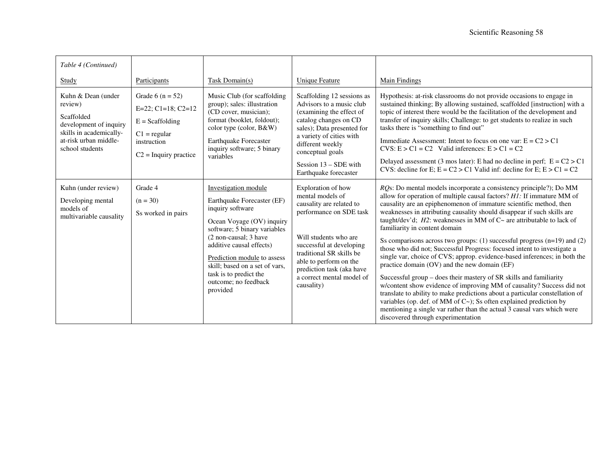| Table 4 (Continued)                                                                                                                          |                                                                                                                           |                                                                                                                                                                                                                                                                                                                         |                                                                                                                                                                                                                                                                                  |                                                                                                                                                                                                                                                                                                                                                                                                                                                                                                                                                                                                                                                                                                                                                                                                                                                                                                                                                                                                                                                                                                                                   |
|----------------------------------------------------------------------------------------------------------------------------------------------|---------------------------------------------------------------------------------------------------------------------------|-------------------------------------------------------------------------------------------------------------------------------------------------------------------------------------------------------------------------------------------------------------------------------------------------------------------------|----------------------------------------------------------------------------------------------------------------------------------------------------------------------------------------------------------------------------------------------------------------------------------|-----------------------------------------------------------------------------------------------------------------------------------------------------------------------------------------------------------------------------------------------------------------------------------------------------------------------------------------------------------------------------------------------------------------------------------------------------------------------------------------------------------------------------------------------------------------------------------------------------------------------------------------------------------------------------------------------------------------------------------------------------------------------------------------------------------------------------------------------------------------------------------------------------------------------------------------------------------------------------------------------------------------------------------------------------------------------------------------------------------------------------------|
| Study                                                                                                                                        | Participants                                                                                                              | Task Domain(s)                                                                                                                                                                                                                                                                                                          | Unique Feature                                                                                                                                                                                                                                                                   | Main Findings                                                                                                                                                                                                                                                                                                                                                                                                                                                                                                                                                                                                                                                                                                                                                                                                                                                                                                                                                                                                                                                                                                                     |
| Kuhn & Dean (under<br>review)<br>Scaffolded<br>development of inquiry<br>skills in academically-<br>at-risk urban middle-<br>school students | Grade $6 (n = 52)$<br>E=22; C1=18; C2=12<br>$E =$ Scaffolding<br>$C1 = regular$<br>instruction<br>$C2 =$ Inquiry practice | Music Club (for scaffolding<br>group); sales: illustration<br>(CD cover, musician);<br>format (booklet, foldout);<br>color type (color, B&W)<br>Earthquake Forecaster<br>inquiry software; 5 binary<br>variables                                                                                                        | Scaffolding 12 sessions as<br>Advisors to a music club<br>(examining the effect of<br>catalog changes on CD<br>sales); Data presented for<br>a variety of cities with<br>different weekly<br>conceptual goals<br>Session $13 - SDE$ with<br>Earthquake forecaster                | Hypothesis: at-risk classrooms do not provide occasions to engage in<br>sustained thinking; By allowing sustained, scaffolded [instruction] with a<br>topic of interest there would be the facilitation of the development and<br>transfer of inquiry skills; Challenge: to get students to realize in such<br>tasks there is "something to find out"<br>Immediate Assessment: Intent to focus on one var: $E = C2 > C1$<br>$CVS: E > C1 = C2$ Valid inferences: $E > C1 = C2$<br>Delayed assessment (3 mos later): E had no decline in perf; $E = C2 > C1$<br>CVS: decline for E; $E = C2 > C1$ Valid inf: decline for E; $E > C1 = C2$                                                                                                                                                                                                                                                                                                                                                                                                                                                                                          |
| Kuhn (under review)<br>Developing mental<br>models of<br>multivariable causality                                                             | Grade 4<br>$(n = 30)$<br>Ss worked in pairs                                                                               | Investigation module<br>Earthquake Forecaster (EF)<br>inquiry software<br>Ocean Voyage (OV) inquiry<br>software; 5 binary variables<br>(2 non-causal; 3 have<br>additive causal effects)<br>Prediction module to assess<br>skill; based on a set of vars,<br>task is to predict the<br>outcome: no feedback<br>provided | Exploration of how<br>mental models of<br>causality are related to<br>performance on SDE task<br>Will students who are<br>successful at developing<br>traditional SR skills be<br>able to perform on the<br>prediction task (aka have<br>a correct mental model of<br>causality) | RQs: Do mental models incorporate a consistency principle?); Do MM<br>allow for operation of multiple causal factors? H1: If immature MM of<br>causality are an epiphenomenon of immature scientific method, then<br>weaknesses in attributing causality should disappear if such skills are<br>taught/dev'd; $H2$ : weaknesses in MM of C $\sim$ are attributable to lack of<br>familiarity in content domain<br>Ss comparisons across two groups: $(1)$ successful progress $(n=19)$ and $(2)$<br>those who did not; Successful Progress: focused intent to investigate a<br>single var, choice of CVS; approp. evidence-based inferences; in both the<br>practice domain (OV) and the new domain (EF)<br>Successful group – does their mastery of SR skills and familiarity<br>w/content show evidence of improving MM of causality? Success did not<br>translate to ability to make predictions about a particular constellation of<br>variables (op. def. of MM of $C$ ~); Ss often explained prediction by<br>mentioning a single var rather than the actual 3 causal vars which were<br>discovered through experimentation |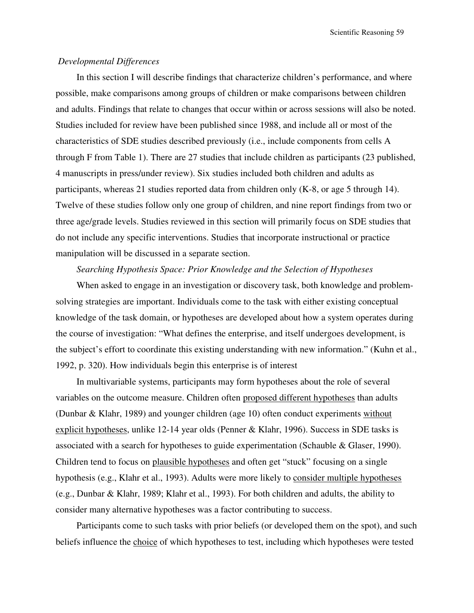## *Developmental Differences*

In this section I will describe findings that characterize children's performance, and where possible, make comparisons among groups of children or make comparisons between children and adults. Findings that relate to changes that occur within or across sessions will also be noted. Studies included for review have been published since 1988, and include all or most of the characteristics of SDE studies described previously (i.e., include components from cells A through F from Table 1). There are 27 studies that include children as participants (23 published, 4 manuscripts in press/under review). Six studies included both children and adults as participants, whereas 21 studies reported data from children only (K-8, or age 5 through 14). Twelve of these studies follow only one group of children, and nine report findings from two or three age/grade levels. Studies reviewed in this section will primarily focus on SDE studies that do not include any specific interventions. Studies that incorporate instructional or practice manipulation will be discussed in a separate section.

## *Searching Hypothesis Space: Prior Knowledge and the Selection of Hypotheses*

When asked to engage in an investigation or discovery task, both knowledge and problemsolving strategies are important. Individuals come to the task with either existing conceptual knowledge of the task domain, or hypotheses are developed about how a system operates during the course of investigation: "What defines the enterprise, and itself undergoes development, is the subject's effort to coordinate this existing understanding with new information." (Kuhn et al., 1992, p. 320). How individuals begin this enterprise is of interest

In multivariable systems, participants may form hypotheses about the role of several variables on the outcome measure. Children often proposed different hypotheses than adults (Dunbar & Klahr, 1989) and younger children (age 10) often conduct experiments without explicit hypotheses, unlike 12-14 year olds (Penner & Klahr, 1996). Success in SDE tasks is associated with a search for hypotheses to guide experimentation (Schauble & Glaser, 1990). Children tend to focus on plausible hypotheses and often get "stuck" focusing on a single hypothesis (e.g., Klahr et al., 1993). Adults were more likely to consider multiple hypotheses (e.g., Dunbar & Klahr, 1989; Klahr et al., 1993). For both children and adults, the ability to consider many alternative hypotheses was a factor contributing to success.

Participants come to such tasks with prior beliefs (or developed them on the spot), and such beliefs influence the choice of which hypotheses to test, including which hypotheses were tested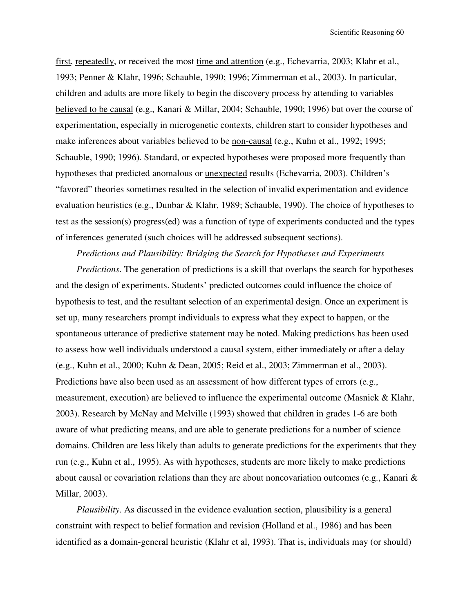first, repeatedly, or received the most time and attention (e.g., Echevarria, 2003; Klahr et al., 1993; Penner & Klahr, 1996; Schauble, 1990; 1996; Zimmerman et al., 2003). In particular, children and adults are more likely to begin the discovery process by attending to variables believed to be causal (e.g., Kanari & Millar, 2004; Schauble, 1990; 1996) but over the course of experimentation, especially in microgenetic contexts, children start to consider hypotheses and make inferences about variables believed to be non-causal (e.g., Kuhn et al., 1992; 1995; Schauble, 1990; 1996). Standard, or expected hypotheses were proposed more frequently than hypotheses that predicted anomalous or unexpected results (Echevarria, 2003). Children's "favored" theories sometimes resulted in the selection of invalid experimentation and evidence evaluation heuristics (e.g., Dunbar & Klahr, 1989; Schauble, 1990). The choice of hypotheses to test as the session(s) progress(ed) was a function of type of experiments conducted and the types of inferences generated (such choices will be addressed subsequent sections).

*Predictions and Plausibility: Bridging the Search for Hypotheses and Experiments*

*Predictions*. The generation of predictions is a skill that overlaps the search for hypotheses and the design of experiments. Students' predicted outcomes could influence the choice of hypothesis to test, and the resultant selection of an experimental design. Once an experiment is set up, many researchers prompt individuals to express what they expect to happen, or the spontaneous utterance of predictive statement may be noted. Making predictions has been used to assess how well individuals understood a causal system, either immediately or after a delay (e.g., Kuhn et al., 2000; Kuhn & Dean, 2005; Reid et al., 2003; Zimmerman et al., 2003). Predictions have also been used as an assessment of how different types of errors (e.g., measurement, execution) are believed to influence the experimental outcome (Masnick & Klahr, 2003). Research by McNay and Melville (1993) showed that children in grades 1-6 are both aware of what predicting means, and are able to generate predictions for a number of science domains. Children are less likely than adults to generate predictions for the experiments that they run (e.g., Kuhn et al., 1995). As with hypotheses, students are more likely to make predictions about causal or covariation relations than they are about noncovariation outcomes (e.g., Kanari & Millar, 2003).

*Plausibility*. As discussed in the evidence evaluation section, plausibility is a general constraint with respect to belief formation and revision (Holland et al., 1986) and has been identified as a domain-general heuristic (Klahr et al, 1993). That is, individuals may (or should)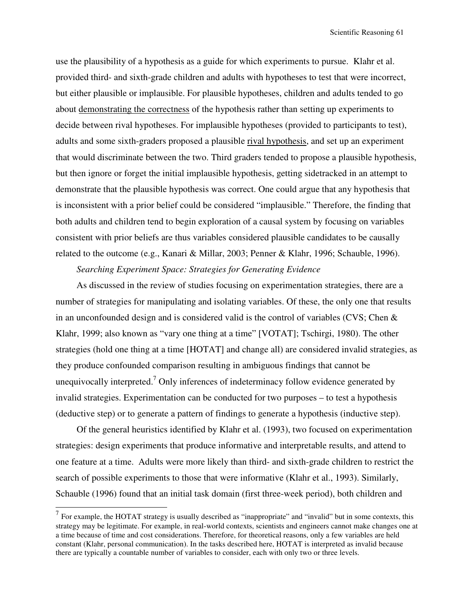use the plausibility of a hypothesis as a guide for which experiments to pursue. Klahr et al. provided third- and sixth-grade children and adults with hypotheses to test that were incorrect, but either plausible or implausible. For plausible hypotheses, children and adults tended to go about demonstrating the correctness of the hypothesis rather than setting up experiments to decide between rival hypotheses. For implausible hypotheses (provided to participants to test), adults and some sixth-graders proposed a plausible rival hypothesis, and set up an experiment that would discriminate between the two. Third graders tended to propose a plausible hypothesis, but then ignore or forget the initial implausible hypothesis, getting sidetracked in an attempt to demonstrate that the plausible hypothesis was correct. One could argue that any hypothesis that is inconsistent with a prior belief could be considered "implausible." Therefore, the finding that both adults and children tend to begin exploration of a causal system by focusing on variables consistent with prior beliefs are thus variables considered plausible candidates to be causally related to the outcome (e.g., Kanari & Millar, 2003; Penner & Klahr, 1996; Schauble, 1996).

## *Searching Experiment Space: Strategies for Generating Evidence*

As discussed in the review of studies focusing on experimentation strategies, there are a number of strategies for manipulating and isolating variables. Of these, the only one that results in an unconfounded design and is considered valid is the control of variables (CVS; Chen & Klahr, 1999; also known as "vary one thing at a time" [VOTAT]; Tschirgi, 1980). The other strategies (hold one thing at a time [HOTAT] and change all) are considered invalid strategies, as they produce confounded comparison resulting in ambiguous findings that cannot be unequivocally interpreted.<sup>7</sup> Only inferences of indeterminacy follow evidence generated by invalid strategies. Experimentation can be conducted for two purposes – to test a hypothesis (deductive step) or to generate a pattern of findings to generate a hypothesis (inductive step).

Of the general heuristics identified by Klahr et al. (1993), two focused on experimentation strategies: design experiments that produce informative and interpretable results, and attend to one feature at a time. Adults were more likely than third- and sixth-grade children to restrict the search of possible experiments to those that were informative (Klahr et al., 1993). Similarly, Schauble (1996) found that an initial task domain (first three-week period), both children and

 $<sup>7</sup>$  For example, the HOTAT strategy is usually described as "inappropriate" and "invalid" but in some contexts, this</sup> strategy may be legitimate. For example, in real-world contexts, scientists and engineers cannot make changes one at a time because of time and cost considerations. Therefore, for theoretical reasons, only a few variables are held constant (Klahr, personal communication). In the tasks described here, HOTAT is interpreted as invalid because there are typically a countable number of variables to consider, each with only two or three levels.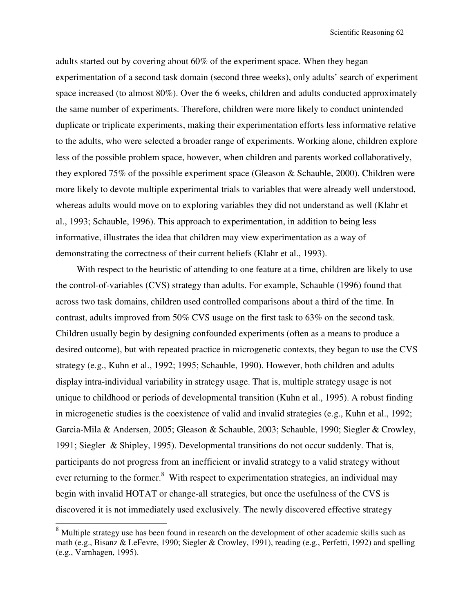adults started out by covering about 60% of the experiment space. When they began experimentation of a second task domain (second three weeks), only adults' search of experiment space increased (to almost 80%). Over the 6 weeks, children and adults conducted approximately the same number of experiments. Therefore, children were more likely to conduct unintended duplicate or triplicate experiments, making their experimentation efforts less informative relative to the adults, who were selected a broader range of experiments. Working alone, children explore less of the possible problem space, however, when children and parents worked collaboratively, they explored 75% of the possible experiment space (Gleason & Schauble, 2000). Children were more likely to devote multiple experimental trials to variables that were already well understood, whereas adults would move on to exploring variables they did not understand as well (Klahr et al., 1993; Schauble, 1996). This approach to experimentation, in addition to being less informative, illustrates the idea that children may view experimentation as a way of demonstrating the correctness of their current beliefs (Klahr et al., 1993).

With respect to the heuristic of attending to one feature at a time, children are likely to use the control-of-variables (CVS) strategy than adults. For example, Schauble (1996) found that across two task domains, children used controlled comparisons about a third of the time. In contrast, adults improved from 50% CVS usage on the first task to 63% on the second task. Children usually begin by designing confounded experiments (often as a means to produce a desired outcome), but with repeated practice in microgenetic contexts, they began to use the CVS strategy (e.g., Kuhn et al., 1992; 1995; Schauble, 1990). However, both children and adults display intra-individual variability in strategy usage. That is, multiple strategy usage is not unique to childhood or periods of developmental transition (Kuhn et al., 1995). A robust finding in microgenetic studies is the coexistence of valid and invalid strategies (e.g., Kuhn et al., 1992; Garcia-Mila & Andersen, 2005; Gleason & Schauble, 2003; Schauble, 1990; Siegler & Crowley, 1991; Siegler & Shipley, 1995). Developmental transitions do not occur suddenly. That is, participants do not progress from an inefficient or invalid strategy to a valid strategy without ever returning to the former.<sup>8</sup> With respect to experimentation strategies, an individual may begin with invalid HOTAT or change-all strategies, but once the usefulness of the CVS is discovered it is not immediately used exclusively. The newly discovered effective strategy

<sup>&</sup>lt;sup>8</sup> Multiple strategy use has been found in research on the development of other academic skills such as math (e.g., Bisanz & LeFevre, 1990; Siegler & Crowley, 1991), reading (e.g., Perfetti, 1992) and spelling (e.g., Varnhagen, 1995).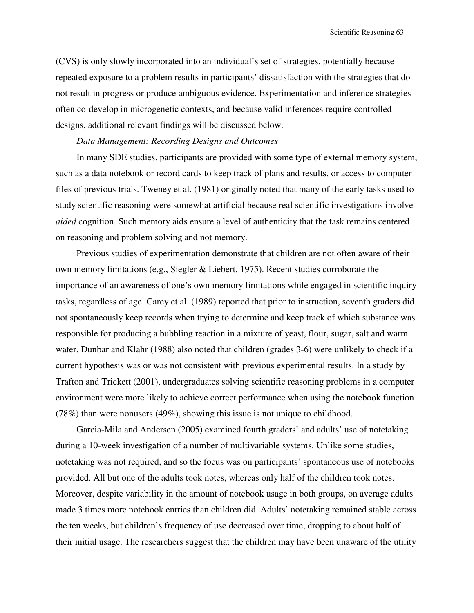(CVS) is only slowly incorporated into an individual's set of strategies, potentially because repeated exposure to a problem results in participants' dissatisfaction with the strategies that do not result in progress or produce ambiguous evidence. Experimentation and inference strategies often co-develop in microgenetic contexts, and because valid inferences require controlled designs, additional relevant findings will be discussed below.

### *Data Management: Recording Designs and Outcomes*

In many SDE studies, participants are provided with some type of external memory system, such as a data notebook or record cards to keep track of plans and results, or access to computer files of previous trials. Tweney et al. (1981) originally noted that many of the early tasks used to study scientific reasoning were somewhat artificial because real scientific investigations involve *aided* cognition. Such memory aids ensure a level of authenticity that the task remains centered on reasoning and problem solving and not memory.

Previous studies of experimentation demonstrate that children are not often aware of their own memory limitations (e.g., Siegler & Liebert, 1975). Recent studies corroborate the importance of an awareness of one's own memory limitations while engaged in scientific inquiry tasks, regardless of age. Carey et al. (1989) reported that prior to instruction, seventh graders did not spontaneously keep records when trying to determine and keep track of which substance was responsible for producing a bubbling reaction in a mixture of yeast, flour, sugar, salt and warm water. Dunbar and Klahr (1988) also noted that children (grades 3-6) were unlikely to check if a current hypothesis was or was not consistent with previous experimental results. In a study by Trafton and Trickett (2001), undergraduates solving scientific reasoning problems in a computer environment were more likely to achieve correct performance when using the notebook function (78%) than were nonusers (49%), showing this issue is not unique to childhood.

Garcia-Mila and Andersen (2005) examined fourth graders' and adults' use of notetaking during a 10-week investigation of a number of multivariable systems. Unlike some studies, notetaking was not required, and so the focus was on participants' spontaneous use of notebooks provided. All but one of the adults took notes, whereas only half of the children took notes. Moreover, despite variability in the amount of notebook usage in both groups, on average adults made 3 times more notebook entries than children did. Adults' notetaking remained stable across the ten weeks, but children's frequency of use decreased over time, dropping to about half of their initial usage. The researchers suggest that the children may have been unaware of the utility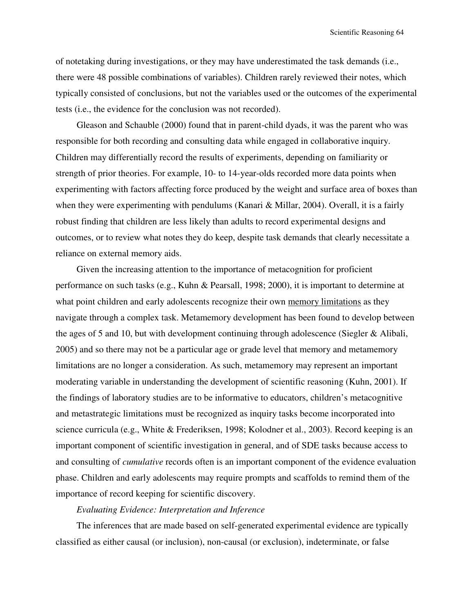of notetaking during investigations, or they may have underestimated the task demands (i.e., there were 48 possible combinations of variables). Children rarely reviewed their notes, which typically consisted of conclusions, but not the variables used or the outcomes of the experimental tests (i.e., the evidence for the conclusion was not recorded).

Gleason and Schauble (2000) found that in parent-child dyads, it was the parent who was responsible for both recording and consulting data while engaged in collaborative inquiry. Children may differentially record the results of experiments, depending on familiarity or strength of prior theories. For example, 10- to 14-year-olds recorded more data points when experimenting with factors affecting force produced by the weight and surface area of boxes than when they were experimenting with pendulums (Kanari & Millar, 2004). Overall, it is a fairly robust finding that children are less likely than adults to record experimental designs and outcomes, or to review what notes they do keep, despite task demands that clearly necessitate a reliance on external memory aids.

Given the increasing attention to the importance of metacognition for proficient performance on such tasks (e.g., Kuhn & Pearsall, 1998; 2000), it is important to determine at what point children and early adolescents recognize their own memory limitations as they navigate through a complex task. Metamemory development has been found to develop between the ages of 5 and 10, but with development continuing through adolescence (Siegler & Alibali, 2005) and so there may not be a particular age or grade level that memory and metamemory limitations are no longer a consideration. As such, metamemory may represent an important moderating variable in understanding the development of scientific reasoning (Kuhn, 2001). If the findings of laboratory studies are to be informative to educators, children's metacognitive and metastrategic limitations must be recognized as inquiry tasks become incorporated into science curricula (e.g., White & Frederiksen, 1998; Kolodner et al., 2003). Record keeping is an important component of scientific investigation in general, and of SDE tasks because access to and consulting of *cumulative* records often is an important component of the evidence evaluation phase. Children and early adolescents may require prompts and scaffolds to remind them of the importance of record keeping for scientific discovery.

#### *Evaluating Evidence: Interpretation and Inference*

The inferences that are made based on self-generated experimental evidence are typically classified as either causal (or inclusion), non-causal (or exclusion), indeterminate, or false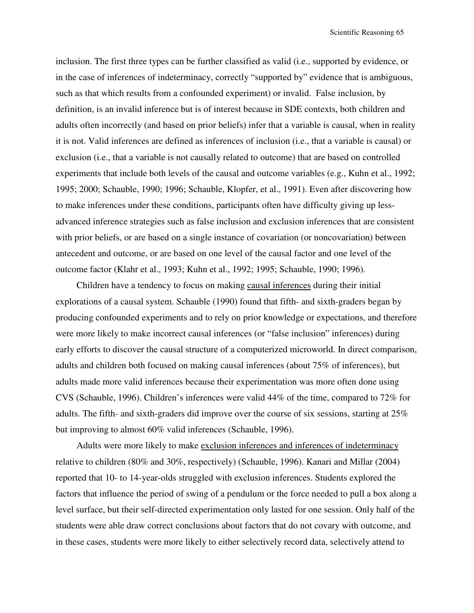inclusion. The first three types can be further classified as valid (i.e., supported by evidence, or in the case of inferences of indeterminacy, correctly "supported by" evidence that is ambiguous, such as that which results from a confounded experiment) or invalid. False inclusion, by definition, is an invalid inference but is of interest because in SDE contexts, both children and adults often incorrectly (and based on prior beliefs) infer that a variable is causal, when in reality it is not. Valid inferences are defined as inferences of inclusion (i.e., that a variable is causal) or exclusion (i.e., that a variable is not causally related to outcome) that are based on controlled experiments that include both levels of the causal and outcome variables (e.g., Kuhn et al., 1992; 1995; 2000; Schauble, 1990; 1996; Schauble, Klopfer, et al., 1991). Even after discovering how to make inferences under these conditions, participants often have difficulty giving up lessadvanced inference strategies such as false inclusion and exclusion inferences that are consistent with prior beliefs, or are based on a single instance of covariation (or noncovariation) between antecedent and outcome, or are based on one level of the causal factor and one level of the outcome factor (Klahr et al., 1993; Kuhn et al., 1992; 1995; Schauble, 1990; 1996).

Children have a tendency to focus on making causal inferences during their initial explorations of a causal system. Schauble (1990) found that fifth- and sixth-graders began by producing confounded experiments and to rely on prior knowledge or expectations, and therefore were more likely to make incorrect causal inferences (or "false inclusion" inferences) during early efforts to discover the causal structure of a computerized microworld. In direct comparison, adults and children both focused on making causal inferences (about 75% of inferences), but adults made more valid inferences because their experimentation was more often done using CVS (Schauble, 1996). Children's inferences were valid 44% of the time, compared to 72% for adults. The fifth- and sixth-graders did improve over the course of six sessions, starting at 25% but improving to almost 60% valid inferences (Schauble, 1996).

Adults were more likely to make exclusion inferences and inferences of indeterminacy relative to children (80% and 30%, respectively) (Schauble, 1996). Kanari and Millar (2004) reported that 10- to 14-year-olds struggled with exclusion inferences. Students explored the factors that influence the period of swing of a pendulum or the force needed to pull a box along a level surface, but their self-directed experimentation only lasted for one session. Only half of the students were able draw correct conclusions about factors that do not covary with outcome, and in these cases, students were more likely to either selectively record data, selectively attend to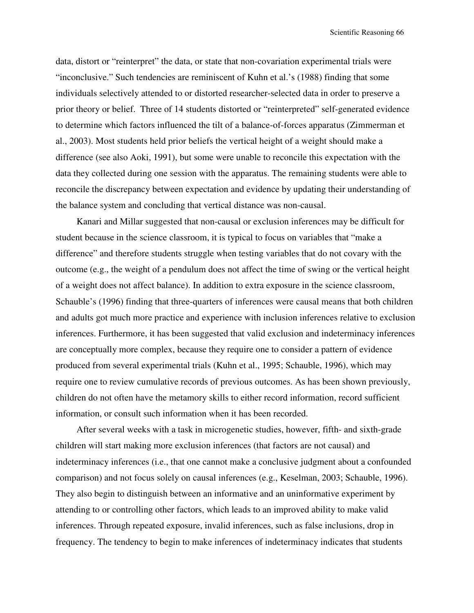data, distort or "reinterpret" the data, or state that non-covariation experimental trials were "inconclusive." Such tendencies are reminiscent of Kuhn et al.'s (1988) finding that some individuals selectively attended to or distorted researcher-selected data in order to preserve a prior theory or belief. Three of 14 students distorted or "reinterpreted" self-generated evidence to determine which factors influenced the tilt of a balance-of-forces apparatus (Zimmerman et al., 2003). Most students held prior beliefs the vertical height of a weight should make a difference (see also Aoki, 1991), but some were unable to reconcile this expectation with the data they collected during one session with the apparatus. The remaining students were able to reconcile the discrepancy between expectation and evidence by updating their understanding of the balance system and concluding that vertical distance was non-causal.

Kanari and Millar suggested that non-causal or exclusion inferences may be difficult for student because in the science classroom, it is typical to focus on variables that "make a difference" and therefore students struggle when testing variables that do not covary with the outcome (e.g., the weight of a pendulum does not affect the time of swing or the vertical height of a weight does not affect balance). In addition to extra exposure in the science classroom, Schauble's (1996) finding that three-quarters of inferences were causal means that both children and adults got much more practice and experience with inclusion inferences relative to exclusion inferences. Furthermore, it has been suggested that valid exclusion and indeterminacy inferences are conceptually more complex, because they require one to consider a pattern of evidence produced from several experimental trials (Kuhn et al., 1995; Schauble, 1996), which may require one to review cumulative records of previous outcomes. As has been shown previously, children do not often have the metamory skills to either record information, record sufficient information, or consult such information when it has been recorded.

After several weeks with a task in microgenetic studies, however, fifth- and sixth-grade children will start making more exclusion inferences (that factors are not causal) and indeterminacy inferences (i.e., that one cannot make a conclusive judgment about a confounded comparison) and not focus solely on causal inferences (e.g., Keselman, 2003; Schauble, 1996). They also begin to distinguish between an informative and an uninformative experiment by attending to or controlling other factors, which leads to an improved ability to make valid inferences. Through repeated exposure, invalid inferences, such as false inclusions, drop in frequency. The tendency to begin to make inferences of indeterminacy indicates that students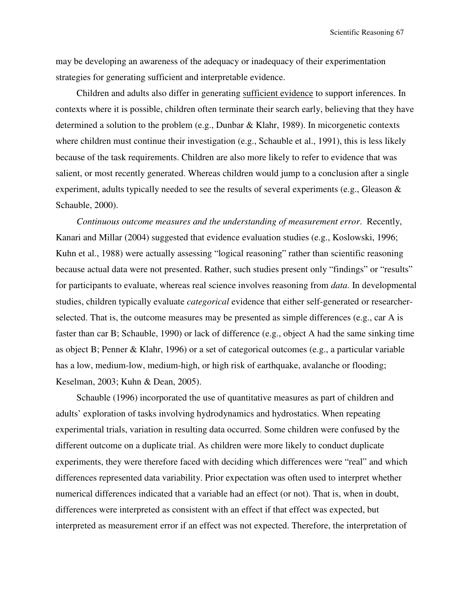Scientific Reasoning 67

may be developing an awareness of the adequacy or inadequacy of their experimentation strategies for generating sufficient and interpretable evidence.

Children and adults also differ in generating sufficient evidence to support inferences. In contexts where it is possible, children often terminate their search early, believing that they have determined a solution to the problem (e.g., Dunbar & Klahr, 1989). In micorgenetic contexts where children must continue their investigation (e.g., Schauble et al., 1991), this is less likely because of the task requirements. Children are also more likely to refer to evidence that was salient, or most recently generated. Whereas children would jump to a conclusion after a single experiment, adults typically needed to see the results of several experiments (e.g., Gleason & Schauble, 2000).

*Continuous outcome measures and the understanding of measurement error*. Recently, Kanari and Millar (2004) suggested that evidence evaluation studies (e.g., Koslowski, 1996; Kuhn et al., 1988) were actually assessing "logical reasoning" rather than scientific reasoning because actual data were not presented. Rather, such studies present only "findings" or "results" for participants to evaluate, whereas real science involves reasoning from *data*. In developmental studies, children typically evaluate *categorical* evidence that either self-generated or researcherselected. That is, the outcome measures may be presented as simple differences (e.g., car A is faster than car B; Schauble, 1990) or lack of difference (e.g., object A had the same sinking time as object B; Penner & Klahr, 1996) or a set of categorical outcomes (e.g., a particular variable has a low, medium-low, medium-high, or high risk of earthquake, avalanche or flooding; Keselman, 2003; Kuhn & Dean, 2005).

Schauble (1996) incorporated the use of quantitative measures as part of children and adults' exploration of tasks involving hydrodynamics and hydrostatics. When repeating experimental trials, variation in resulting data occurred. Some children were confused by the different outcome on a duplicate trial. As children were more likely to conduct duplicate experiments, they were therefore faced with deciding which differences were "real" and which differences represented data variability. Prior expectation was often used to interpret whether numerical differences indicated that a variable had an effect (or not). That is, when in doubt, differences were interpreted as consistent with an effect if that effect was expected, but interpreted as measurement error if an effect was not expected. Therefore, the interpretation of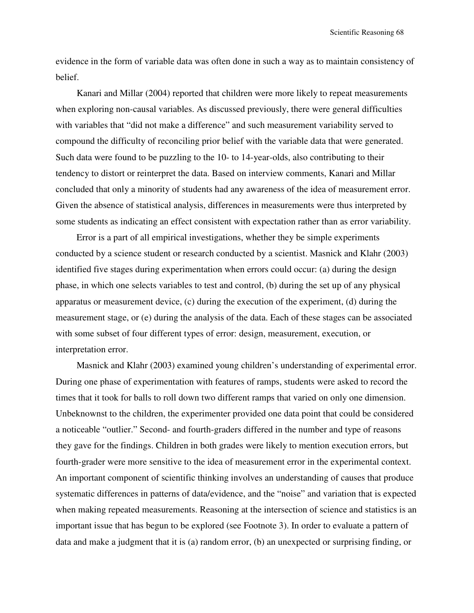evidence in the form of variable data was often done in such a way as to maintain consistency of belief.

Kanari and Millar (2004) reported that children were more likely to repeat measurements when exploring non-causal variables. As discussed previously, there were general difficulties with variables that "did not make a difference" and such measurement variability served to compound the difficulty of reconciling prior belief with the variable data that were generated. Such data were found to be puzzling to the 10- to 14-year-olds, also contributing to their tendency to distort or reinterpret the data. Based on interview comments, Kanari and Millar concluded that only a minority of students had any awareness of the idea of measurement error. Given the absence of statistical analysis, differences in measurements were thus interpreted by some students as indicating an effect consistent with expectation rather than as error variability.

Error is a part of all empirical investigations, whether they be simple experiments conducted by a science student or research conducted by a scientist. Masnick and Klahr (2003) identified five stages during experimentation when errors could occur: (a) during the design phase, in which one selects variables to test and control, (b) during the set up of any physical apparatus or measurement device, (c) during the execution of the experiment, (d) during the measurement stage, or (e) during the analysis of the data. Each of these stages can be associated with some subset of four different types of error: design, measurement, execution, or interpretation error.

Masnick and Klahr (2003) examined young children's understanding of experimental error. During one phase of experimentation with features of ramps, students were asked to record the times that it took for balls to roll down two different ramps that varied on only one dimension. Unbeknownst to the children, the experimenter provided one data point that could be considered a noticeable "outlier." Second- and fourth-graders differed in the number and type of reasons they gave for the findings. Children in both grades were likely to mention execution errors, but fourth-grader were more sensitive to the idea of measurement error in the experimental context. An important component of scientific thinking involves an understanding of causes that produce systematic differences in patterns of data/evidence, and the "noise" and variation that is expected when making repeated measurements. Reasoning at the intersection of science and statistics is an important issue that has begun to be explored (see Footnote 3). In order to evaluate a pattern of data and make a judgment that it is (a) random error, (b) an unexpected or surprising finding, or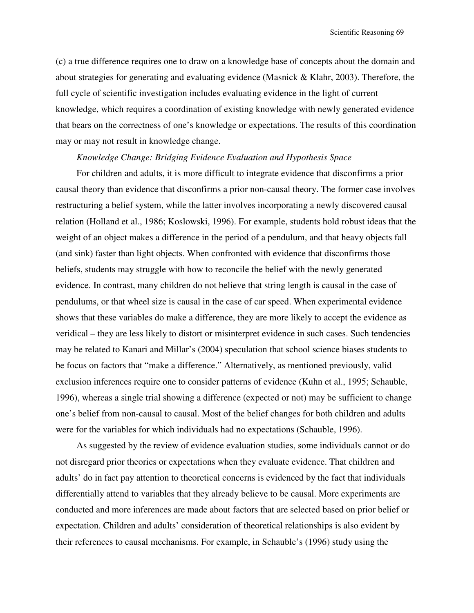(c) a true difference requires one to draw on a knowledge base of concepts about the domain and about strategies for generating and evaluating evidence (Masnick & Klahr, 2003). Therefore, the full cycle of scientific investigation includes evaluating evidence in the light of current knowledge, which requires a coordination of existing knowledge with newly generated evidence that bears on the correctness of one's knowledge or expectations. The results of this coordination may or may not result in knowledge change.

#### *Knowledge Change: Bridging Evidence Evaluation and Hypothesis Space*

For children and adults, it is more difficult to integrate evidence that disconfirms a prior causal theory than evidence that disconfirms a prior non-causal theory. The former case involves restructuring a belief system, while the latter involves incorporating a newly discovered causal relation (Holland et al., 1986; Koslowski, 1996). For example, students hold robust ideas that the weight of an object makes a difference in the period of a pendulum, and that heavy objects fall (and sink) faster than light objects. When confronted with evidence that disconfirms those beliefs, students may struggle with how to reconcile the belief with the newly generated evidence. In contrast, many children do not believe that string length is causal in the case of pendulums, or that wheel size is causal in the case of car speed. When experimental evidence shows that these variables do make a difference, they are more likely to accept the evidence as veridical – they are less likely to distort or misinterpret evidence in such cases. Such tendencies may be related to Kanari and Millar's (2004) speculation that school science biases students to be focus on factors that "make a difference." Alternatively, as mentioned previously, valid exclusion inferences require one to consider patterns of evidence (Kuhn et al., 1995; Schauble, 1996), whereas a single trial showing a difference (expected or not) may be sufficient to change one's belief from non-causal to causal. Most of the belief changes for both children and adults were for the variables for which individuals had no expectations (Schauble, 1996).

As suggested by the review of evidence evaluation studies, some individuals cannot or do not disregard prior theories or expectations when they evaluate evidence. That children and adults' do in fact pay attention to theoretical concerns is evidenced by the fact that individuals differentially attend to variables that they already believe to be causal. More experiments are conducted and more inferences are made about factors that are selected based on prior belief or expectation. Children and adults' consideration of theoretical relationships is also evident by their references to causal mechanisms. For example, in Schauble's (1996) study using the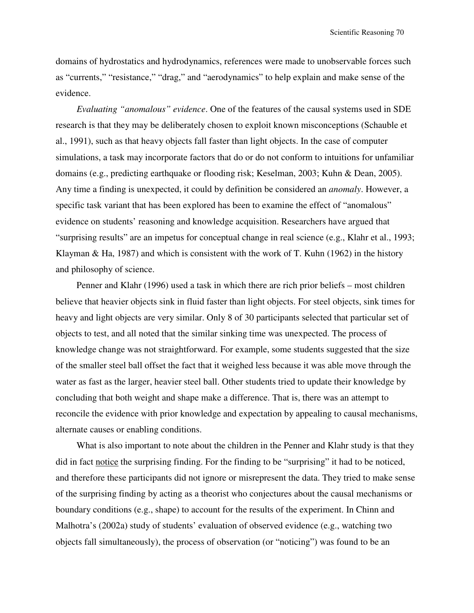domains of hydrostatics and hydrodynamics, references were made to unobservable forces such as "currents," "resistance," "drag," and "aerodynamics" to help explain and make sense of the evidence.

*Evaluating "anomalous" evidence*. One of the features of the causal systems used in SDE research is that they may be deliberately chosen to exploit known misconceptions (Schauble et al., 1991), such as that heavy objects fall faster than light objects. In the case of computer simulations, a task may incorporate factors that do or do not conform to intuitions for unfamiliar domains (e.g., predicting earthquake or flooding risk; Keselman, 2003; Kuhn & Dean, 2005). Any time a finding is unexpected, it could by definition be considered an *anomaly*. However, a specific task variant that has been explored has been to examine the effect of "anomalous" evidence on students' reasoning and knowledge acquisition. Researchers have argued that "surprising results" are an impetus for conceptual change in real science (e.g., Klahr et al., 1993; Klayman & Ha, 1987) and which is consistent with the work of T. Kuhn (1962) in the history and philosophy of science.

Penner and Klahr (1996) used a task in which there are rich prior beliefs – most children believe that heavier objects sink in fluid faster than light objects. For steel objects, sink times for heavy and light objects are very similar. Only 8 of 30 participants selected that particular set of objects to test, and all noted that the similar sinking time was unexpected. The process of knowledge change was not straightforward. For example, some students suggested that the size of the smaller steel ball offset the fact that it weighed less because it was able move through the water as fast as the larger, heavier steel ball. Other students tried to update their knowledge by concluding that both weight and shape make a difference. That is, there was an attempt to reconcile the evidence with prior knowledge and expectation by appealing to causal mechanisms, alternate causes or enabling conditions.

What is also important to note about the children in the Penner and Klahr study is that they did in fact notice the surprising finding. For the finding to be "surprising" it had to be noticed, and therefore these participants did not ignore or misrepresent the data. They tried to make sense of the surprising finding by acting as a theorist who conjectures about the causal mechanisms or boundary conditions (e.g., shape) to account for the results of the experiment. In Chinn and Malhotra's (2002a) study of students' evaluation of observed evidence (e.g., watching two objects fall simultaneously), the process of observation (or "noticing") was found to be an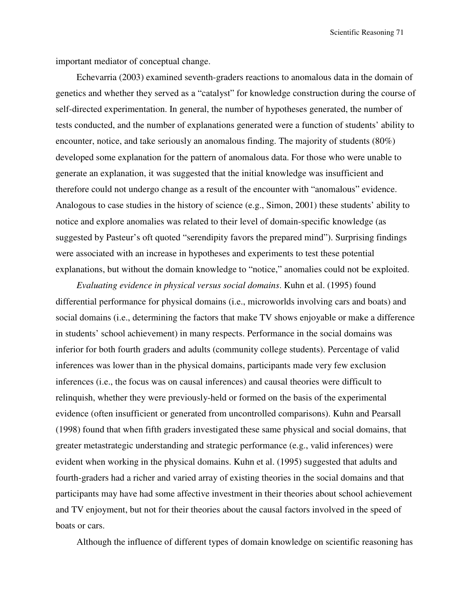important mediator of conceptual change.

Echevarria (2003) examined seventh-graders reactions to anomalous data in the domain of genetics and whether they served as a "catalyst" for knowledge construction during the course of self-directed experimentation. In general, the number of hypotheses generated, the number of tests conducted, and the number of explanations generated were a function of students' ability to encounter, notice, and take seriously an anomalous finding. The majority of students (80%) developed some explanation for the pattern of anomalous data. For those who were unable to generate an explanation, it was suggested that the initial knowledge was insufficient and therefore could not undergo change as a result of the encounter with "anomalous" evidence. Analogous to case studies in the history of science (e.g., Simon, 2001) these students' ability to notice and explore anomalies was related to their level of domain-specific knowledge (as suggested by Pasteur's oft quoted "serendipity favors the prepared mind"). Surprising findings were associated with an increase in hypotheses and experiments to test these potential explanations, but without the domain knowledge to "notice," anomalies could not be exploited.

*Evaluating evidence in physical versus social domains*. Kuhn et al. (1995) found differential performance for physical domains (i.e., microworlds involving cars and boats) and social domains (i.e., determining the factors that make TV shows enjoyable or make a difference in students' school achievement) in many respects. Performance in the social domains was inferior for both fourth graders and adults (community college students). Percentage of valid inferences was lower than in the physical domains, participants made very few exclusion inferences (i.e., the focus was on causal inferences) and causal theories were difficult to relinquish, whether they were previously-held or formed on the basis of the experimental evidence (often insufficient or generated from uncontrolled comparisons). Kuhn and Pearsall (1998) found that when fifth graders investigated these same physical and social domains, that greater metastrategic understanding and strategic performance (e.g., valid inferences) were evident when working in the physical domains. Kuhn et al. (1995) suggested that adults and fourth-graders had a richer and varied array of existing theories in the social domains and that participants may have had some affective investment in their theories about school achievement and TV enjoyment, but not for their theories about the causal factors involved in the speed of boats or cars.

Although the influence of different types of domain knowledge on scientific reasoning has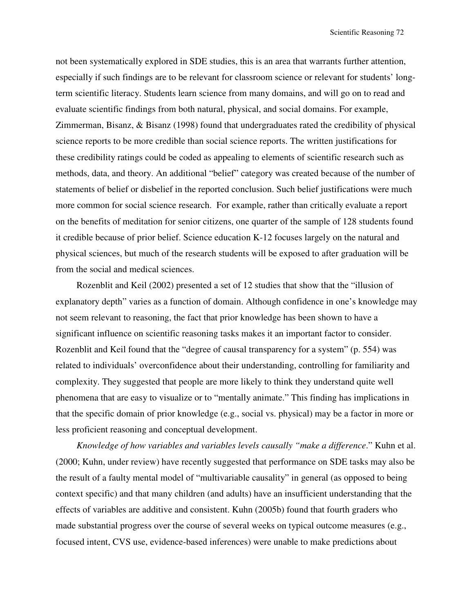not been systematically explored in SDE studies, this is an area that warrants further attention, especially if such findings are to be relevant for classroom science or relevant for students' longterm scientific literacy. Students learn science from many domains, and will go on to read and evaluate scientific findings from both natural, physical, and social domains. For example, Zimmerman, Bisanz, & Bisanz (1998) found that undergraduates rated the credibility of physical science reports to be more credible than social science reports. The written justifications for these credibility ratings could be coded as appealing to elements of scientific research such as methods, data, and theory. An additional "belief" category was created because of the number of statements of belief or disbelief in the reported conclusion. Such belief justifications were much more common for social science research. For example, rather than critically evaluate a report on the benefits of meditation for senior citizens, one quarter of the sample of 128 students found it credible because of prior belief. Science education K-12 focuses largely on the natural and physical sciences, but much of the research students will be exposed to after graduation will be from the social and medical sciences.

Rozenblit and Keil (2002) presented a set of 12 studies that show that the "illusion of explanatory depth" varies as a function of domain. Although confidence in one's knowledge may not seem relevant to reasoning, the fact that prior knowledge has been shown to have a significant influence on scientific reasoning tasks makes it an important factor to consider. Rozenblit and Keil found that the "degree of causal transparency for a system" (p. 554) was related to individuals' overconfidence about their understanding, controlling for familiarity and complexity. They suggested that people are more likely to think they understand quite well phenomena that are easy to visualize or to "mentally animate." This finding has implications in that the specific domain of prior knowledge (e.g., social vs. physical) may be a factor in more or less proficient reasoning and conceptual development.

*Knowledge of how variables and variables levels causally "make a difference*." Kuhn et al. (2000; Kuhn, under review) have recently suggested that performance on SDE tasks may also be the result of a faulty mental model of "multivariable causality" in general (as opposed to being context specific) and that many children (and adults) have an insufficient understanding that the effects of variables are additive and consistent. Kuhn (2005b) found that fourth graders who made substantial progress over the course of several weeks on typical outcome measures (e.g., focused intent, CVS use, evidence-based inferences) were unable to make predictions about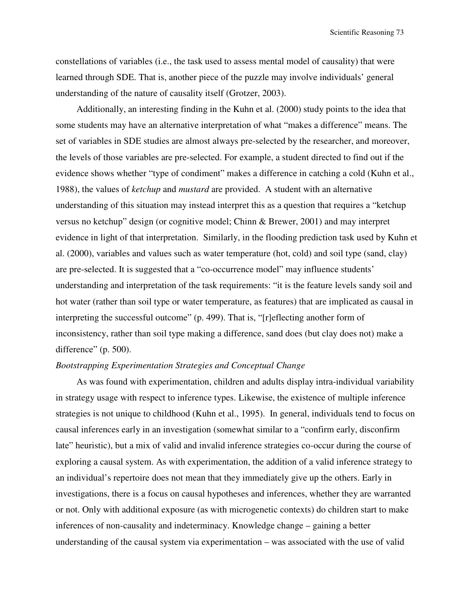constellations of variables (i.e., the task used to assess mental model of causality) that were learned through SDE. That is, another piece of the puzzle may involve individuals' general understanding of the nature of causality itself (Grotzer, 2003).

Additionally, an interesting finding in the Kuhn et al. (2000) study points to the idea that some students may have an alternative interpretation of what "makes a difference" means. The set of variables in SDE studies are almost always pre-selected by the researcher, and moreover, the levels of those variables are pre-selected. For example, a student directed to find out if the evidence shows whether "type of condiment" makes a difference in catching a cold (Kuhn et al., 1988), the values of *ketchup* and *mustard* are provided. A student with an alternative understanding of this situation may instead interpret this as a question that requires a "ketchup versus no ketchup" design (or cognitive model; Chinn & Brewer, 2001) and may interpret evidence in light of that interpretation. Similarly, in the flooding prediction task used by Kuhn et al. (2000), variables and values such as water temperature (hot, cold) and soil type (sand, clay) are pre-selected. It is suggested that a "co-occurrence model" may influence students' understanding and interpretation of the task requirements: "it is the feature levels sandy soil and hot water (rather than soil type or water temperature, as features) that are implicated as causal in interpreting the successful outcome" (p. 499). That is, "[r]eflecting another form of inconsistency, rather than soil type making a difference, sand does (but clay does not) make a difference" (p. 500).

## *Bootstrapping Experimentation Strategies and Conceptual Change*

As was found with experimentation, children and adults display intra-individual variability in strategy usage with respect to inference types. Likewise, the existence of multiple inference strategies is not unique to childhood (Kuhn et al., 1995). In general, individuals tend to focus on causal inferences early in an investigation (somewhat similar to a "confirm early, disconfirm late" heuristic), but a mix of valid and invalid inference strategies co-occur during the course of exploring a causal system. As with experimentation, the addition of a valid inference strategy to an individual's repertoire does not mean that they immediately give up the others. Early in investigations, there is a focus on causal hypotheses and inferences, whether they are warranted or not. Only with additional exposure (as with microgenetic contexts) do children start to make inferences of non-causality and indeterminacy. Knowledge change – gaining a better understanding of the causal system via experimentation – was associated with the use of valid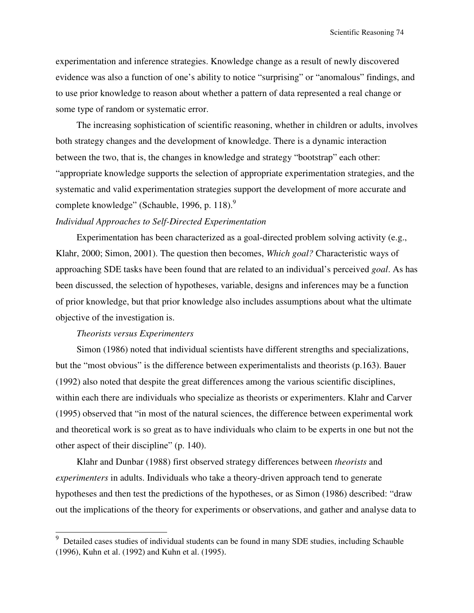experimentation and inference strategies. Knowledge change as a result of newly discovered evidence was also a function of one's ability to notice "surprising" or "anomalous" findings, and to use prior knowledge to reason about whether a pattern of data represented a real change or some type of random or systematic error.

The increasing sophistication of scientific reasoning, whether in children or adults, involves both strategy changes and the development of knowledge. There is a dynamic interaction between the two, that is, the changes in knowledge and strategy "bootstrap" each other: "appropriate knowledge supports the selection of appropriate experimentation strategies, and the systematic and valid experimentation strategies support the development of more accurate and complete knowledge" (Schauble, 1996, p. 118).<sup>9</sup>

# *Individual Approaches to Self-Directed Experimentation*

Experimentation has been characterized as a goal-directed problem solving activity (e.g., Klahr, 2000; Simon, 2001). The question then becomes, *Which goal?* Characteristic ways of approaching SDE tasks have been found that are related to an individual's perceived *goal*. As has been discussed, the selection of hypotheses, variable, designs and inferences may be a function of prior knowledge, but that prior knowledge also includes assumptions about what the ultimate objective of the investigation is.

## *Theorists versus Experimenters*

Simon (1986) noted that individual scientists have different strengths and specializations, but the "most obvious" is the difference between experimentalists and theorists (p.163). Bauer (1992) also noted that despite the great differences among the various scientific disciplines, within each there are individuals who specialize as theorists or experimenters. Klahr and Carver (1995) observed that "in most of the natural sciences, the difference between experimental work and theoretical work is so great as to have individuals who claim to be experts in one but not the other aspect of their discipline" (p. 140).

Klahr and Dunbar (1988) first observed strategy differences between *theorists* and *experimenters* in adults. Individuals who take a theory-driven approach tend to generate hypotheses and then test the predictions of the hypotheses, or as Simon (1986) described: "draw out the implications of the theory for experiments or observations, and gather and analyse data to

<sup>9</sup> Detailed cases studies of individual students can be found in many SDE studies, including Schauble (1996), Kuhn et al. (1992) and Kuhn et al. (1995).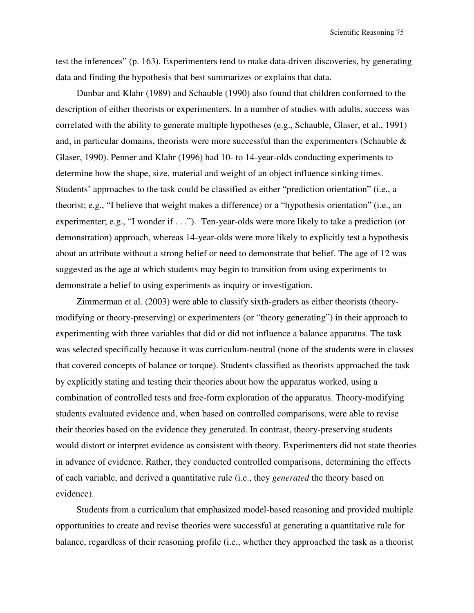test the inferences" (p. 163). Experimenters tend to make data-driven discoveries, by generating data and finding the hypothesis that best summarizes or explains that data.

Dunbar and Klahr (1989) and Schauble (1990) also found that children conformed to the description of either theorists or experimenters. In a number of studies with adults, success was correlated with the ability to generate multiple hypotheses (e.g., Schauble, Glaser, et al., 1991) and, in particular domains, theorists were more successful than the experimenters (Schauble  $\&$ Glaser, 1990). Penner and Klahr (1996) had 10- to 14-year-olds conducting experiments to determine how the shape, size, material and weight of an object influence sinking times. Students' approaches to the task could be classified as either "prediction orientation" (i.e., a theorist; e.g., "I believe that weight makes a difference) or a "hypothesis orientation" (i.e., an experimenter; e.g., "I wonder if . . ."). Ten-year-olds were more likely to take a prediction (or demonstration) approach, whereas 14-year-olds were more likely to explicitly test a hypothesis about an attribute without a strong belief or need to demonstrate that belief. The age of 12 was suggested as the age at which students may begin to transition from using experiments to demonstrate a belief to using experiments as inquiry or investigation.

Zimmerman et al. (2003) were able to classify sixth-graders as either theorists (theorymodifying or theory-preserving) or experimenters (or "theory generating") in their approach to experimenting with three variables that did or did not influence a balance apparatus. The task was selected specifically because it was curriculum-neutral (none of the students were in classes that covered concepts of balance or torque). Students classified as theorists approached the task by explicitly stating and testing their theories about how the apparatus worked, using a combination of controlled tests and free-form exploration of the apparatus. Theory-modifying students evaluated evidence and, when based on controlled comparisons, were able to revise their theories based on the evidence they generated. In contrast, theory-preserving students would distort or interpret evidence as consistent with theory. Experimenters did not state theories in advance of evidence. Rather, they conducted controlled comparisons, determining the effects of each variable, and derived a quantitative rule (i.e., they *generated* the theory based on evidence).

Students from a curriculum that emphasized model-based reasoning and provided multiple opportunities to create and revise theories were successful at generating a quantitative rule for balance, regardless of their reasoning profile (i.e., whether they approached the task as a theorist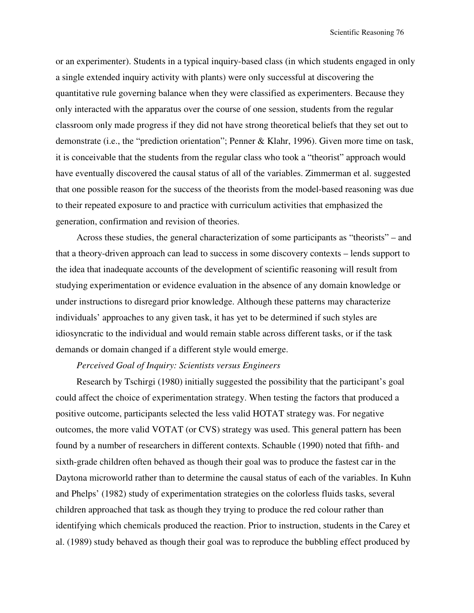or an experimenter). Students in a typical inquiry-based class (in which students engaged in only a single extended inquiry activity with plants) were only successful at discovering the quantitative rule governing balance when they were classified as experimenters. Because they only interacted with the apparatus over the course of one session, students from the regular classroom only made progress if they did not have strong theoretical beliefs that they set out to demonstrate (i.e., the "prediction orientation"; Penner & Klahr, 1996). Given more time on task, it is conceivable that the students from the regular class who took a "theorist" approach would have eventually discovered the causal status of all of the variables. Zimmerman et al. suggested that one possible reason for the success of the theorists from the model-based reasoning was due to their repeated exposure to and practice with curriculum activities that emphasized the generation, confirmation and revision of theories.

Across these studies, the general characterization of some participants as "theorists" – and that a theory-driven approach can lead to success in some discovery contexts – lends support to the idea that inadequate accounts of the development of scientific reasoning will result from studying experimentation or evidence evaluation in the absence of any domain knowledge or under instructions to disregard prior knowledge. Although these patterns may characterize individuals' approaches to any given task, it has yet to be determined if such styles are idiosyncratic to the individual and would remain stable across different tasks, or if the task demands or domain changed if a different style would emerge.

## *Perceived Goal of Inquiry: Scientists versus Engineers*

Research by Tschirgi (1980) initially suggested the possibility that the participant's goal could affect the choice of experimentation strategy. When testing the factors that produced a positive outcome, participants selected the less valid HOTAT strategy was. For negative outcomes, the more valid VOTAT (or CVS) strategy was used. This general pattern has been found by a number of researchers in different contexts. Schauble (1990) noted that fifth- and sixth-grade children often behaved as though their goal was to produce the fastest car in the Daytona microworld rather than to determine the causal status of each of the variables. In Kuhn and Phelps' (1982) study of experimentation strategies on the colorless fluids tasks, several children approached that task as though they trying to produce the red colour rather than identifying which chemicals produced the reaction. Prior to instruction, students in the Carey et al. (1989) study behaved as though their goal was to reproduce the bubbling effect produced by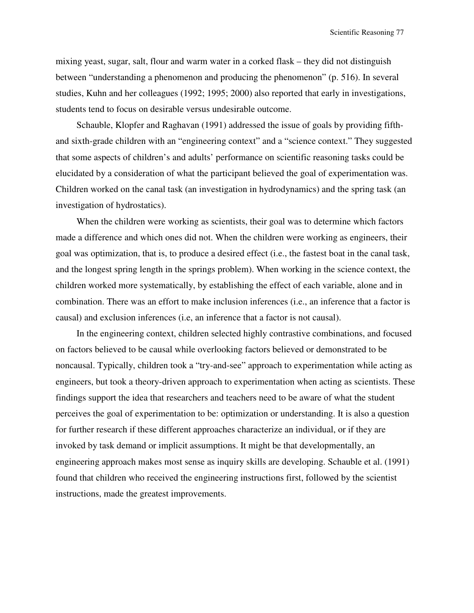mixing yeast, sugar, salt, flour and warm water in a corked flask – they did not distinguish between "understanding a phenomenon and producing the phenomenon" (p. 516). In several studies, Kuhn and her colleagues (1992; 1995; 2000) also reported that early in investigations, students tend to focus on desirable versus undesirable outcome.

Schauble, Klopfer and Raghavan (1991) addressed the issue of goals by providing fifthand sixth-grade children with an "engineering context" and a "science context." They suggested that some aspects of children's and adults' performance on scientific reasoning tasks could be elucidated by a consideration of what the participant believed the goal of experimentation was. Children worked on the canal task (an investigation in hydrodynamics) and the spring task (an investigation of hydrostatics).

When the children were working as scientists, their goal was to determine which factors made a difference and which ones did not. When the children were working as engineers, their goal was optimization, that is, to produce a desired effect (i.e., the fastest boat in the canal task, and the longest spring length in the springs problem). When working in the science context, the children worked more systematically, by establishing the effect of each variable, alone and in combination. There was an effort to make inclusion inferences (i.e., an inference that a factor is causal) and exclusion inferences (i.e, an inference that a factor is not causal).

In the engineering context, children selected highly contrastive combinations, and focused on factors believed to be causal while overlooking factors believed or demonstrated to be noncausal. Typically, children took a "try-and-see" approach to experimentation while acting as engineers, but took a theory-driven approach to experimentation when acting as scientists. These findings support the idea that researchers and teachers need to be aware of what the student perceives the goal of experimentation to be: optimization or understanding. It is also a question for further research if these different approaches characterize an individual, or if they are invoked by task demand or implicit assumptions. It might be that developmentally, an engineering approach makes most sense as inquiry skills are developing. Schauble et al. (1991) found that children who received the engineering instructions first, followed by the scientist instructions, made the greatest improvements.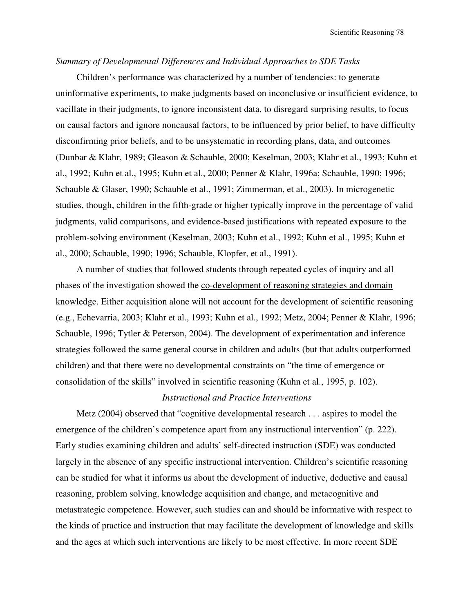## *Summary of Developmental Differences and Individual Approaches to SDE Tasks*

Children's performance was characterized by a number of tendencies: to generate uninformative experiments, to make judgments based on inconclusive or insufficient evidence, to vacillate in their judgments, to ignore inconsistent data, to disregard surprising results, to focus on causal factors and ignore noncausal factors, to be influenced by prior belief, to have difficulty disconfirming prior beliefs, and to be unsystematic in recording plans, data, and outcomes (Dunbar & Klahr, 1989; Gleason & Schauble, 2000; Keselman, 2003; Klahr et al., 1993; Kuhn et al., 1992; Kuhn et al., 1995; Kuhn et al., 2000; Penner & Klahr, 1996a; Schauble, 1990; 1996; Schauble & Glaser, 1990; Schauble et al., 1991; Zimmerman, et al., 2003). In microgenetic studies, though, children in the fifth-grade or higher typically improve in the percentage of valid judgments, valid comparisons, and evidence-based justifications with repeated exposure to the problem-solving environment (Keselman, 2003; Kuhn et al., 1992; Kuhn et al., 1995; Kuhn et al., 2000; Schauble, 1990; 1996; Schauble, Klopfer, et al., 1991).

A number of studies that followed students through repeated cycles of inquiry and all phases of the investigation showed the co-development of reasoning strategies and domain knowledge. Either acquisition alone will not account for the development of scientific reasoning (e.g., Echevarria, 2003; Klahr et al., 1993; Kuhn et al., 1992; Metz, 2004; Penner & Klahr, 1996; Schauble, 1996; Tytler & Peterson, 2004). The development of experimentation and inference strategies followed the same general course in children and adults (but that adults outperformed children) and that there were no developmental constraints on "the time of emergence or consolidation of the skills" involved in scientific reasoning (Kuhn et al., 1995, p. 102).

# *Instructional and Practice Interventions*

Metz (2004) observed that "cognitive developmental research . . . aspires to model the emergence of the children's competence apart from any instructional intervention" (p. 222). Early studies examining children and adults' self-directed instruction (SDE) was conducted largely in the absence of any specific instructional intervention. Children's scientific reasoning can be studied for what it informs us about the development of inductive, deductive and causal reasoning, problem solving, knowledge acquisition and change, and metacognitive and metastrategic competence. However, such studies can and should be informative with respect to the kinds of practice and instruction that may facilitate the development of knowledge and skills and the ages at which such interventions are likely to be most effective. In more recent SDE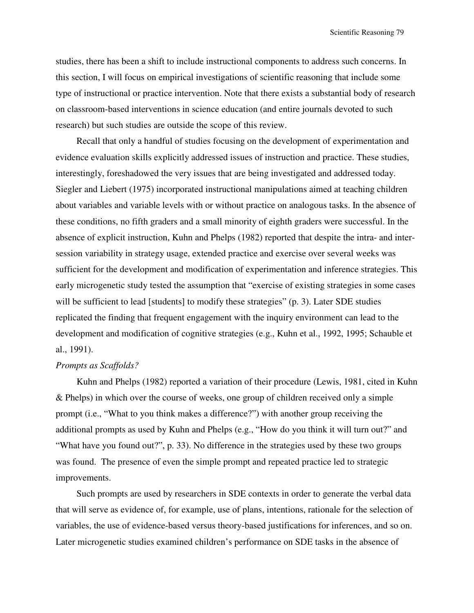studies, there has been a shift to include instructional components to address such concerns. In this section, I will focus on empirical investigations of scientific reasoning that include some type of instructional or practice intervention. Note that there exists a substantial body of research on classroom-based interventions in science education (and entire journals devoted to such research) but such studies are outside the scope of this review.

Recall that only a handful of studies focusing on the development of experimentation and evidence evaluation skills explicitly addressed issues of instruction and practice. These studies, interestingly, foreshadowed the very issues that are being investigated and addressed today. Siegler and Liebert (1975) incorporated instructional manipulations aimed at teaching children about variables and variable levels with or without practice on analogous tasks. In the absence of these conditions, no fifth graders and a small minority of eighth graders were successful. In the absence of explicit instruction, Kuhn and Phelps (1982) reported that despite the intra- and intersession variability in strategy usage, extended practice and exercise over several weeks was sufficient for the development and modification of experimentation and inference strategies. This early microgenetic study tested the assumption that "exercise of existing strategies in some cases will be sufficient to lead [students] to modify these strategies" (p. 3). Later SDE studies replicated the finding that frequent engagement with the inquiry environment can lead to the development and modification of cognitive strategies (e.g., Kuhn et al., 1992, 1995; Schauble et al., 1991).

#### *Prompts as Scaffolds?*

Kuhn and Phelps (1982) reported a variation of their procedure (Lewis, 1981, cited in Kuhn & Phelps) in which over the course of weeks, one group of children received only a simple prompt (i.e., "What to you think makes a difference?") with another group receiving the additional prompts as used by Kuhn and Phelps (e.g., "How do you think it will turn out?" and "What have you found out?", p. 33). No difference in the strategies used by these two groups was found. The presence of even the simple prompt and repeated practice led to strategic improvements.

Such prompts are used by researchers in SDE contexts in order to generate the verbal data that will serve as evidence of, for example, use of plans, intentions, rationale for the selection of variables, the use of evidence-based versus theory-based justifications for inferences, and so on. Later microgenetic studies examined children's performance on SDE tasks in the absence of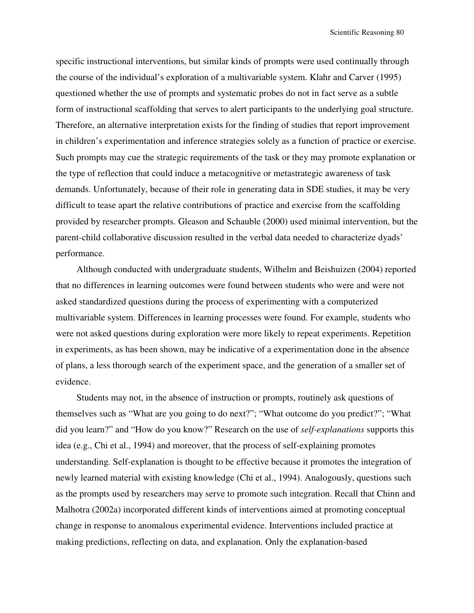specific instructional interventions, but similar kinds of prompts were used continually through the course of the individual's exploration of a multivariable system. Klahr and Carver (1995) questioned whether the use of prompts and systematic probes do not in fact serve as a subtle form of instructional scaffolding that serves to alert participants to the underlying goal structure. Therefore, an alternative interpretation exists for the finding of studies that report improvement in children's experimentation and inference strategies solely as a function of practice or exercise. Such prompts may cue the strategic requirements of the task or they may promote explanation or the type of reflection that could induce a metacognitive or metastrategic awareness of task demands. Unfortunately, because of their role in generating data in SDE studies, it may be very difficult to tease apart the relative contributions of practice and exercise from the scaffolding provided by researcher prompts. Gleason and Schauble (2000) used minimal intervention, but the parent-child collaborative discussion resulted in the verbal data needed to characterize dyads' performance.

Although conducted with undergraduate students, Wilhelm and Beishuizen (2004) reported that no differences in learning outcomes were found between students who were and were not asked standardized questions during the process of experimenting with a computerized multivariable system. Differences in learning processes were found. For example, students who were not asked questions during exploration were more likely to repeat experiments. Repetition in experiments, as has been shown, may be indicative of a experimentation done in the absence of plans, a less thorough search of the experiment space, and the generation of a smaller set of evidence.

Students may not, in the absence of instruction or prompts, routinely ask questions of themselves such as "What are you going to do next?"; "What outcome do you predict?"; "What did you learn?" and "How do you know?" Research on the use of *self-explanations* supports this idea (e.g., Chi et al., 1994) and moreover, that the process of self-explaining promotes understanding. Self-explanation is thought to be effective because it promotes the integration of newly learned material with existing knowledge (Chi et al., 1994). Analogously, questions such as the prompts used by researchers may serve to promote such integration. Recall that Chinn and Malhotra (2002a) incorporated different kinds of interventions aimed at promoting conceptual change in response to anomalous experimental evidence. Interventions included practice at making predictions, reflecting on data, and explanation. Only the explanation-based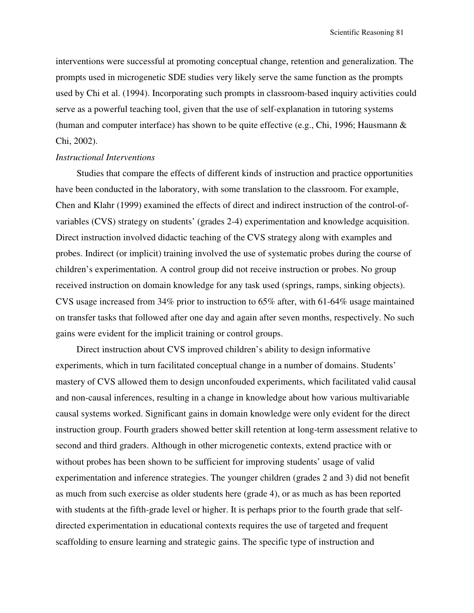interventions were successful at promoting conceptual change, retention and generalization. The prompts used in microgenetic SDE studies very likely serve the same function as the prompts used by Chi et al. (1994). Incorporating such prompts in classroom-based inquiry activities could serve as a powerful teaching tool, given that the use of self-explanation in tutoring systems (human and computer interface) has shown to be quite effective (e.g., Chi, 1996; Hausmann & Chi, 2002).

## *Instructional Interventions*

Studies that compare the effects of different kinds of instruction and practice opportunities have been conducted in the laboratory, with some translation to the classroom. For example, Chen and Klahr (1999) examined the effects of direct and indirect instruction of the control-ofvariables (CVS) strategy on students' (grades 2-4) experimentation and knowledge acquisition. Direct instruction involved didactic teaching of the CVS strategy along with examples and probes. Indirect (or implicit) training involved the use of systematic probes during the course of children's experimentation. A control group did not receive instruction or probes. No group received instruction on domain knowledge for any task used (springs, ramps, sinking objects). CVS usage increased from 34% prior to instruction to 65% after, with 61-64% usage maintained on transfer tasks that followed after one day and again after seven months, respectively. No such gains were evident for the implicit training or control groups.

Direct instruction about CVS improved children's ability to design informative experiments, which in turn facilitated conceptual change in a number of domains. Students' mastery of CVS allowed them to design unconfouded experiments, which facilitated valid causal and non-causal inferences, resulting in a change in knowledge about how various multivariable causal systems worked. Significant gains in domain knowledge were only evident for the direct instruction group. Fourth graders showed better skill retention at long-term assessment relative to second and third graders. Although in other microgenetic contexts, extend practice with or without probes has been shown to be sufficient for improving students' usage of valid experimentation and inference strategies. The younger children (grades 2 and 3) did not benefit as much from such exercise as older students here (grade 4), or as much as has been reported with students at the fifth-grade level or higher. It is perhaps prior to the fourth grade that selfdirected experimentation in educational contexts requires the use of targeted and frequent scaffolding to ensure learning and strategic gains. The specific type of instruction and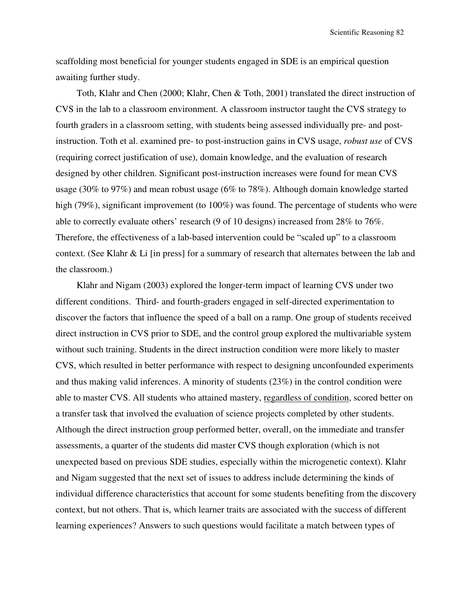Scientific Reasoning 82

scaffolding most beneficial for younger students engaged in SDE is an empirical question awaiting further study.

Toth, Klahr and Chen (2000; Klahr, Chen & Toth, 2001) translated the direct instruction of CVS in the lab to a classroom environment. A classroom instructor taught the CVS strategy to fourth graders in a classroom setting, with students being assessed individually pre- and postinstruction. Toth et al. examined pre- to post-instruction gains in CVS usage, *robust use* of CVS (requiring correct justification of use), domain knowledge, and the evaluation of research designed by other children. Significant post-instruction increases were found for mean CVS usage (30% to 97%) and mean robust usage (6% to 78%). Although domain knowledge started high (79%), significant improvement (to 100%) was found. The percentage of students who were able to correctly evaluate others' research (9 of 10 designs) increased from 28% to 76%. Therefore, the effectiveness of a lab-based intervention could be "scaled up" to a classroom context. (See Klahr & Li [in press] for a summary of research that alternates between the lab and the classroom.)

Klahr and Nigam (2003) explored the longer-term impact of learning CVS under two different conditions. Third- and fourth-graders engaged in self-directed experimentation to discover the factors that influence the speed of a ball on a ramp. One group of students received direct instruction in CVS prior to SDE, and the control group explored the multivariable system without such training. Students in the direct instruction condition were more likely to master CVS, which resulted in better performance with respect to designing unconfounded experiments and thus making valid inferences. A minority of students (23%) in the control condition were able to master CVS. All students who attained mastery, regardless of condition, scored better on a transfer task that involved the evaluation of science projects completed by other students. Although the direct instruction group performed better, overall, on the immediate and transfer assessments, a quarter of the students did master CVS though exploration (which is not unexpected based on previous SDE studies, especially within the microgenetic context). Klahr and Nigam suggested that the next set of issues to address include determining the kinds of individual difference characteristics that account for some students benefiting from the discovery context, but not others. That is, which learner traits are associated with the success of different learning experiences? Answers to such questions would facilitate a match between types of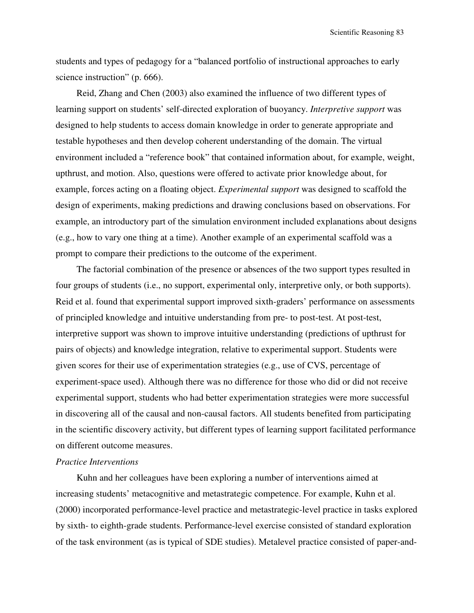students and types of pedagogy for a "balanced portfolio of instructional approaches to early science instruction" (p. 666).

Reid, Zhang and Chen (2003) also examined the influence of two different types of learning support on students' self-directed exploration of buoyancy. *Interpretive support* was designed to help students to access domain knowledge in order to generate appropriate and testable hypotheses and then develop coherent understanding of the domain. The virtual environment included a "reference book" that contained information about, for example, weight, upthrust, and motion. Also, questions were offered to activate prior knowledge about, for example, forces acting on a floating object. *Experimental support* was designed to scaffold the design of experiments, making predictions and drawing conclusions based on observations. For example, an introductory part of the simulation environment included explanations about designs (e.g., how to vary one thing at a time). Another example of an experimental scaffold was a prompt to compare their predictions to the outcome of the experiment.

The factorial combination of the presence or absences of the two support types resulted in four groups of students (i.e., no support, experimental only, interpretive only, or both supports). Reid et al. found that experimental support improved sixth-graders' performance on assessments of principled knowledge and intuitive understanding from pre- to post-test. At post-test, interpretive support was shown to improve intuitive understanding (predictions of upthrust for pairs of objects) and knowledge integration, relative to experimental support. Students were given scores for their use of experimentation strategies (e.g., use of CVS, percentage of experiment-space used). Although there was no difference for those who did or did not receive experimental support, students who had better experimentation strategies were more successful in discovering all of the causal and non-causal factors. All students benefited from participating in the scientific discovery activity, but different types of learning support facilitated performance on different outcome measures.

## *Practice Interventions*

Kuhn and her colleagues have been exploring a number of interventions aimed at increasing students' metacognitive and metastrategic competence. For example, Kuhn et al. (2000) incorporated performance-level practice and metastrategic-level practice in tasks explored by sixth- to eighth-grade students. Performance-level exercise consisted of standard exploration of the task environment (as is typical of SDE studies). Metalevel practice consisted of paper-and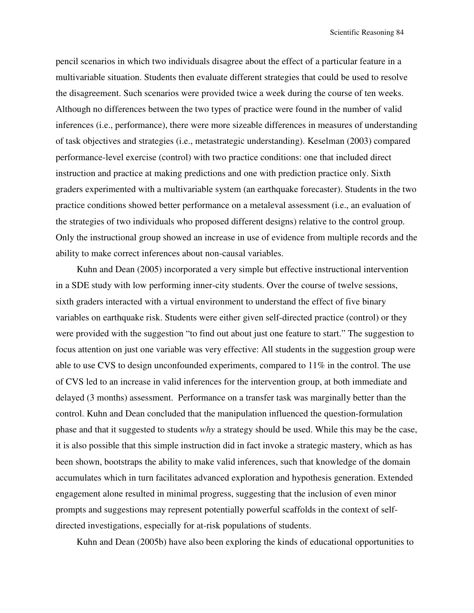pencil scenarios in which two individuals disagree about the effect of a particular feature in a multivariable situation. Students then evaluate different strategies that could be used to resolve the disagreement. Such scenarios were provided twice a week during the course of ten weeks. Although no differences between the two types of practice were found in the number of valid inferences (i.e., performance), there were more sizeable differences in measures of understanding of task objectives and strategies (i.e., metastrategic understanding). Keselman (2003) compared performance-level exercise (control) with two practice conditions: one that included direct instruction and practice at making predictions and one with prediction practice only. Sixth graders experimented with a multivariable system (an earthquake forecaster). Students in the two practice conditions showed better performance on a metaleval assessment (i.e., an evaluation of the strategies of two individuals who proposed different designs) relative to the control group. Only the instructional group showed an increase in use of evidence from multiple records and the ability to make correct inferences about non-causal variables.

Kuhn and Dean (2005) incorporated a very simple but effective instructional intervention in a SDE study with low performing inner-city students. Over the course of twelve sessions, sixth graders interacted with a virtual environment to understand the effect of five binary variables on earthquake risk. Students were either given self-directed practice (control) or they were provided with the suggestion "to find out about just one feature to start." The suggestion to focus attention on just one variable was very effective: All students in the suggestion group were able to use CVS to design unconfounded experiments, compared to 11% in the control. The use of CVS led to an increase in valid inferences for the intervention group, at both immediate and delayed (3 months) assessment. Performance on a transfer task was marginally better than the control. Kuhn and Dean concluded that the manipulation influenced the question-formulation phase and that it suggested to students *why* a strategy should be used. While this may be the case, it is also possible that this simple instruction did in fact invoke a strategic mastery, which as has been shown, bootstraps the ability to make valid inferences, such that knowledge of the domain accumulates which in turn facilitates advanced exploration and hypothesis generation. Extended engagement alone resulted in minimal progress, suggesting that the inclusion of even minor prompts and suggestions may represent potentially powerful scaffolds in the context of selfdirected investigations, especially for at-risk populations of students.

Kuhn and Dean (2005b) have also been exploring the kinds of educational opportunities to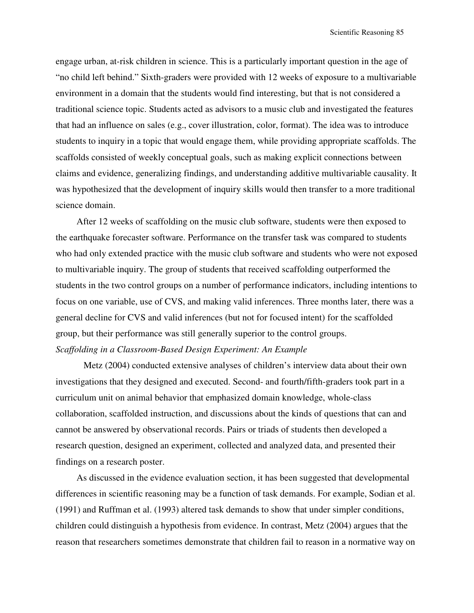engage urban, at-risk children in science. This is a particularly important question in the age of "no child left behind." Sixth-graders were provided with 12 weeks of exposure to a multivariable environment in a domain that the students would find interesting, but that is not considered a traditional science topic. Students acted as advisors to a music club and investigated the features that had an influence on sales (e.g., cover illustration, color, format). The idea was to introduce students to inquiry in a topic that would engage them, while providing appropriate scaffolds. The scaffolds consisted of weekly conceptual goals, such as making explicit connections between claims and evidence, generalizing findings, and understanding additive multivariable causality. It was hypothesized that the development of inquiry skills would then transfer to a more traditional science domain.

After 12 weeks of scaffolding on the music club software, students were then exposed to the earthquake forecaster software. Performance on the transfer task was compared to students who had only extended practice with the music club software and students who were not exposed to multivariable inquiry. The group of students that received scaffolding outperformed the students in the two control groups on a number of performance indicators, including intentions to focus on one variable, use of CVS, and making valid inferences. Three months later, there was a general decline for CVS and valid inferences (but not for focused intent) for the scaffolded group, but their performance was still generally superior to the control groups. *Scaffolding in a Classroom-Based Design Experiment: An Example*

Metz (2004) conducted extensive analyses of children's interview data about their own investigations that they designed and executed. Second- and fourth/fifth-graders took part in a curriculum unit on animal behavior that emphasized domain knowledge, whole-class collaboration, scaffolded instruction, and discussions about the kinds of questions that can and cannot be answered by observational records. Pairs or triads of students then developed a research question, designed an experiment, collected and analyzed data, and presented their findings on a research poster.

As discussed in the evidence evaluation section, it has been suggested that developmental differences in scientific reasoning may be a function of task demands. For example, Sodian et al. (1991) and Ruffman et al. (1993) altered task demands to show that under simpler conditions, children could distinguish a hypothesis from evidence. In contrast, Metz (2004) argues that the reason that researchers sometimes demonstrate that children fail to reason in a normative way on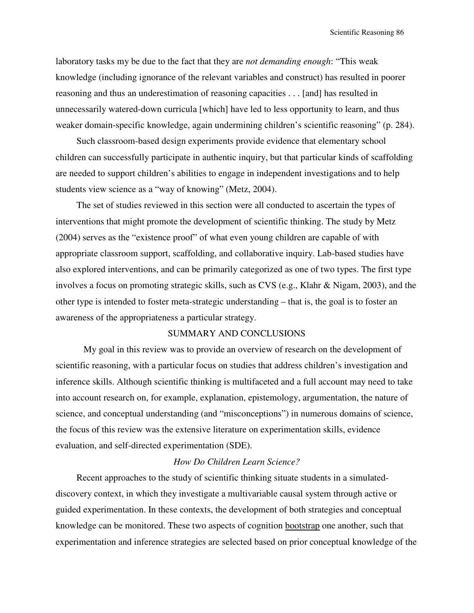laboratory tasks my be due to the fact that they are *not demanding enough*: "This weak knowledge (including ignorance of the relevant variables and construct) has resulted in poorer reasoning and thus an underestimation of reasoning capacities . . . [and] has resulted in unnecessarily watered-down curricula [which] have led to less opportunity to learn, and thus weaker domain-specific knowledge, again undermining children's scientific reasoning" (p. 284).

Such classroom-based design experiments provide evidence that elementary school children can successfully participate in authentic inquiry, but that particular kinds of scaffolding are needed to support children's abilities to engage in independent investigations and to help students view science as a "way of knowing" (Metz, 2004).

The set of studies reviewed in this section were all conducted to ascertain the types of interventions that might promote the development of scientific thinking. The study by Metz (2004) serves as the "existence proof" of what even young children are capable of with appropriate classroom support, scaffolding, and collaborative inquiry. Lab-based studies have also explored interventions, and can be primarily categorized as one of two types. The first type involves a focus on promoting strategic skills, such as CVS (e.g., Klahr & Nigam, 2003), and the other type is intended to foster meta-strategic understanding – that is, the goal is to foster an awareness of the appropriateness a particular strategy.

## SUMMARY AND CONCLUSIONS

My goal in this review was to provide an overview of research on the development of scientific reasoning, with a particular focus on studies that address children's investigation and inference skills. Although scientific thinking is multifaceted and a full account may need to take into account research on, for example, explanation, epistemology, argumentation, the nature of science, and conceptual understanding (and "misconceptions") in numerous domains of science, the focus of this review was the extensive literature on experimentation skills, evidence evaluation, and self-directed experimentation (SDE).

# *How Do Children Learn Science?*

Recent approaches to the study of scientific thinking situate students in a simulateddiscovery context, in which they investigate a multivariable causal system through active or guided experimentation. In these contexts, the development of both strategies and conceptual knowledge can be monitored. These two aspects of cognition bootstrap one another, such that experimentation and inference strategies are selected based on prior conceptual knowledge of the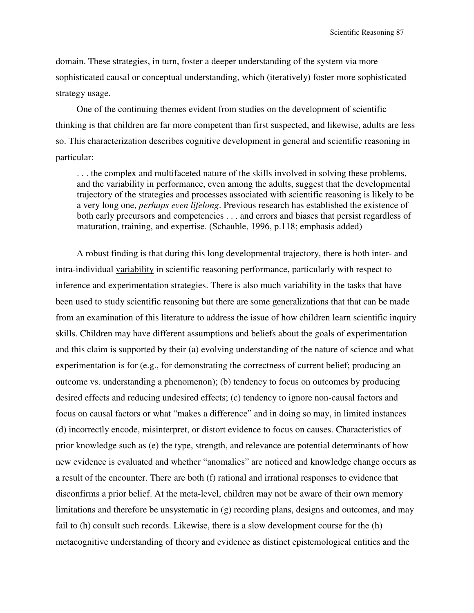domain. These strategies, in turn, foster a deeper understanding of the system via more sophisticated causal or conceptual understanding, which (iteratively) foster more sophisticated strategy usage.

One of the continuing themes evident from studies on the development of scientific thinking is that children are far more competent than first suspected, and likewise, adults are less so. This characterization describes cognitive development in general and scientific reasoning in particular:

. . . the complex and multifaceted nature of the skills involved in solving these problems, and the variability in performance, even among the adults, suggest that the developmental trajectory of the strategies and processes associated with scientific reasoning is likely to be a very long one, *perhaps even lifelong*. Previous research has established the existence of both early precursors and competencies . . . and errors and biases that persist regardless of maturation, training, and expertise. (Schauble, 1996, p.118; emphasis added)

A robust finding is that during this long developmental trajectory, there is both inter- and intra-individual variability in scientific reasoning performance, particularly with respect to inference and experimentation strategies. There is also much variability in the tasks that have been used to study scientific reasoning but there are some generalizations that that can be made from an examination of this literature to address the issue of how children learn scientific inquiry skills. Children may have different assumptions and beliefs about the goals of experimentation and this claim is supported by their (a) evolving understanding of the nature of science and what experimentation is for (e.g., for demonstrating the correctness of current belief; producing an outcome vs. understanding a phenomenon); (b) tendency to focus on outcomes by producing desired effects and reducing undesired effects; (c) tendency to ignore non-causal factors and focus on causal factors or what "makes a difference" and in doing so may, in limited instances (d) incorrectly encode, misinterpret, or distort evidence to focus on causes. Characteristics of prior knowledge such as (e) the type, strength, and relevance are potential determinants of how new evidence is evaluated and whether "anomalies" are noticed and knowledge change occurs as a result of the encounter. There are both (f) rational and irrational responses to evidence that disconfirms a prior belief. At the meta-level, children may not be aware of their own memory limitations and therefore be unsystematic in (g) recording plans, designs and outcomes, and may fail to (h) consult such records. Likewise, there is a slow development course for the (h) metacognitive understanding of theory and evidence as distinct epistemological entities and the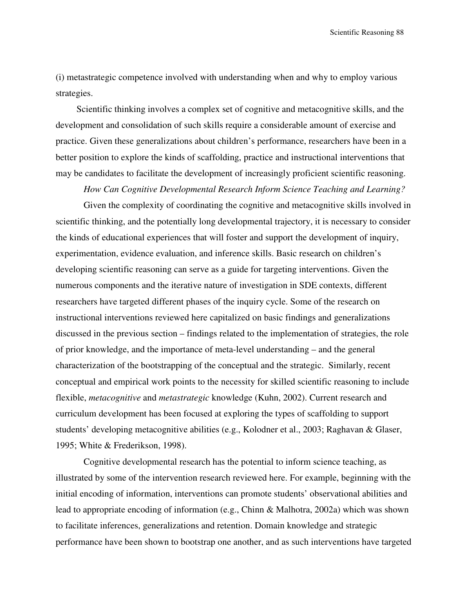(i) metastrategic competence involved with understanding when and why to employ various strategies.

Scientific thinking involves a complex set of cognitive and metacognitive skills, and the development and consolidation of such skills require a considerable amount of exercise and practice. Given these generalizations about children's performance, researchers have been in a better position to explore the kinds of scaffolding, practice and instructional interventions that may be candidates to facilitate the development of increasingly proficient scientific reasoning.

*How Can Cognitive Developmental Research Inform Science Teaching and Learning?*

Given the complexity of coordinating the cognitive and metacognitive skills involved in scientific thinking, and the potentially long developmental trajectory, it is necessary to consider the kinds of educational experiences that will foster and support the development of inquiry, experimentation, evidence evaluation, and inference skills. Basic research on children's developing scientific reasoning can serve as a guide for targeting interventions. Given the numerous components and the iterative nature of investigation in SDE contexts, different researchers have targeted different phases of the inquiry cycle. Some of the research on instructional interventions reviewed here capitalized on basic findings and generalizations discussed in the previous section – findings related to the implementation of strategies, the role of prior knowledge, and the importance of meta-level understanding – and the general characterization of the bootstrapping of the conceptual and the strategic. Similarly, recent conceptual and empirical work points to the necessity for skilled scientific reasoning to include flexible, *metacognitive* and *metastrategic* knowledge (Kuhn, 2002). Current research and curriculum development has been focused at exploring the types of scaffolding to support students' developing metacognitive abilities (e.g., Kolodner et al., 2003; Raghavan & Glaser, 1995; White & Frederikson, 1998).

Cognitive developmental research has the potential to inform science teaching, as illustrated by some of the intervention research reviewed here. For example, beginning with the initial encoding of information, interventions can promote students' observational abilities and lead to appropriate encoding of information (e.g., Chinn & Malhotra, 2002a) which was shown to facilitate inferences, generalizations and retention. Domain knowledge and strategic performance have been shown to bootstrap one another, and as such interventions have targeted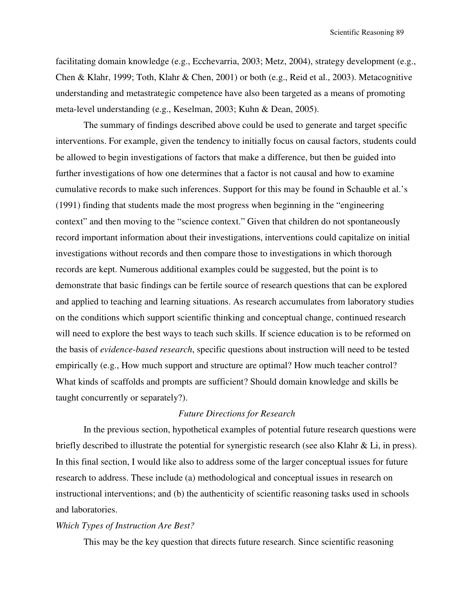facilitating domain knowledge (e.g., Ecchevarria, 2003; Metz, 2004), strategy development (e.g., Chen & Klahr, 1999; Toth, Klahr & Chen, 2001) or both (e.g., Reid et al., 2003). Metacognitive understanding and metastrategic competence have also been targeted as a means of promoting meta-level understanding (e.g., Keselman, 2003; Kuhn & Dean, 2005).

The summary of findings described above could be used to generate and target specific interventions. For example, given the tendency to initially focus on causal factors, students could be allowed to begin investigations of factors that make a difference, but then be guided into further investigations of how one determines that a factor is not causal and how to examine cumulative records to make such inferences. Support for this may be found in Schauble et al.'s (1991) finding that students made the most progress when beginning in the "engineering context" and then moving to the "science context." Given that children do not spontaneously record important information about their investigations, interventions could capitalize on initial investigations without records and then compare those to investigations in which thorough records are kept. Numerous additional examples could be suggested, but the point is to demonstrate that basic findings can be fertile source of research questions that can be explored and applied to teaching and learning situations. As research accumulates from laboratory studies on the conditions which support scientific thinking and conceptual change, continued research will need to explore the best ways to teach such skills. If science education is to be reformed on the basis of *evidence-based research*, specific questions about instruction will need to be tested empirically (e.g., How much support and structure are optimal? How much teacher control? What kinds of scaffolds and prompts are sufficient? Should domain knowledge and skills be taught concurrently or separately?).

#### *Future Directions for Research*

In the previous section, hypothetical examples of potential future research questions were briefly described to illustrate the potential for synergistic research (see also Klahr & Li, in press). In this final section, I would like also to address some of the larger conceptual issues for future research to address. These include (a) methodological and conceptual issues in research on instructional interventions; and (b) the authenticity of scientific reasoning tasks used in schools and laboratories.

## *Which Types of Instruction Are Best?*

This may be the key question that directs future research. Since scientific reasoning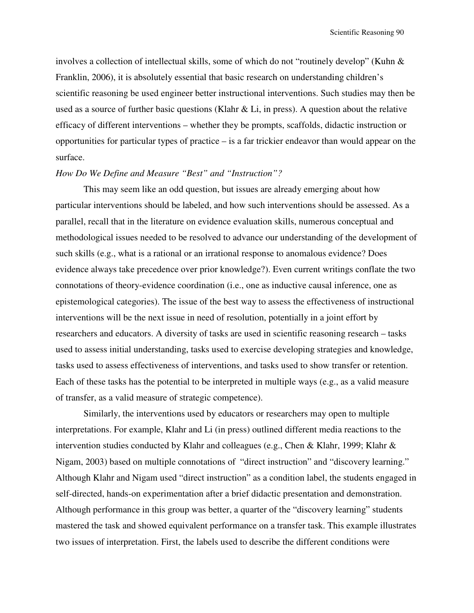involves a collection of intellectual skills, some of which do not "routinely develop" (Kuhn & Franklin, 2006), it is absolutely essential that basic research on understanding children's scientific reasoning be used engineer better instructional interventions. Such studies may then be used as a source of further basic questions (Klahr & Li, in press). A question about the relative efficacy of different interventions – whether they be prompts, scaffolds, didactic instruction or opportunities for particular types of practice – is a far trickier endeavor than would appear on the surface.

# *How Do We Define and Measure "Best" and "Instruction"?*

This may seem like an odd question, but issues are already emerging about how particular interventions should be labeled, and how such interventions should be assessed. As a parallel, recall that in the literature on evidence evaluation skills, numerous conceptual and methodological issues needed to be resolved to advance our understanding of the development of such skills (e.g., what is a rational or an irrational response to anomalous evidence? Does evidence always take precedence over prior knowledge?). Even current writings conflate the two connotations of theory-evidence coordination (i.e., one as inductive causal inference, one as epistemological categories). The issue of the best way to assess the effectiveness of instructional interventions will be the next issue in need of resolution, potentially in a joint effort by researchers and educators. A diversity of tasks are used in scientific reasoning research – tasks used to assess initial understanding, tasks used to exercise developing strategies and knowledge, tasks used to assess effectiveness of interventions, and tasks used to show transfer or retention. Each of these tasks has the potential to be interpreted in multiple ways (e.g., as a valid measure of transfer, as a valid measure of strategic competence).

Similarly, the interventions used by educators or researchers may open to multiple interpretations. For example, Klahr and Li (in press) outlined different media reactions to the intervention studies conducted by Klahr and colleagues (e.g., Chen & Klahr, 1999; Klahr & Nigam, 2003) based on multiple connotations of "direct instruction" and "discovery learning." Although Klahr and Nigam used "direct instruction" as a condition label, the students engaged in self-directed, hands-on experimentation after a brief didactic presentation and demonstration. Although performance in this group was better, a quarter of the "discovery learning" students mastered the task and showed equivalent performance on a transfer task. This example illustrates two issues of interpretation. First, the labels used to describe the different conditions were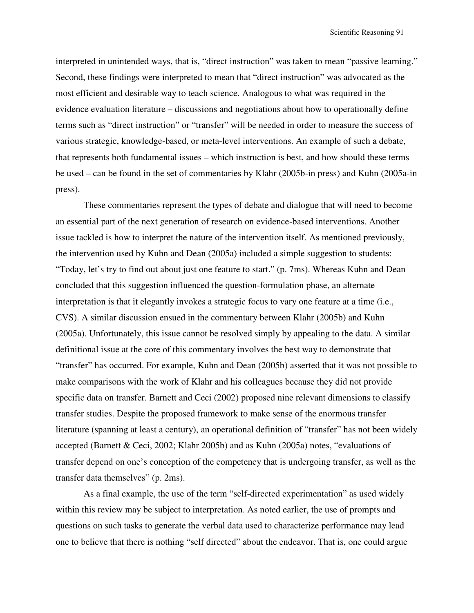interpreted in unintended ways, that is, "direct instruction" was taken to mean "passive learning." Second, these findings were interpreted to mean that "direct instruction" was advocated as the most efficient and desirable way to teach science. Analogous to what was required in the evidence evaluation literature – discussions and negotiations about how to operationally define terms such as "direct instruction" or "transfer" will be needed in order to measure the success of various strategic, knowledge-based, or meta-level interventions. An example of such a debate, that represents both fundamental issues – which instruction is best, and how should these terms be used – can be found in the set of commentaries by Klahr (2005b-in press) and Kuhn (2005a-in press).

These commentaries represent the types of debate and dialogue that will need to become an essential part of the next generation of research on evidence-based interventions. Another issue tackled is how to interpret the nature of the intervention itself. As mentioned previously, the intervention used by Kuhn and Dean (2005a) included a simple suggestion to students: "Today, let's try to find out about just one feature to start." (p. 7ms). Whereas Kuhn and Dean concluded that this suggestion influenced the question-formulation phase, an alternate interpretation is that it elegantly invokes a strategic focus to vary one feature at a time (i.e., CVS). A similar discussion ensued in the commentary between Klahr (2005b) and Kuhn (2005a). Unfortunately, this issue cannot be resolved simply by appealing to the data. A similar definitional issue at the core of this commentary involves the best way to demonstrate that "transfer" has occurred. For example, Kuhn and Dean (2005b) asserted that it was not possible to make comparisons with the work of Klahr and his colleagues because they did not provide specific data on transfer. Barnett and Ceci (2002) proposed nine relevant dimensions to classify transfer studies. Despite the proposed framework to make sense of the enormous transfer literature (spanning at least a century), an operational definition of "transfer" has not been widely accepted (Barnett & Ceci, 2002; Klahr 2005b) and as Kuhn (2005a) notes, "evaluations of transfer depend on one's conception of the competency that is undergoing transfer, as well as the transfer data themselves" (p. 2ms).

As a final example, the use of the term "self-directed experimentation" as used widely within this review may be subject to interpretation. As noted earlier, the use of prompts and questions on such tasks to generate the verbal data used to characterize performance may lead one to believe that there is nothing "self directed" about the endeavor. That is, one could argue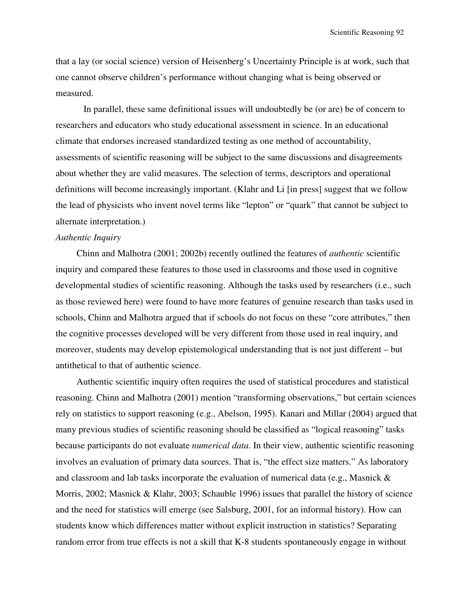that a lay (or social science) version of Heisenberg's Uncertainty Principle is at work, such that one cannot observe children's performance without changing what is being observed or measured.

In parallel, these same definitional issues will undoubtedly be (or are) be of concern to researchers and educators who study educational assessment in science. In an educational climate that endorses increased standardized testing as one method of accountability, assessments of scientific reasoning will be subject to the same discussions and disagreements about whether they are valid measures. The selection of terms, descriptors and operational definitions will become increasingly important. (Klahr and Li [in press] suggest that we follow the lead of physicists who invent novel terms like "lepton" or "quark" that cannot be subject to alternate interpretation.)

#### *Authentic Inquiry*

Chinn and Malhotra (2001; 2002b) recently outlined the features of *authentic* scientific inquiry and compared these features to those used in classrooms and those used in cognitive developmental studies of scientific reasoning. Although the tasks used by researchers (i.e., such as those reviewed here) were found to have more features of genuine research than tasks used in schools, Chinn and Malhotra argued that if schools do not focus on these "core attributes," then the cognitive processes developed will be very different from those used in real inquiry, and moreover, students may develop epistemological understanding that is not just different – but antithetical to that of authentic science.

Authentic scientific inquiry often requires the used of statistical procedures and statistical reasoning. Chinn and Malhotra (2001) mention "transforming observations," but certain sciences rely on statistics to support reasoning (e.g., Abelson, 1995). Kanari and Millar (2004) argued that many previous studies of scientific reasoning should be classified as "logical reasoning" tasks because participants do not evaluate *numerical data*. In their view, authentic scientific reasoning involves an evaluation of primary data sources. That is, "the effect size matters." As laboratory and classroom and lab tasks incorporate the evaluation of numerical data (e.g., Masnick & Morris, 2002; Masnick & Klahr, 2003; Schauble 1996) issues that parallel the history of science and the need for statistics will emerge (see Salsburg, 2001, for an informal history). How can students know which differences matter without explicit instruction in statistics? Separating random error from true effects is not a skill that K-8 students spontaneously engage in without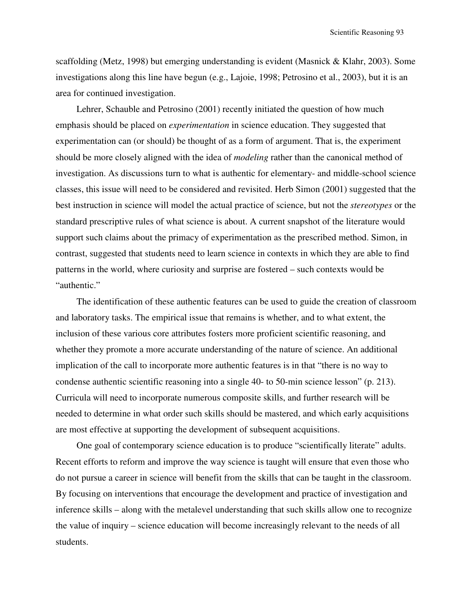scaffolding (Metz, 1998) but emerging understanding is evident (Masnick & Klahr, 2003). Some investigations along this line have begun (e.g., Lajoie, 1998; Petrosino et al., 2003), but it is an area for continued investigation.

Lehrer, Schauble and Petrosino (2001) recently initiated the question of how much emphasis should be placed on *experimentation* in science education. They suggested that experimentation can (or should) be thought of as a form of argument. That is, the experiment should be more closely aligned with the idea of *modeling* rather than the canonical method of investigation. As discussions turn to what is authentic for elementary- and middle-school science classes, this issue will need to be considered and revisited. Herb Simon (2001) suggested that the best instruction in science will model the actual practice of science, but not the *stereotypes* or the standard prescriptive rules of what science is about. A current snapshot of the literature would support such claims about the primacy of experimentation as the prescribed method. Simon, in contrast, suggested that students need to learn science in contexts in which they are able to find patterns in the world, where curiosity and surprise are fostered – such contexts would be "authentic."

The identification of these authentic features can be used to guide the creation of classroom and laboratory tasks. The empirical issue that remains is whether, and to what extent, the inclusion of these various core attributes fosters more proficient scientific reasoning, and whether they promote a more accurate understanding of the nature of science. An additional implication of the call to incorporate more authentic features is in that "there is no way to condense authentic scientific reasoning into a single 40- to 50-min science lesson" (p. 213). Curricula will need to incorporate numerous composite skills, and further research will be needed to determine in what order such skills should be mastered, and which early acquisitions are most effective at supporting the development of subsequent acquisitions.

One goal of contemporary science education is to produce "scientifically literate" adults. Recent efforts to reform and improve the way science is taught will ensure that even those who do not pursue a career in science will benefit from the skills that can be taught in the classroom. By focusing on interventions that encourage the development and practice of investigation and inference skills – along with the metalevel understanding that such skills allow one to recognize the value of inquiry – science education will become increasingly relevant to the needs of all students.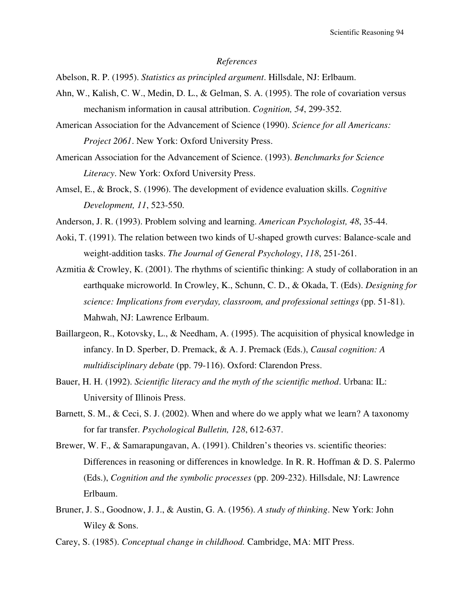#### *References*

Abelson, R. P. (1995). *Statistics as principled argument*. Hillsdale, NJ: Erlbaum.

- Ahn, W., Kalish, C. W., Medin, D. L., & Gelman, S. A. (1995). The role of covariation versus mechanism information in causal attribution. *Cognition, 54*, 299-352.
- American Association for the Advancement of Science (1990). *Science for all Americans: Project 2061*. New York: Oxford University Press.
- American Association for the Advancement of Science. (1993). *Benchmarks for Science Literacy*. New York: Oxford University Press.
- Amsel, E., & Brock, S. (1996). The development of evidence evaluation skills. *Cognitive Development, 11*, 523-550.
- Anderson, J. R. (1993). Problem solving and learning. *American Psychologist, 48*, 35-44.
- Aoki, T. (1991). The relation between two kinds of U-shaped growth curves: Balance-scale and weight-addition tasks. *The Journal of General Psychology*, *118*, 251-261.
- Azmitia & Crowley, K. (2001). The rhythms of scientific thinking: A study of collaboration in an earthquake microworld. In Crowley, K., Schunn, C. D., & Okada, T. (Eds). *Designing for science: Implications from everyday, classroom, and professional settings* (pp. 51-81). Mahwah, NJ: Lawrence Erlbaum.
- Baillargeon, R., Kotovsky, L., & Needham, A. (1995). The acquisition of physical knowledge in infancy. In D. Sperber, D. Premack, & A. J. Premack (Eds.), *Causal cognition: A multidisciplinary debate* (pp. 79-116). Oxford: Clarendon Press.
- Bauer, H. H. (1992). *Scientific literacy and the myth of the scientific method*. Urbana: IL: University of Illinois Press.
- Barnett, S. M., & Ceci, S. J. (2002). When and where do we apply what we learn? A taxonomy for far transfer. *Psychological Bulletin, 128*, 612-637.
- Brewer, W. F., & Samarapungavan, A. (1991). Children's theories vs. scientific theories: Differences in reasoning or differences in knowledge. In R. R. Hoffman & D. S. Palermo (Eds.), *Cognition and the symbolic processes* (pp. 209-232). Hillsdale, NJ: Lawrence Erlbaum.
- Bruner, J. S., Goodnow, J. J., & Austin, G. A. (1956). *A study of thinking*. New York: John Wiley & Sons.
- Carey, S. (1985). *Conceptual change in childhood.* Cambridge, MA: MIT Press.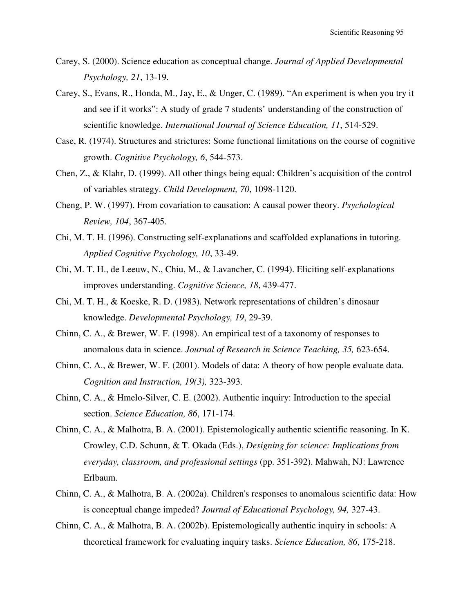- Carey, S. (2000). Science education as conceptual change. *Journal of Applied Developmental Psychology, 21*, 13-19.
- Carey, S., Evans, R., Honda, M., Jay, E., & Unger, C. (1989). "An experiment is when you try it and see if it works": A study of grade 7 students' understanding of the construction of scientific knowledge. *International Journal of Science Education, 11*, 514-529.
- Case, R. (1974). Structures and strictures: Some functional limitations on the course of cognitive growth. *Cognitive Psychology, 6*, 544-573.
- Chen, Z., & Klahr, D. (1999). All other things being equal: Children's acquisition of the control of variables strategy. *Child Development, 70*, 1098-1120.
- Cheng, P. W. (1997). From covariation to causation: A causal power theory. *Psychological Review, 104*, 367-405.
- Chi, M. T. H. (1996). Constructing self-explanations and scaffolded explanations in tutoring. *Applied Cognitive Psychology, 10*, 33-49.
- Chi, M. T. H., de Leeuw, N., Chiu, M., & Lavancher, C. (1994). Eliciting self-explanations improves understanding. *Cognitive Science, 18*, 439-477.
- Chi, M. T. H., & Koeske, R. D. (1983). Network representations of children's dinosaur knowledge. *Developmental Psychology, 19*, 29-39.
- Chinn, C. A., & Brewer, W. F. (1998). An empirical test of a taxonomy of responses to anomalous data in science. *Journal of Research in Science Teaching, 35,* 623-654.
- Chinn, C. A., & Brewer, W. F. (2001). Models of data: A theory of how people evaluate data. *Cognition and Instruction, 19(3),* 323-393.
- Chinn, C. A., & Hmelo-Silver, C. E. (2002). Authentic inquiry: Introduction to the special section. *Science Education, 86*, 171-174.
- Chinn, C. A., & Malhotra, B. A. (2001). Epistemologically authentic scientific reasoning. In K. Crowley, C.D. Schunn, & T. Okada (Eds.), *Designing for science: Implications from everyday, classroom, and professional settings* (pp. 351-392). Mahwah, NJ: Lawrence Erlbaum.
- Chinn, C. A., & Malhotra, B. A. (2002a). Children's responses to anomalous scientific data: How is conceptual change impeded? *Journal of Educational Psychology, 94,* 327-43.
- Chinn, C. A., & Malhotra, B. A. (2002b). Epistemologically authentic inquiry in schools: A theoretical framework for evaluating inquiry tasks. *Science Education, 86*, 175-218.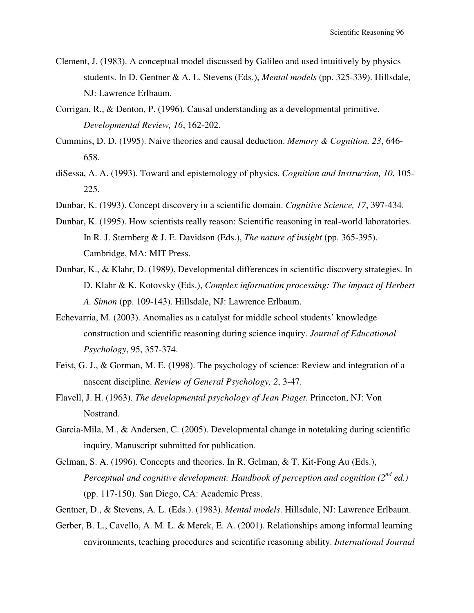- Clement, J. (1983). A conceptual model discussed by Galileo and used intuitively by physics students. In D. Gentner & A. L. Stevens (Eds.), *Mental models* (pp. 325-339). Hillsdale, NJ: Lawrence Erlbaum.
- Corrigan, R., & Denton, P. (1996). Causal understanding as a developmental primitive. *Developmental Review, 16*, 162-202.
- Cummins, D. D. (1995). Naive theories and causal deduction. *Memory & Cognition, 23*, 646- 658.
- diSessa, A. A. (1993). Toward and epistemology of physics. *Cognition and Instruction, 10*, 105- 225.
- Dunbar, K. (1993). Concept discovery in a scientific domain. *Cognitive Science, 17*, 397-434.
- Dunbar, K. (1995). How scientists really reason: Scientific reasoning in real-world laboratories. In R. J. Sternberg & J. E. Davidson (Eds.), *The nature of insight* (pp. 365-395). Cambridge, MA: MIT Press.
- Dunbar, K., & Klahr, D. (1989). Developmental differences in scientific discovery strategies. In D. Klahr & K. Kotovsky (Eds.), *Complex information processing: The impact of Herbert A. Simon* (pp. 109-143). Hillsdale, NJ: Lawrence Erlbaum.
- Echevarria, M. (2003). Anomalies as a catalyst for middle school students' knowledge construction and scientific reasoning during science inquiry. *Journal of Educational Psychology*, 95, 357-374.
- Feist, G. J., & Gorman, M. E. (1998). The psychology of science: Review and integration of a nascent discipline. *Review of General Psychology, 2*, 3-47.
- Flavell, J. H. (1963). *The developmental psychology of Jean Piaget*. Princeton, NJ: Von Nostrand.
- Garcia-Mila, M., & Andersen, C. (2005). Developmental change in notetaking during scientific inquiry. Manuscript submitted for publication.
- Gelman, S. A. (1996). Concepts and theories. In R. Gelman, & T. Kit-Fong Au (Eds.), *Perceptual and cognitive development: Handbook of perception and cognition* (2<sup>nd</sup> ed.) (pp. 117-150). San Diego, CA: Academic Press.
- Gentner, D., & Stevens, A. L. (Eds.). (1983). *Mental models*. Hillsdale, NJ: Lawrence Erlbaum.
- Gerber, B. L., Cavello, A. M. L. & Merek, E. A. (2001). Relationships among informal learning environments, teaching procedures and scientific reasoning ability. *International Journal*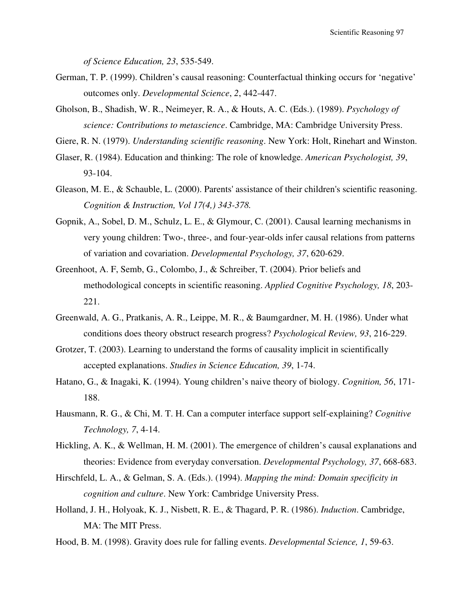*of Science Education, 23*, 535-549.

- German, T. P. (1999). Children's causal reasoning: Counterfactual thinking occurs for 'negative' outcomes only. *Developmental Science*, *2*, 442-447.
- Gholson, B., Shadish, W. R., Neimeyer, R. A., & Houts, A. C. (Eds.). (1989). *Psychology of science: Contributions to metascience*. Cambridge, MA: Cambridge University Press.
- Giere, R. N. (1979). *Understanding scientific reasoning*. New York: Holt, Rinehart and Winston.
- Glaser, R. (1984). Education and thinking: The role of knowledge. *American Psychologist, 39*, 93-104.
- Gleason, M. E., & Schauble, L. (2000). Parents'assistance of their children's scientific reasoning. *Cognition & Instruction, Vol 17(4,) 343-378.*
- Gopnik, A., Sobel, D. M., Schulz, L. E., & Glymour, C. (2001). Causal learning mechanisms in very young children: Two-, three-, and four-year-olds infer causal relations from patterns of variation and covariation. *Developmental Psychology, 37*, 620-629.
- Greenhoot, A. F, Semb, G., Colombo, J., & Schreiber, T. (2004). Prior beliefs and methodological concepts in scientific reasoning. *Applied Cognitive Psychology, 18*, 203- 221.
- Greenwald, A. G., Pratkanis, A. R., Leippe, M. R., & Baumgardner, M. H. (1986). Under what conditions does theory obstruct research progress? *Psychological Review, 93*, 216-229.
- Grotzer, T. (2003). Learning to understand the forms of causality implicit in scientifically accepted explanations. *Studies in Science Education, 39*, 1-74.
- Hatano, G., & Inagaki, K. (1994). Young children's naive theory of biology. *Cognition, 56*, 171- 188.
- Hausmann, R. G., & Chi, M. T. H. Can a computer interface support self-explaining? *Cognitive Technology, 7*, 4-14.
- Hickling, A. K., & Wellman, H. M. (2001). The emergence of children's causal explanations and theories: Evidence from everyday conversation. *Developmental Psychology, 37*, 668-683.
- Hirschfeld, L. A., & Gelman, S. A. (Eds.). (1994). *Mapping the mind: Domain specificity in cognition and culture*. New York: Cambridge University Press.
- Holland, J. H., Holyoak, K. J., Nisbett, R. E., & Thagard, P. R. (1986). *Induction*. Cambridge, MA: The MIT Press.
- Hood, B. M. (1998). Gravity does rule for falling events. *Developmental Science, 1*, 59-63.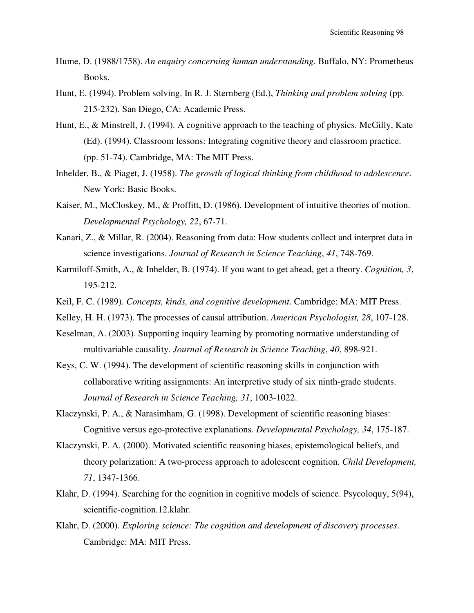- Hume, D. (1988/1758). *An enquiry concerning human understanding*. Buffalo, NY: Prometheus Books.
- Hunt, E. (1994). Problem solving. In R. J. Sternberg (Ed.), *Thinking and problem solving* (pp. 215-232). San Diego, CA: Academic Press.
- Hunt, E., & Minstrell, J. (1994). A cognitive approach to the teaching of physics. McGilly, Kate (Ed). (1994). Classroom lessons: Integrating cognitive theory and classroom practice. (pp. 51-74). Cambridge, MA: The MIT Press.
- Inhelder, B., & Piaget, J. (1958). *The growth of logical thinking from childhood to adolescence*. New York: Basic Books.
- Kaiser, M., McCloskey, M., & Proffitt, D. (1986). Development of intuitive theories of motion. *Developmental Psychology, 22*, 67-71.
- Kanari, Z., & Millar, R. (2004). Reasoning from data: How students collect and interpret data in science investigations. *Journal of Research in Science Teaching*, *41*, 748-769.
- Karmiloff-Smith, A., & Inhelder, B. (1974). If you want to get ahead, get a theory. *Cognition, 3*, 195-212.
- Keil, F. C. (1989). *Concepts, kinds, and cognitive development*. Cambridge: MA: MIT Press.
- Kelley, H. H. (1973). The processes of causal attribution. *American Psychologist, 28*, 107-128.
- Keselman, A. (2003). Supporting inquiry learning by promoting normative understanding of multivariable causality. *Journal of Research in Science Teaching*, *40*, 898-921.
- Keys, C. W. (1994). The development of scientific reasoning skills in conjunction with collaborative writing assignments: An interpretive study of six ninth-grade students. *Journal of Research in Science Teaching, 31*, 1003-1022.
- Klaczynski, P. A., & Narasimham, G. (1998). Development of scientific reasoning biases: Cognitive versus ego-protective explanations. *Developmental Psychology, 34*, 175-187.
- Klaczynski, P. A. (2000). Motivated scientific reasoning biases, epistemological beliefs, and theory polarization: A two-process approach to adolescent cognition. *Child Development, 71*, 1347-1366.
- Klahr, D. (1994). Searching for the cognition in cognitive models of science. Psycoloquy, 5(94), scientific-cognition.12.klahr.
- Klahr, D. (2000). *Exploring science: The cognition and development of discovery processes*. Cambridge: MA: MIT Press.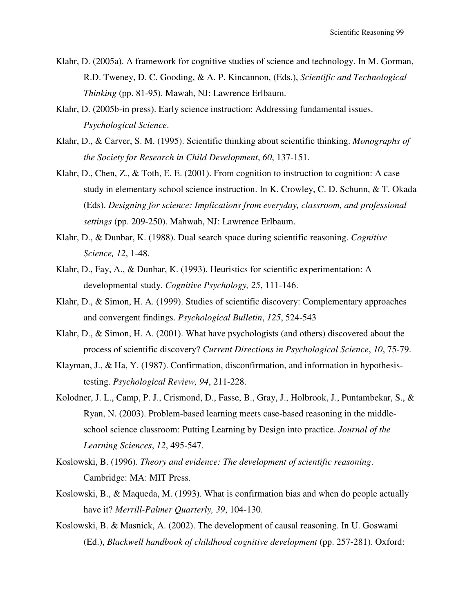- Klahr, D. (2005a). A framework for cognitive studies of science and technology. In M. Gorman, R.D. Tweney, D. C. Gooding, & A. P. Kincannon, (Eds.), *Scientific and Technological Thinking* (pp. 81-95). Mawah, NJ: Lawrence Erlbaum.
- Klahr, D. (2005b-in press). Early science instruction: Addressing fundamental issues. *Psychological Science*.
- Klahr, D., & Carver, S. M. (1995). Scientific thinking about scientific thinking. *Monographs of the Society for Research in Child Development*, *60*, 137-151.
- Klahr, D., Chen, Z., & Toth, E. E. (2001). From cognition to instruction to cognition: A case study in elementary school science instruction. In K. Crowley, C. D. Schunn, & T. Okada (Eds). *Designing for science: Implications from everyday, classroom, and professional settings* (pp. 209-250). Mahwah, NJ: Lawrence Erlbaum.
- Klahr, D., & Dunbar, K. (1988). Dual search space during scientific reasoning. *Cognitive Science, 12*, 1-48.
- Klahr, D., Fay, A., & Dunbar, K. (1993). Heuristics for scientific experimentation: A developmental study. *Cognitive Psychology, 25*, 111-146.
- Klahr, D., & Simon, H. A. (1999). Studies of scientific discovery: Complementary approaches and convergent findings. *Psychological Bulletin*, *125*, 524-543
- Klahr, D., & Simon, H. A. (2001). What have psychologists (and others) discovered about the process of scientific discovery? *Current Directions in Psychological Science*, *10*, 75-79.
- Klayman, J., & Ha, Y. (1987). Confirmation, disconfirmation, and information in hypothesistesting. *Psychological Review, 94*, 211-228.
- Kolodner, J. L., Camp, P. J., Crismond, D., Fasse, B., Gray, J., Holbrook, J., Puntambekar, S., & Ryan, N. (2003). Problem-based learning meets case-based reasoning in the middleschool science classroom: Putting Learning by Design into practice. *Journal of the Learning Sciences*, *12*, 495-547.
- Koslowski, B. (1996). *Theory and evidence: The development of scientific reasoning*. Cambridge: MA: MIT Press.
- Koslowski, B., & Maqueda, M. (1993). What is confirmation bias and when do people actually have it? *Merrill-Palmer Quarterly, 39*, 104-130.
- Koslowski, B. & Masnick, A. (2002). The development of causal reasoning. In U. Goswami (Ed.), *Blackwell handbook of childhood cognitive development* (pp. 257-281). Oxford: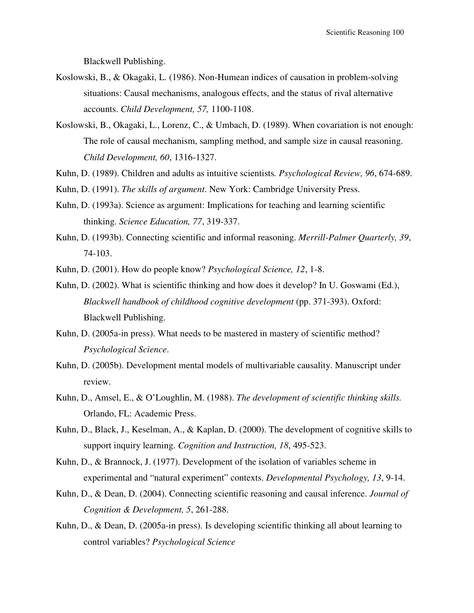Blackwell Publishing.

- Koslowski, B., & Okagaki, L. (1986). Non-Humean indices of causation in problem-solving situations: Causal mechanisms, analogous effects, and the status of rival alternative accounts. *Child Development, 57,* 1100-1108.
- Koslowski, B., Okagaki, L., Lorenz, C., & Umbach, D. (1989). When covariation is not enough: The role of causal mechanism, sampling method, and sample size in causal reasoning. *Child Development, 60*, 1316-1327.
- Kuhn, D. (1989). Children and adults as intuitive scientists*. Psychological Review, 96*, 674-689.
- Kuhn, D. (1991). *The skills of argument*. New York: Cambridge University Press.
- Kuhn, D. (1993a). Science as argument: Implications for teaching and learning scientific thinking. *Science Education, 77*, 319-337.
- Kuhn, D. (1993b). Connecting scientific and informal reasoning. *Merrill-Palmer Quarterly, 39*, 74-103.
- Kuhn, D. (2001). How do people know? *Psychological Science, 12*, 1-8.
- Kuhn, D. (2002). What is scientific thinking and how does it develop? In U. Goswami (Ed.), *Blackwell handbook of childhood cognitive development* (pp. 371-393). Oxford: Blackwell Publishing.
- Kuhn, D. (2005a-in press). What needs to be mastered in mastery of scientific method? *Psychological Science*.
- Kuhn, D. (2005b). Development mental models of multivariable causality. Manuscript under review.
- Kuhn, D., Amsel, E., & O'Loughlin, M. (1988). *The development of scientific thinking skills.* Orlando, FL: Academic Press.
- Kuhn, D., Black, J., Keselman, A., & Kaplan, D. (2000). The development of cognitive skills to support inquiry learning. *Cognition and Instruction, 18*, 495-523.
- Kuhn, D., & Brannock, J. (1977). Development of the isolation of variables scheme in experimental and "natural experiment" contexts. *Developmental Psychology, 13*, 9-14.
- Kuhn, D., & Dean, D. (2004). Connecting scientific reasoning and causal inference. *Journal of Cognition & Development, 5*, 261-288.
- Kuhn, D., & Dean, D. (2005a-in press). Is developing scientific thinking all about learning to control variables? *Psychological Science*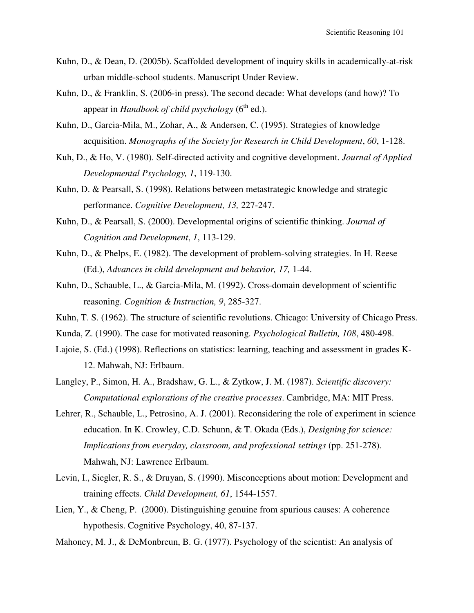- Kuhn, D., & Dean, D. (2005b). Scaffolded development of inquiry skills in academically-at-risk urban middle-school students. Manuscript Under Review.
- Kuhn, D., & Franklin, S. (2006-in press). The second decade: What develops (and how)? To appear in *Handbook of child psychology* (6<sup>th</sup> ed.).
- Kuhn, D., Garcia-Mila, M., Zohar, A., & Andersen, C. (1995). Strategies of knowledge acquisition. *Monographs of the Society for Research in Child Development*, *60*, 1-128.
- Kuh, D., & Ho, V. (1980). Self-directed activity and cognitive development. *Journal of Applied Developmental Psychology, 1*, 119-130.
- Kuhn, D. & Pearsall, S. (1998). Relations between metastrategic knowledge and strategic performance. *Cognitive Development, 13,* 227-247.
- Kuhn, D., & Pearsall, S. (2000). Developmental origins of scientific thinking. *Journal of Cognition and Development*, *1*, 113-129.
- Kuhn, D., & Phelps, E. (1982). The development of problem-solving strategies. In H. Reese (Ed.), *Advances in child development and behavior, 17,* 1-44.
- Kuhn, D., Schauble, L., & Garcia-Mila, M. (1992). Cross-domain development of scientific reasoning. *Cognition & Instruction, 9*, 285-327.
- Kuhn, T. S. (1962). The structure of scientific revolutions. Chicago: University of Chicago Press.
- Kunda, Z. (1990). The case for motivated reasoning. *Psychological Bulletin, 108*, 480-498.
- Lajoie, S. (Ed.) (1998). Reflections on statistics: learning, teaching and assessment in grades K-12. Mahwah, NJ: Erlbaum.
- Langley, P., Simon, H. A., Bradshaw, G. L., & Zytkow, J. M. (1987). *Scientific discovery: Computational explorations of the creative processes*. Cambridge, MA: MIT Press.
- Lehrer, R., Schauble, L., Petrosino, A. J. (2001). Reconsidering the role of experiment in science education. In K. Crowley, C.D. Schunn, & T. Okada (Eds.), *Designing for science: Implications from everyday, classroom, and professional settings* (pp. 251-278). Mahwah, NJ: Lawrence Erlbaum.
- Levin, I., Siegler, R. S., & Druyan, S. (1990). Misconceptions about motion: Development and training effects. *Child Development, 61*, 1544-1557.
- Lien, Y., & Cheng, P. (2000). Distinguishing genuine from spurious causes: A coherence hypothesis. Cognitive Psychology, 40, 87-137.
- Mahoney, M. J., & DeMonbreun, B. G. (1977). Psychology of the scientist: An analysis of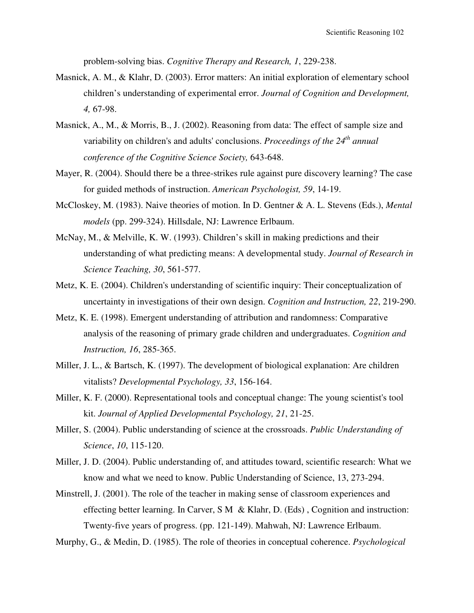problem-solving bias. *Cognitive Therapy and Research, 1*, 229-238.

- Masnick, A. M., & Klahr, D. (2003). Error matters: An initial exploration of elementary school children's understanding of experimental error. *Journal of Cognition and Development, 4,* 67-98.
- Masnick, A., M., & Morris, B., J. (2002). Reasoning from data: The effect of sample size and variability on children's and adults' conclusions. *Proceedings of the*  $24<sup>th</sup>$  *annual conference of the Cognitive Science Society,* 643-648.
- Mayer, R. (2004). Should there be a three-strikes rule against pure discovery learning? The case for guided methods of instruction. *American Psychologist, 59*, 14-19.
- McCloskey, M. (1983). Naive theories of motion. In D. Gentner & A. L. Stevens (Eds.), *Mental models* (pp. 299-324). Hillsdale, NJ: Lawrence Erlbaum.
- McNay, M., & Melville, K. W. (1993). Children's skill in making predictions and their understanding of what predicting means: A developmental study. *Journal of Research in Science Teaching, 30*, 561-577.
- Metz, K. E. (2004). Children's understanding of scientific inquiry: Their conceptualization of uncertainty in investigations of their own design. *Cognition and Instruction, 22*, 219-290.
- Metz, K. E. (1998). Emergent understanding of attribution and randomness: Comparative analysis of the reasoning of primary grade children and undergraduates. *Cognition and Instruction, 16*, 285-365.
- Miller, J. L., & Bartsch, K. (1997). The development of biological explanation: Are children vitalists? *Developmental Psychology, 33*, 156-164.
- Miller, K. F. (2000). Representational tools and conceptual change: The young scientist's tool kit. *Journal of Applied Developmental Psychology, 21*, 21-25.
- Miller, S. (2004). Public understanding of science at the crossroads. *Public Understanding of Science*, *10*, 115-120.
- Miller, J. D. (2004). Public understanding of, and attitudes toward, scientific research: What we know and what we need to know. Public Understanding of Science, 13, 273-294.
- Minstrell, J. (2001). The role of the teacher in making sense of classroom experiences and effecting better learning. In Carver, S M & Klahr, D. (Eds) , Cognition and instruction: Twenty-five years of progress. (pp. 121-149). Mahwah, NJ: Lawrence Erlbaum.

Murphy, G., & Medin, D. (1985). The role of theories in conceptual coherence. *Psychological*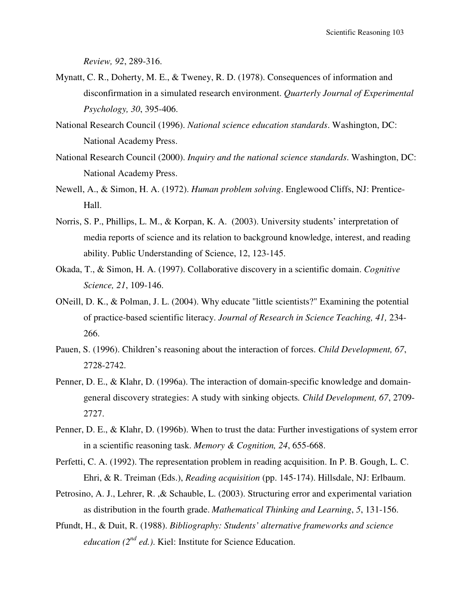*Review, 92*, 289-316.

- Mynatt, C. R., Doherty, M. E., & Tweney, R. D. (1978). Consequences of information and disconfirmation in a simulated research environment. *Quarterly Journal of Experimental Psychology, 30*, 395-406.
- National Research Council (1996). *National science education standards*. Washington, DC: National Academy Press.
- National Research Council (2000). *Inquiry and the national science standards*. Washington, DC: National Academy Press.
- Newell, A., & Simon, H. A. (1972). *Human problem solving*. Englewood Cliffs, NJ: Prentice-Hall.
- Norris, S. P., Phillips, L. M., & Korpan, K. A. (2003). University students' interpretation of media reports of science and its relation to background knowledge, interest, and reading ability. Public Understanding of Science, 12, 123-145.
- Okada, T., & Simon, H. A. (1997). Collaborative discovery in a scientific domain. *Cognitive Science, 21*, 109-146.
- ONeill, D. K., & Polman, J. L. (2004). Why educate "little scientists?" Examining the potential of practice-based scientific literacy. *Journal of Research in Science Teaching, 41,* 234- 266.
- Pauen, S. (1996). Children's reasoning about the interaction of forces. *Child Development, 67*, 2728-2742.
- Penner, D. E., & Klahr, D. (1996a). The interaction of domain-specific knowledge and domaingeneral discovery strategies: A study with sinking objects*. Child Development, 67*, 2709- 2727.
- Penner, D. E., & Klahr, D. (1996b). When to trust the data: Further investigations of system error in a scientific reasoning task. *Memory & Cognition, 24*, 655-668.
- Perfetti, C. A. (1992). The representation problem in reading acquisition. In P. B. Gough, L. C. Ehri, & R. Treiman (Eds.), *Reading acquisition* (pp. 145-174). Hillsdale, NJ: Erlbaum.
- Petrosino, A. J., Lehrer, R. ,& Schauble, L. (2003). Structuring error and experimental variation as distribution in the fourth grade. *Mathematical Thinking and Learning*, *5*, 131-156.
- Pfundt, H., & Duit, R. (1988). *Bibliography: Students' alternative frameworks and science education* (2<sup>nd</sup> ed.). Kiel: Institute for Science Education.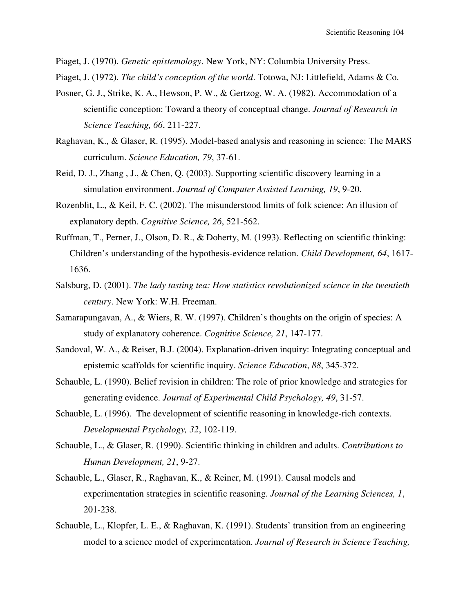Piaget, J. (1970). *Genetic epistemology*. New York, NY: Columbia University Press.

- Piaget, J. (1972). *The child's conception of the world*. Totowa, NJ: Littlefield, Adams & Co.
- Posner, G. J., Strike, K. A., Hewson, P. W., & Gertzog, W. A. (1982). Accommodation of a scientific conception: Toward a theory of conceptual change. *Journal of Research in Science Teaching, 66*, 211-227.
- Raghavan, K., & Glaser, R. (1995). Model-based analysis and reasoning in science: The MARS curriculum. *Science Education, 79*, 37-61.
- Reid, D. J., Zhang , J., & Chen, Q. (2003). Supporting scientific discovery learning in a simulation environment. *Journal of Computer Assisted Learning, 19*, 9-20.
- Rozenblit, L., & Keil, F. C. (2002). The misunderstood limits of folk science: An illusion of explanatory depth. *Cognitive Science, 26*, 521-562.
- Ruffman, T., Perner, J., Olson, D. R., & Doherty, M. (1993). Reflecting on scientific thinking: Children's understanding of the hypothesis-evidence relation. *Child Development, 64*, 1617- 1636.
- Salsburg, D. (2001). *The lady tasting tea: How statistics revolutionized science in the twentieth century*. New York: W.H. Freeman.
- Samarapungavan, A., & Wiers, R. W. (1997). Children's thoughts on the origin of species: A study of explanatory coherence. *Cognitive Science, 21*, 147-177.
- Sandoval, W. A., & Reiser, B.J. (2004). Explanation-driven inquiry: Integrating conceptual and epistemic scaffolds for scientific inquiry. *Science Education*, *88*, 345-372.
- Schauble, L. (1990). Belief revision in children: The role of prior knowledge and strategies for generating evidence. *Journal of Experimental Child Psychology, 49*, 31-57.
- Schauble, L. (1996). The development of scientific reasoning in knowledge-rich contexts. *Developmental Psychology, 32*, 102-119.
- Schauble, L., & Glaser, R. (1990). Scientific thinking in children and adults. *Contributions to Human Development, 21*, 9-27.
- Schauble, L., Glaser, R., Raghavan, K., & Reiner, M. (1991). Causal models and experimentation strategies in scientific reasoning. *Journal of the Learning Sciences, 1*, 201-238.
- Schauble, L., Klopfer, L. E., & Raghavan, K. (1991). Students' transition from an engineering model to a science model of experimentation. *Journal of Research in Science Teaching,*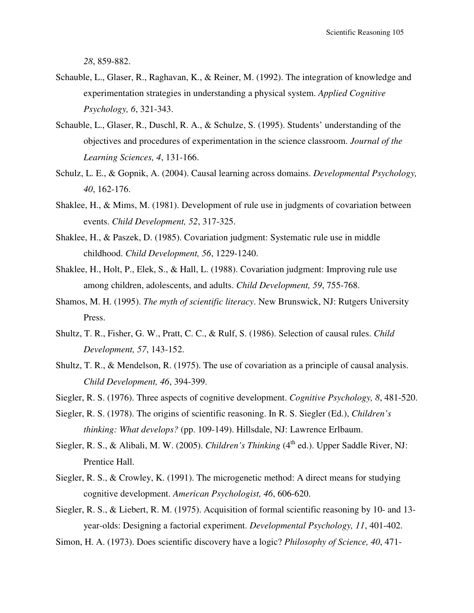*28*, 859-882.

- Schauble, L., Glaser, R., Raghavan, K., & Reiner, M. (1992). The integration of knowledge and experimentation strategies in understanding a physical system. *Applied Cognitive Psychology, 6*, 321-343.
- Schauble, L., Glaser, R., Duschl, R. A., & Schulze, S. (1995). Students' understanding of the objectives and procedures of experimentation in the science classroom. *Journal of the Learning Sciences, 4*, 131-166.
- Schulz, L. E., & Gopnik, A. (2004). Causal learning across domains. *Developmental Psychology, 40*, 162-176.
- Shaklee, H., & Mims, M. (1981). Development of rule use in judgments of covariation between events. *Child Development, 52*, 317-325.
- Shaklee, H., & Paszek, D. (1985). Covariation judgment: Systematic rule use in middle childhood. *Child Development, 56*, 1229-1240.
- Shaklee, H., Holt, P., Elek, S., & Hall, L. (1988). Covariation judgment: Improving rule use among children, adolescents, and adults. *Child Development, 59*, 755-768.
- Shamos, M. H. (1995). *The myth of scientific literacy*. New Brunswick, NJ: Rutgers University Press.
- Shultz, T. R., Fisher, G. W., Pratt, C. C., & Rulf, S. (1986). Selection of causal rules. *Child Development, 57*, 143-152.
- Shultz, T. R., & Mendelson, R. (1975). The use of covariation as a principle of causal analysis. *Child Development, 46*, 394-399.
- Siegler, R. S. (1976). Three aspects of cognitive development. *Cognitive Psychology, 8*, 481-520.
- Siegler, R. S. (1978). The origins of scientific reasoning. In R. S. Siegler (Ed.), *Children's thinking: What develops?* (pp. 109-149). Hillsdale, NJ: Lawrence Erlbaum.
- Siegler, R. S., & Alibali, M. W. (2005). *Children's Thinking* (4<sup>th</sup> ed.). Upper Saddle River, NJ: Prentice Hall.
- Siegler, R. S., & Crowley, K. (1991). The microgenetic method: A direct means for studying cognitive development. *American Psychologist, 46*, 606-620.
- Siegler, R. S., & Liebert, R. M. (1975). Acquisition of formal scientific reasoning by 10- and 13 year-olds: Designing a factorial experiment. *Developmental Psychology, 11*, 401-402.
- Simon, H. A. (1973). Does scientific discovery have a logic? *Philosophy of Science, 40*, 471-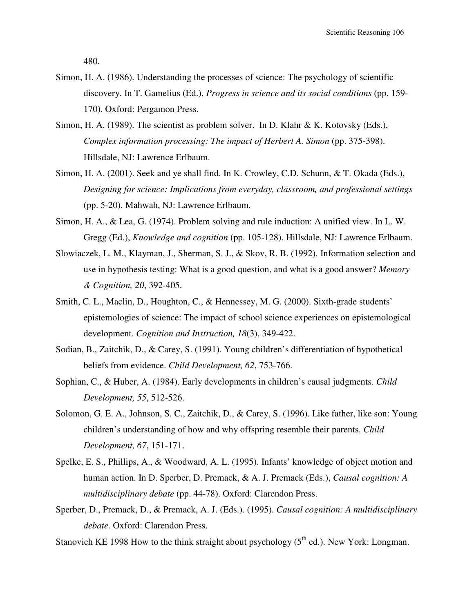480.

- Simon, H. A. (1986). Understanding the processes of science: The psychology of scientific discovery. In T. Gamelius (Ed.), *Progress in science and its social conditions* (pp. 159- 170). Oxford: Pergamon Press.
- Simon, H. A. (1989). The scientist as problem solver. In D. Klahr & K. Kotovsky (Eds.), *Complex information processing: The impact of Herbert A. Simon* (pp. 375-398). Hillsdale, NJ: Lawrence Erlbaum.
- Simon, H. A. (2001). Seek and ye shall find. In K. Crowley, C.D. Schunn, & T. Okada (Eds.), *Designing for science: Implications from everyday, classroom, and professional settings* (pp. 5-20). Mahwah, NJ: Lawrence Erlbaum.
- Simon, H. A., & Lea, G. (1974). Problem solving and rule induction: A unified view. In L. W. Gregg (Ed.), *Knowledge and cognition* (pp. 105-128). Hillsdale, NJ: Lawrence Erlbaum.
- Slowiaczek, L. M., Klayman, J., Sherman, S. J., & Skov, R. B. (1992). Information selection and use in hypothesis testing: What is a good question, and what is a good answer? *Memory & Cognition, 20*, 392-405.
- Smith, C. L., Maclin, D., Houghton, C., & Hennessey, M. G. (2000). Sixth-grade students' epistemologies of science: The impact of school science experiences on epistemological development. *Cognition and Instruction, 18*(3), 349-422.
- Sodian, B., Zaitchik, D., & Carey, S. (1991). Young children's differentiation of hypothetical beliefs from evidence. *Child Development, 62*, 753-766.
- Sophian, C., & Huber, A. (1984). Early developments in children's causal judgments. *Child Development, 55*, 512-526.
- Solomon, G. E. A., Johnson, S. C., Zaitchik, D., & Carey, S. (1996). Like father, like son: Young children's understanding of how and why offspring resemble their parents. *Child Development, 67*, 151-171.
- Spelke, E. S., Phillips, A., & Woodward, A. L. (1995). Infants' knowledge of object motion and human action. In D. Sperber, D. Premack, & A. J. Premack (Eds.), *Causal cognition: A multidisciplinary debate* (pp. 44-78). Oxford: Clarendon Press.
- Sperber, D., Premack, D., & Premack, A. J. (Eds.). (1995). *Causal cognition: A multidisciplinary debate*. Oxford: Clarendon Press.
- Stanovich KE 1998 How to the think straight about psychology ( $5<sup>th</sup>$  ed.). New York: Longman.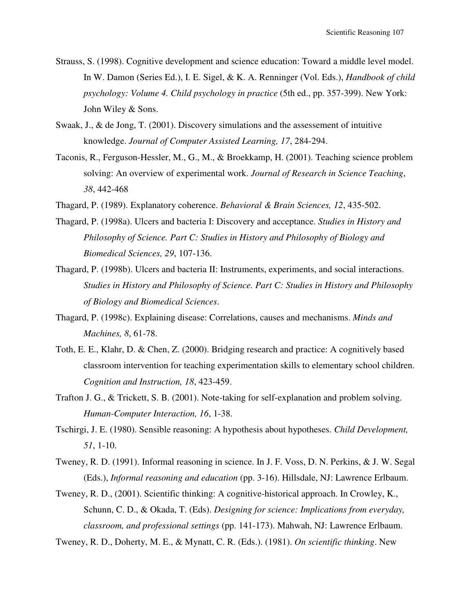- Strauss, S. (1998). Cognitive development and science education: Toward a middle level model. In W. Damon (Series Ed.), I. E. Sigel, & K. A. Renninger (Vol. Eds.), *Handbook of child psychology: Volume 4. Child psychology in practice* (5th ed., pp. 357-399). New York: John Wiley & Sons.
- Swaak, J., & de Jong, T. (2001). Discovery simulations and the assessement of intuitive knowledge. *Journal of Computer Assisted Learning, 17*, 284-294.
- Taconis, R., Ferguson-Hessler, M., G., M., & Broekkamp, H. (2001). Teaching science problem solving: An overview of experimental work. *Journal of Research in Science Teaching*, *38*, 442-468
- Thagard, P. (1989). Explanatory coherence. *Behavioral & Brain Sciences, 12*, 435-502.
- Thagard, P. (1998a). Ulcers and bacteria I: Discovery and acceptance. *Studies in History and Philosophy of Science. Part C: Studies in History and Philosophy of Biology and Biomedical Sciences, 29*, 107-136.
- Thagard, P. (1998b). Ulcers and bacteria II: Instruments, experiments, and social interactions. *Studies in History and Philosophy of Science. Part C: Studies in History and Philosophy of Biology and Biomedical Sciences*.
- Thagard, P. (1998c). Explaining disease: Correlations, causes and mechanisms. *Minds and Machines, 8*, 61-78.
- Toth, E. E., Klahr, D. & Chen, Z. (2000). Bridging research and practice: A cognitively based classroom intervention for teaching experimentation skills to elementary school children. *Cognition and Instruction, 18*, 423-459.
- Trafton J. G., & Trickett, S. B. (2001). Note-taking for self-explanation and problem solving. *Human-Computer Interaction, 16*, 1-38.
- Tschirgi, J. E. (1980). Sensible reasoning: A hypothesis about hypotheses. *Child Development, 51*, 1-10.
- Tweney, R. D. (1991). Informal reasoning in science. In J. F. Voss, D. N. Perkins, & J. W. Segal (Eds.), *Informal reasoning and education* (pp. 3-16). Hillsdale, NJ: Lawrence Erlbaum.
- Tweney, R. D., (2001). Scientific thinking: A cognitive-historical approach. In Crowley, K., Schunn, C. D., & Okada, T. (Eds). *Designing for science: Implications from everyday, classroom, and professional settings* (pp. 141-173). Mahwah, NJ: Lawrence Erlbaum.

Tweney, R. D., Doherty, M. E., & Mynatt, C. R. (Eds.). (1981). *On scientific thinking*. New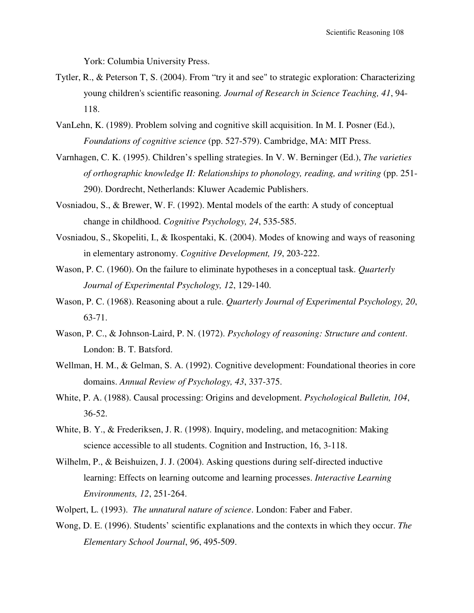York: Columbia University Press.

- Tytler, R., & Peterson T, S. (2004). From "try it and see" to strategic exploration: Characterizing young children's scientific reasoning*. Journal of Research in Science Teaching, 41*, 94- 118.
- VanLehn, K. (1989). Problem solving and cognitive skill acquisition. In M. I. Posner (Ed.), *Foundations of cognitive science* (pp. 527-579). Cambridge, MA: MIT Press.
- Varnhagen, C. K. (1995). Children's spelling strategies. In V. W. Berninger (Ed.), *The varieties of orthographic knowledge II: Relationships to phonology, reading, and writing* (pp. 251- 290). Dordrecht, Netherlands: Kluwer Academic Publishers.
- Vosniadou, S., & Brewer, W. F. (1992). Mental models of the earth: A study of conceptual change in childhood. *Cognitive Psychology, 24*, 535-585.
- Vosniadou, S., Skopeliti, I., & Ikospentaki, K. (2004). Modes of knowing and ways of reasoning in elementary astronomy. *Cognitive Development, 19*, 203-222.
- Wason, P. C. (1960). On the failure to eliminate hypotheses in a conceptual task. *Quarterly Journal of Experimental Psychology, 12*, 129-140.
- Wason, P. C. (1968). Reasoning about a rule. *Quarterly Journal of Experimental Psychology, 20*, 63-71.
- Wason, P. C., & Johnson-Laird, P. N. (1972). *Psychology of reasoning: Structure and content*. London: B. T. Batsford.
- Wellman, H. M., & Gelman, S. A. (1992). Cognitive development: Foundational theories in core domains. *Annual Review of Psychology, 43*, 337-375.
- White, P. A. (1988). Causal processing: Origins and development. *Psychological Bulletin, 104*, 36-52.
- White, B. Y., & Frederiksen, J. R. (1998). Inquiry, modeling, and metacognition: Making science accessible to all students. Cognition and Instruction, 16, 3-118.
- Wilhelm, P., & Beishuizen, J. J. (2004). Asking questions during self-directed inductive learning: Effects on learning outcome and learning processes. *Interactive Learning Environments, 12*, 251-264.
- Wolpert, L. (1993). *The unnatural nature of science*. London: Faber and Faber.
- Wong, D. E. (1996). Students' scientific explanations and the contexts in which they occur. *The Elementary School Journal*, *96*, 495-509.